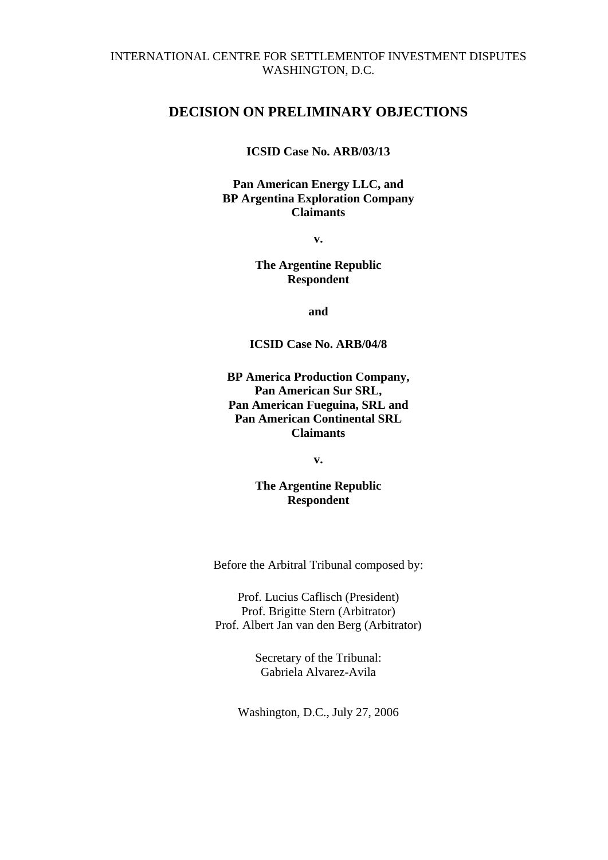## INTERNATIONAL CENTRE FOR SETTLEMENTOF INVESTMENT DISPUTES WASHINGTON, D.C.

# **DECISION ON PRELIMINARY OBJECTIONS**

**ICSID Case No. ARB/03/13** 

**Pan American Energy LLC, and BP Argentina Exploration Company Claimants** 

**v.** 

**The Argentine Republic Respondent** 

**and** 

**ICSID Case No. ARB/04/8** 

**BP America Production Company, Pan American Sur SRL, Pan American Fueguina, SRL and Pan American Continental SRL Claimants** 

**v.** 

**The Argentine Republic Respondent** 

Before the Arbitral Tribunal composed by:

Prof. Lucius Caflisch (President) Prof. Brigitte Stern (Arbitrator) Prof. Albert Jan van den Berg (Arbitrator)

> Secretary of the Tribunal: Gabriela Alvarez-Avila

Washington, D.C., July 27, 2006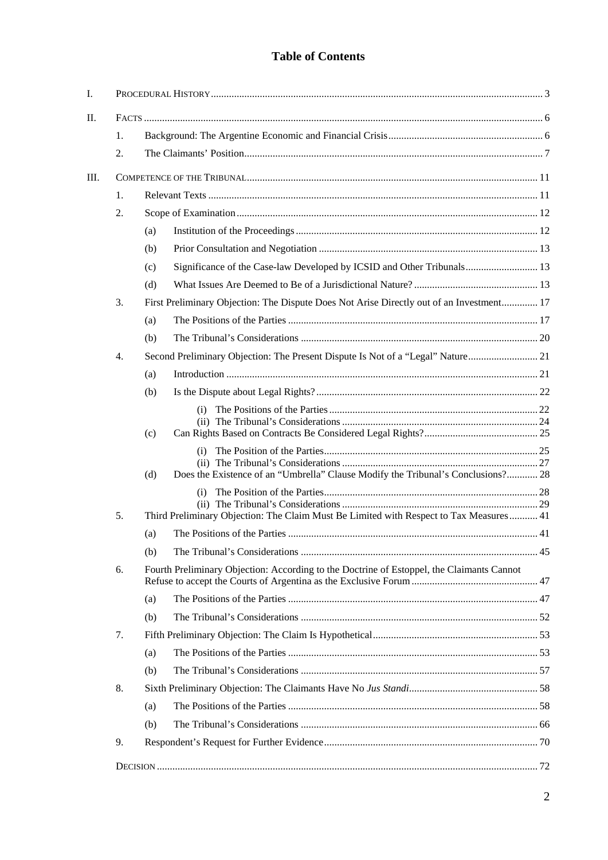# **Table of Contents**

|      | 1. |                                                                                           |                                                                                  |  |
|------|----|-------------------------------------------------------------------------------------------|----------------------------------------------------------------------------------|--|
|      | 2. |                                                                                           |                                                                                  |  |
| III. |    |                                                                                           |                                                                                  |  |
|      | 1. |                                                                                           |                                                                                  |  |
|      | 2. |                                                                                           |                                                                                  |  |
|      |    | (a)                                                                                       |                                                                                  |  |
|      |    | (b)                                                                                       |                                                                                  |  |
|      |    | (c)                                                                                       | Significance of the Case-law Developed by ICSID and Other Tribunals 13           |  |
|      |    | (d)                                                                                       |                                                                                  |  |
|      | 3. | First Preliminary Objection: The Dispute Does Not Arise Directly out of an Investment 17  |                                                                                  |  |
|      |    | (a)                                                                                       |                                                                                  |  |
|      |    | (b)                                                                                       |                                                                                  |  |
|      | 4. |                                                                                           |                                                                                  |  |
|      |    | (a)                                                                                       |                                                                                  |  |
|      |    | (b)                                                                                       |                                                                                  |  |
|      |    |                                                                                           | (i)                                                                              |  |
|      |    |                                                                                           |                                                                                  |  |
|      |    | (c)                                                                                       |                                                                                  |  |
|      |    |                                                                                           | (i)                                                                              |  |
|      |    | (d)                                                                                       | Does the Existence of an "Umbrella" Clause Modify the Tribunal's Conclusions? 28 |  |
|      |    |                                                                                           | (i)                                                                              |  |
|      | 5. | Third Preliminary Objection: The Claim Must Be Limited with Respect to Tax Measures 41    |                                                                                  |  |
|      |    | (a)                                                                                       |                                                                                  |  |
|      |    | (b)                                                                                       |                                                                                  |  |
|      | 6. | Fourth Preliminary Objection: According to the Doctrine of Estoppel, the Claimants Cannot |                                                                                  |  |
|      |    | (a)                                                                                       |                                                                                  |  |
|      |    | (b)                                                                                       |                                                                                  |  |
|      | 7. |                                                                                           |                                                                                  |  |
|      |    | (a)                                                                                       |                                                                                  |  |
|      |    | (b)                                                                                       |                                                                                  |  |
|      | 8. |                                                                                           |                                                                                  |  |
|      |    |                                                                                           |                                                                                  |  |
|      |    | (a)                                                                                       |                                                                                  |  |
|      | 9. | (b)                                                                                       |                                                                                  |  |
|      |    |                                                                                           |                                                                                  |  |
|      |    |                                                                                           |                                                                                  |  |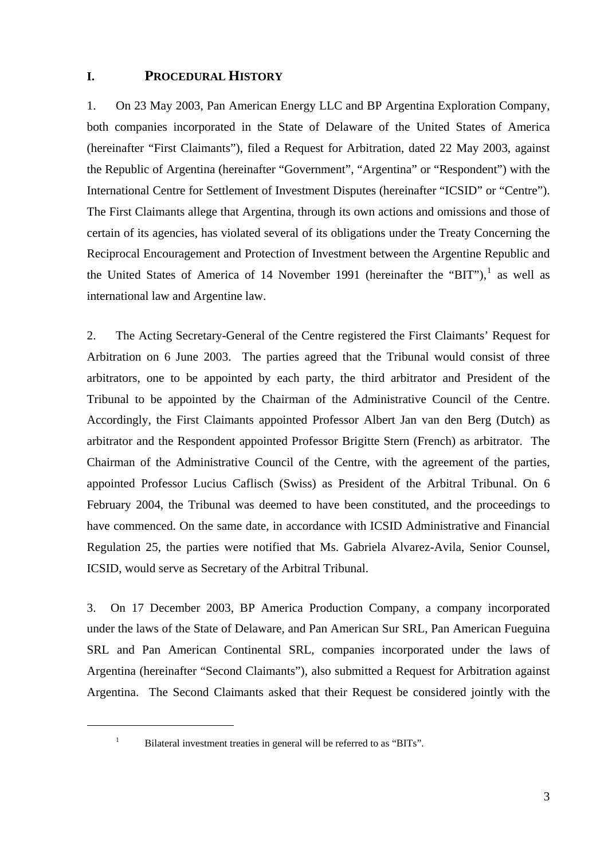## <span id="page-2-0"></span>**I. PROCEDURAL HISTORY**

1. On 23 May 2003, Pan American Energy LLC and BP Argentina Exploration Company, both companies incorporated in the State of Delaware of the United States of America (hereinafter "First Claimants"), filed a Request for Arbitration, dated 22 May 2003, against the Republic of Argentina (hereinafter "Government", "Argentina" or "Respondent") with the International Centre for Settlement of Investment Disputes (hereinafter "ICSID" or "Centre"). The First Claimants allege that Argentina, through its own actions and omissions and those of certain of its agencies, has violated several of its obligations under the Treaty Concerning the Reciprocal Encouragement and Protection of Investment between the Argentine Republic and the United States of America of [1](#page-2-1)4 November 1991 (hereinafter the "BIT"), as well as international law and Argentine law.

2. The Acting Secretary-General of the Centre registered the First Claimants' Request for Arbitration on 6 June 2003. The parties agreed that the Tribunal would consist of three arbitrators, one to be appointed by each party, the third arbitrator and President of the Tribunal to be appointed by the Chairman of the Administrative Council of the Centre. Accordingly, the First Claimants appointed Professor Albert Jan van den Berg (Dutch) as arbitrator and the Respondent appointed Professor Brigitte Stern (French) as arbitrator. The Chairman of the Administrative Council of the Centre, with the agreement of the parties, appointed Professor Lucius Caflisch (Swiss) as President of the Arbitral Tribunal. On 6 February 2004, the Tribunal was deemed to have been constituted, and the proceedings to have commenced. On the same date, in accordance with ICSID Administrative and Financial Regulation 25, the parties were notified that Ms. Gabriela Alvarez-Avila, Senior Counsel, ICSID, would serve as Secretary of the Arbitral Tribunal.

3. On 17 December 2003, BP America Production Company, a company incorporated under the laws of the State of Delaware, and Pan American Sur SRL, Pan American Fueguina SRL and Pan American Continental SRL, companies incorporated under the laws of Argentina (hereinafter "Second Claimants"), also submitted a Request for Arbitration against Argentina. The Second Claimants asked that their Request be considered jointly with the

<span id="page-2-1"></span>1

Bilateral investment treaties in general will be referred to as "BITs".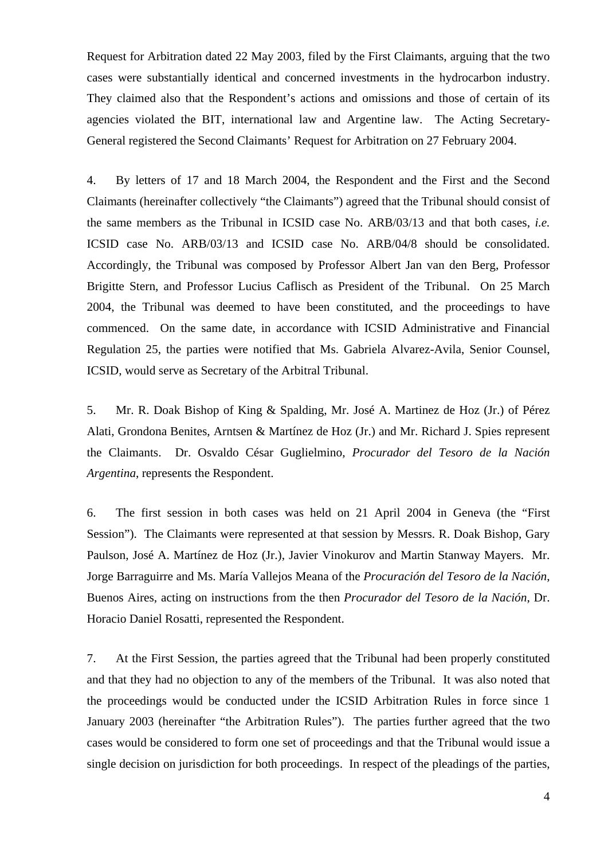Request for Arbitration dated 22 May 2003, filed by the First Claimants, arguing that the two cases were substantially identical and concerned investments in the hydrocarbon industry. They claimed also that the Respondent's actions and omissions and those of certain of its agencies violated the BIT, international law and Argentine law. The Acting Secretary-General registered the Second Claimants' Request for Arbitration on 27 February 2004.

4. By letters of 17 and 18 March 2004, the Respondent and the First and the Second Claimants (hereinafter collectively "the Claimants") agreed that the Tribunal should consist of the same members as the Tribunal in ICSID case No. ARB/03/13 and that both cases, *i.e.* ICSID case No. ARB/03/13 and ICSID case No. ARB/04/8 should be consolidated. Accordingly, the Tribunal was composed by Professor Albert Jan van den Berg, Professor Brigitte Stern, and Professor Lucius Caflisch as President of the Tribunal. On 25 March 2004, the Tribunal was deemed to have been constituted, and the proceedings to have commenced. On the same date, in accordance with ICSID Administrative and Financial Regulation 25, the parties were notified that Ms. Gabriela Alvarez-Avila, Senior Counsel, ICSID, would serve as Secretary of the Arbitral Tribunal.

5. Mr. R. Doak Bishop of King & Spalding, Mr. José A. Martinez de Hoz (Jr.) of Pérez Alati, Grondona Benites, Arntsen & Martínez de Hoz (Jr.) and Mr. Richard J. Spies represent the Claimants. Dr. Osvaldo César Guglielmino, *Procurador del Tesoro de la Nación Argentina*, represents the Respondent.

6. The first session in both cases was held on 21 April 2004 in Geneva (the "First Session"). The Claimants were represented at that session by Messrs. R. Doak Bishop, Gary Paulson, José A. Martínez de Hoz (Jr.), Javier Vinokurov and Martin Stanway Mayers. Mr. Jorge Barraguirre and Ms. María Vallejos Meana of the *Procuración del Tesoro de la Nación*, Buenos Aires, acting on instructions from the then *Procurador del Tesoro de la Nación*, Dr. Horacio Daniel Rosatti, represented the Respondent.

7. At the First Session, the parties agreed that the Tribunal had been properly constituted and that they had no objection to any of the members of the Tribunal. It was also noted that the proceedings would be conducted under the ICSID Arbitration Rules in force since 1 January 2003 (hereinafter "the Arbitration Rules"). The parties further agreed that the two cases would be considered to form one set of proceedings and that the Tribunal would issue a single decision on jurisdiction for both proceedings. In respect of the pleadings of the parties,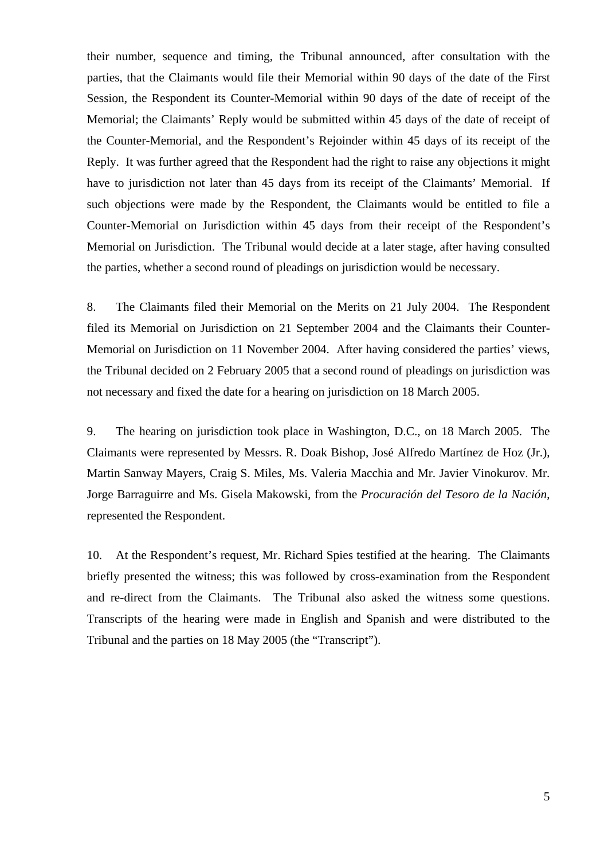their number, sequence and timing, the Tribunal announced, after consultation with the parties, that the Claimants would file their Memorial within 90 days of the date of the First Session, the Respondent its Counter-Memorial within 90 days of the date of receipt of the Memorial; the Claimants' Reply would be submitted within 45 days of the date of receipt of the Counter-Memorial, and the Respondent's Rejoinder within 45 days of its receipt of the Reply. It was further agreed that the Respondent had the right to raise any objections it might have to jurisdiction not later than 45 days from its receipt of the Claimants' Memorial. If such objections were made by the Respondent, the Claimants would be entitled to file a Counter-Memorial on Jurisdiction within 45 days from their receipt of the Respondent's Memorial on Jurisdiction. The Tribunal would decide at a later stage, after having consulted the parties, whether a second round of pleadings on jurisdiction would be necessary.

8. The Claimants filed their Memorial on the Merits on 21 July 2004. The Respondent filed its Memorial on Jurisdiction on 21 September 2004 and the Claimants their Counter-Memorial on Jurisdiction on 11 November 2004. After having considered the parties' views, the Tribunal decided on 2 February 2005 that a second round of pleadings on jurisdiction was not necessary and fixed the date for a hearing on jurisdiction on 18 March 2005.

9. The hearing on jurisdiction took place in Washington, D.C., on 18 March 2005. The Claimants were represented by Messrs. R. Doak Bishop, José Alfredo Martínez de Hoz (Jr.), Martin Sanway Mayers, Craig S. Miles, Ms. Valeria Macchia and Mr. Javier Vinokurov. Mr. Jorge Barraguirre and Ms. Gisela Makowski, from the *Procuración del Tesoro de la Nación*, represented the Respondent.

10. At the Respondent's request, Mr. Richard Spies testified at the hearing. The Claimants briefly presented the witness; this was followed by cross-examination from the Respondent and re-direct from the Claimants. The Tribunal also asked the witness some questions. Transcripts of the hearing were made in English and Spanish and were distributed to the Tribunal and the parties on 18 May 2005 (the "Transcript").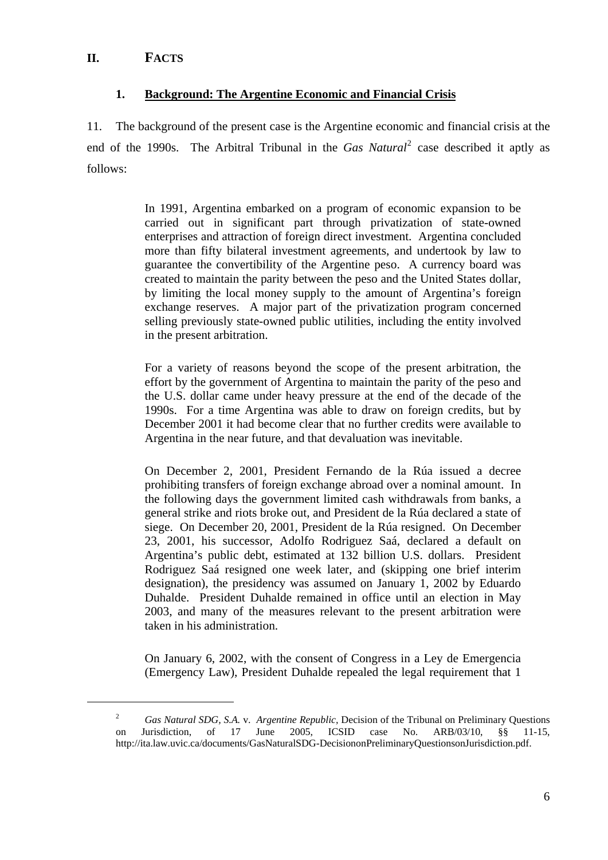<span id="page-5-1"></span>1

# <span id="page-5-0"></span>**1. Background: The Argentine Economic and Financial Crisis**

11. The background of the present case is the Argentine economic and financial crisis at the end of the 1990s. The Arbitral Tribunal in the *Gas Natural*<sup>[2](#page-5-1)</sup> case described it aptly as follows:

> In 1991, Argentina embarked on a program of economic expansion to be carried out in significant part through privatization of state-owned enterprises and attraction of foreign direct investment. Argentina concluded more than fifty bilateral investment agreements, and undertook by law to guarantee the convertibility of the Argentine peso. A currency board was created to maintain the parity between the peso and the United States dollar, by limiting the local money supply to the amount of Argentina's foreign exchange reserves. A major part of the privatization program concerned selling previously state-owned public utilities, including the entity involved in the present arbitration.

> For a variety of reasons beyond the scope of the present arbitration, the effort by the government of Argentina to maintain the parity of the peso and the U.S. dollar came under heavy pressure at the end of the decade of the 1990s. For a time Argentina was able to draw on foreign credits, but by December 2001 it had become clear that no further credits were available to Argentina in the near future, and that devaluation was inevitable.

> On December 2, 2001, President Fernando de la Rúa issued a decree prohibiting transfers of foreign exchange abroad over a nominal amount. In the following days the government limited cash withdrawals from banks, a general strike and riots broke out, and President de la Rúa declared a state of siege. On December 20, 2001, President de la Rúa resigned. On December 23, 2001, his successor, Adolfo Rodriguez Saá, declared a default on Argentina's public debt, estimated at 132 billion U.S. dollars. President Rodriguez Saá resigned one week later, and (skipping one brief interim designation), the presidency was assumed on January 1, 2002 by Eduardo Duhalde. President Duhalde remained in office until an election in May 2003, and many of the measures relevant to the present arbitration were taken in his administration.

> On January 6, 2002, with the consent of Congress in a Ley de Emergencia (Emergency Law), President Duhalde repealed the legal requirement that 1

 $\overline{2}$  *Gas Natural SDG, S.A.* v. *Argentine Republic,* Decision of the Tribunal on Preliminary Questions on Jurisdiction, of 17 June 2005, ICSID case No. ARB/03/10, §§ 11-15, http://ita.law.uvic.ca/documents/GasNaturalSDG-DecisiononPreliminaryQuestionsonJurisdiction.pdf.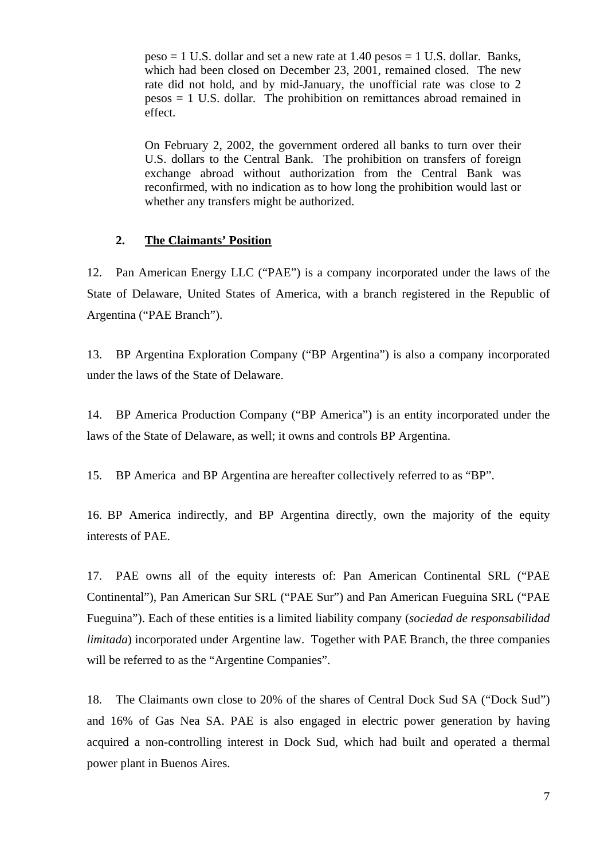<span id="page-6-0"></span> $p\neso = 1$  U.S. dollar and set a new rate at 1.40  $p\nesos = 1$  U.S. dollar. Banks, which had been closed on December 23, 2001, remained closed. The new rate did not hold, and by mid-January, the unofficial rate was close to 2 pesos = 1 U.S. dollar. The prohibition on remittances abroad remained in effect.

On February 2, 2002, the government ordered all banks to turn over their U.S. dollars to the Central Bank. The prohibition on transfers of foreign exchange abroad without authorization from the Central Bank was reconfirmed, with no indication as to how long the prohibition would last or whether any transfers might be authorized.

### **2. The Claimants' Position**

12. Pan American Energy LLC ("PAE") is a company incorporated under the laws of the State of Delaware, United States of America, with a branch registered in the Republic of Argentina ("PAE Branch").

13. BP Argentina Exploration Company ("BP Argentina") is also a company incorporated under the laws of the State of Delaware.

14. BP America Production Company ("BP America") is an entity incorporated under the laws of the State of Delaware, as well; it owns and controls BP Argentina.

15. BP America and BP Argentina are hereafter collectively referred to as "BP".

16. BP America indirectly, and BP Argentina directly, own the majority of the equity interests of PAE.

17. PAE owns all of the equity interests of: Pan American Continental SRL ("PAE Continental"), Pan American Sur SRL ("PAE Sur") and Pan American Fueguina SRL ("PAE Fueguina"). Each of these entities is a limited liability company (*sociedad de responsabilidad limitada*) incorporated under Argentine law. Together with PAE Branch, the three companies will be referred to as the "Argentine Companies".

18. The Claimants own close to 20% of the shares of Central Dock Sud SA ("Dock Sud") and 16% of Gas Nea SA. PAE is also engaged in electric power generation by having acquired a non-controlling interest in Dock Sud, which had built and operated a thermal power plant in Buenos Aires.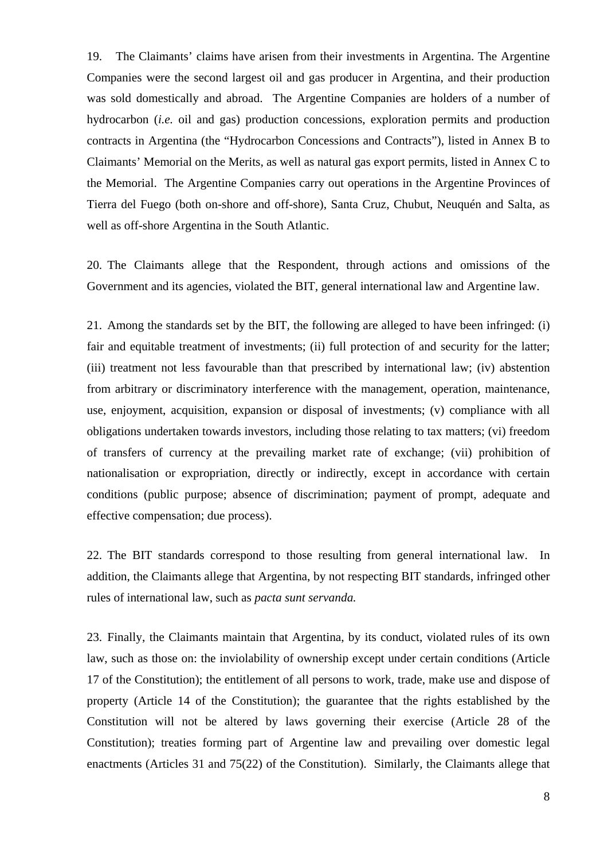19. The Claimants' claims have arisen from their investments in Argentina. The Argentine Companies were the second largest oil and gas producer in Argentina, and their production was sold domestically and abroad. The Argentine Companies are holders of a number of hydrocarbon (*i.e.* oil and gas) production concessions, exploration permits and production contracts in Argentina (the "Hydrocarbon Concessions and Contracts"), listed in Annex B to Claimants' Memorial on the Merits, as well as natural gas export permits, listed in Annex C to the Memorial. The Argentine Companies carry out operations in the Argentine Provinces of Tierra del Fuego (both on-shore and off-shore), Santa Cruz, Chubut, Neuquén and Salta, as well as off-shore Argentina in the South Atlantic.

<span id="page-7-0"></span>20. The Claimants allege that the Respondent, through actions and omissions of the Government and its agencies, violated the BIT, general international law and Argentine law.

21. Among the standards set by the BIT, the following are alleged to have been infringed: (i) fair and equitable treatment of investments; (ii) full protection of and security for the latter; (iii) treatment not less favourable than that prescribed by international law; (iv) abstention from arbitrary or discriminatory interference with the management, operation, maintenance, use, enjoyment, acquisition, expansion or disposal of investments; (v) compliance with all obligations undertaken towards investors, including those relating to tax matters; (vi) freedom of transfers of currency at the prevailing market rate of exchange; (vii) prohibition of nationalisation or expropriation, directly or indirectly, except in accordance with certain conditions (public purpose; absence of discrimination; payment of prompt, adequate and effective compensation; due process).

22. The BIT standards correspond to those resulting from general international law. In addition, the Claimants allege that Argentina, by not respecting BIT standards, infringed other rules of international law, such as *pacta sunt servanda.*

23. Finally, the Claimants maintain that Argentina, by its conduct, violated rules of its own law, such as those on: the inviolability of ownership except under certain conditions (Article 17 of the Constitution); the entitlement of all persons to work, trade, make use and dispose of property (Article 14 of the Constitution); the guarantee that the rights established by the Constitution will not be altered by laws governing their exercise (Article 28 of the Constitution); treaties forming part of Argentine law and prevailing over domestic legal enactments (Articles 31 and 75(22) of the Constitution). Similarly, the Claimants allege that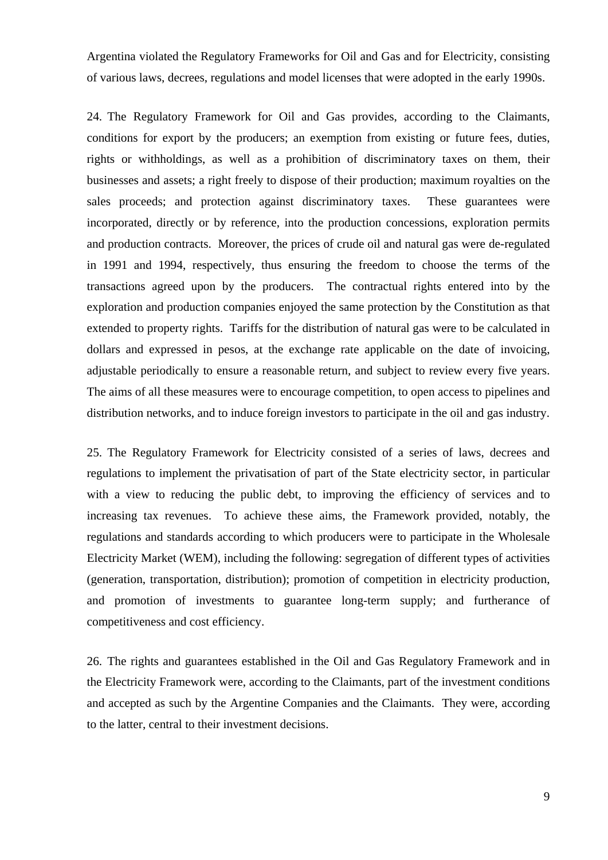Argentina violated the Regulatory Frameworks for Oil and Gas and for Electricity, consisting of various laws, decrees, regulations and model licenses that were adopted in the early 1990s.

24. The Regulatory Framework for Oil and Gas provides, according to the Claimants, conditions for export by the producers; an exemption from existing or future fees, duties, rights or withholdings, as well as a prohibition of discriminatory taxes on them, their businesses and assets; a right freely to dispose of their production; maximum royalties on the sales proceeds; and protection against discriminatory taxes. These guarantees were incorporated, directly or by reference, into the production concessions, exploration permits and production contracts. Moreover, the prices of crude oil and natural gas were de-regulated in 1991 and 1994, respectively, thus ensuring the freedom to choose the terms of the transactions agreed upon by the producers. The contractual rights entered into by the exploration and production companies enjoyed the same protection by the Constitution as that extended to property rights. Tariffs for the distribution of natural gas were to be calculated in dollars and expressed in pesos, at the exchange rate applicable on the date of invoicing, adjustable periodically to ensure a reasonable return, and subject to review every five years. The aims of all these measures were to encourage competition, to open access to pipelines and distribution networks, and to induce foreign investors to participate in the oil and gas industry.

25. The Regulatory Framework for Electricity consisted of a series of laws, decrees and regulations to implement the privatisation of part of the State electricity sector, in particular with a view to reducing the public debt, to improving the efficiency of services and to increasing tax revenues. To achieve these aims, the Framework provided, notably, the regulations and standards according to which producers were to participate in the Wholesale Electricity Market (WEM), including the following: segregation of different types of activities (generation, transportation, distribution); promotion of competition in electricity production, and promotion of investments to guarantee long-term supply; and furtherance of competitiveness and cost efficiency.

26. The rights and guarantees established in the Oil and Gas Regulatory Framework and in the Electricity Framework were, according to the Claimants, part of the investment conditions and accepted as such by the Argentine Companies and the Claimants. They were, according to the latter, central to their investment decisions.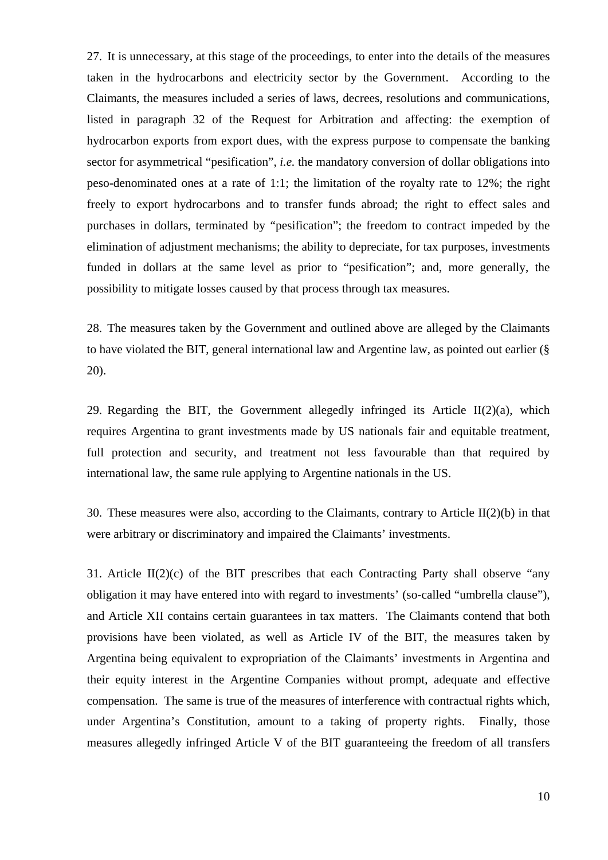27. It is unnecessary, at this stage of the proceedings, to enter into the details of the measures taken in the hydrocarbons and electricity sector by the Government. According to the Claimants, the measures included a series of laws, decrees, resolutions and communications, listed in paragraph 32 of the Request for Arbitration and affecting: the exemption of hydrocarbon exports from export dues, with the express purpose to compensate the banking sector for asymmetrical "pesification", *i.e.* the mandatory conversion of dollar obligations into peso-denominated ones at a rate of 1:1; the limitation of the royalty rate to 12%; the right freely to export hydrocarbons and to transfer funds abroad; the right to effect sales and purchases in dollars, terminated by "pesification"; the freedom to contract impeded by the elimination of adjustment mechanisms; the ability to depreciate, for tax purposes, investments funded in dollars at the same level as prior to "pesification"; and, more generally, the possibility to mitigate losses caused by that process through tax measures.

28. The measures taken by the Government and outlined above are alleged by the Claimants to have violated the BIT, general international law and Argentine law, as pointed out earlier (§ [20](#page-7-0)).

29. Regarding the BIT, the Government allegedly infringed its Article II(2)(a), which requires Argentina to grant investments made by US nationals fair and equitable treatment, full protection and security, and treatment not less favourable than that required by international law, the same rule applying to Argentine nationals in the US.

30. These measures were also, according to the Claimants, contrary to Article II(2)(b) in that were arbitrary or discriminatory and impaired the Claimants' investments.

31. Article II(2)(c) of the BIT prescribes that each Contracting Party shall observe "any obligation it may have entered into with regard to investments' (so-called "umbrella clause"), and Article XII contains certain guarantees in tax matters. The Claimants contend that both provisions have been violated, as well as Article IV of the BIT, the measures taken by Argentina being equivalent to expropriation of the Claimants' investments in Argentina and their equity interest in the Argentine Companies without prompt, adequate and effective compensation. The same is true of the measures of interference with contractual rights which, under Argentina's Constitution, amount to a taking of property rights. Finally, those measures allegedly infringed Article V of the BIT guaranteeing the freedom of all transfers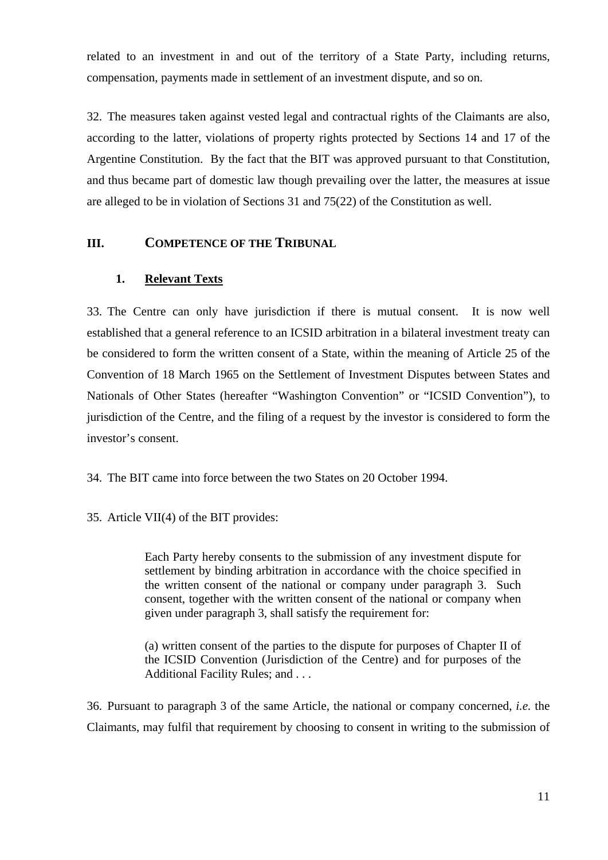<span id="page-10-0"></span>related to an investment in and out of the territory of a State Party, including returns, compensation, payments made in settlement of an investment dispute, and so on.

32. The measures taken against vested legal and contractual rights of the Claimants are also, according to the latter, violations of property rights protected by Sections 14 and 17 of the Argentine Constitution. By the fact that the BIT was approved pursuant to that Constitution, and thus became part of domestic law though prevailing over the latter, the measures at issue are alleged to be in violation of Sections 31 and 75(22) of the Constitution as well.

# **III. COMPETENCE OF THE TRIBUNAL**

# **1. Relevant Texts**

33. The Centre can only have jurisdiction if there is mutual consent. It is now well established that a general reference to an ICSID arbitration in a bilateral investment treaty can be considered to form the written consent of a State, within the meaning of Article 25 of the Convention of 18 March 1965 on the Settlement of Investment Disputes between States and Nationals of Other States (hereafter "Washington Convention" or "ICSID Convention"), to jurisdiction of the Centre, and the filing of a request by the investor is considered to form the investor's consent.

<span id="page-10-1"></span>34. The BIT came into force between the two States on 20 October 1994.

35. Article VII(4) of the BIT provides:

Each Party hereby consents to the submission of any investment dispute for settlement by binding arbitration in accordance with the choice specified in the written consent of the national or company under paragraph 3. Such consent, together with the written consent of the national or company when given under paragraph 3, shall satisfy the requirement for:

(a) written consent of the parties to the dispute for purposes of Chapter II of the ICSID Convention (Jurisdiction of the Centre) and for purposes of the Additional Facility Rules; and . . .

36. Pursuant to paragraph 3 of the same Article, the national or company concerned, *i.e.* the Claimants, may fulfil that requirement by choosing to consent in writing to the submission of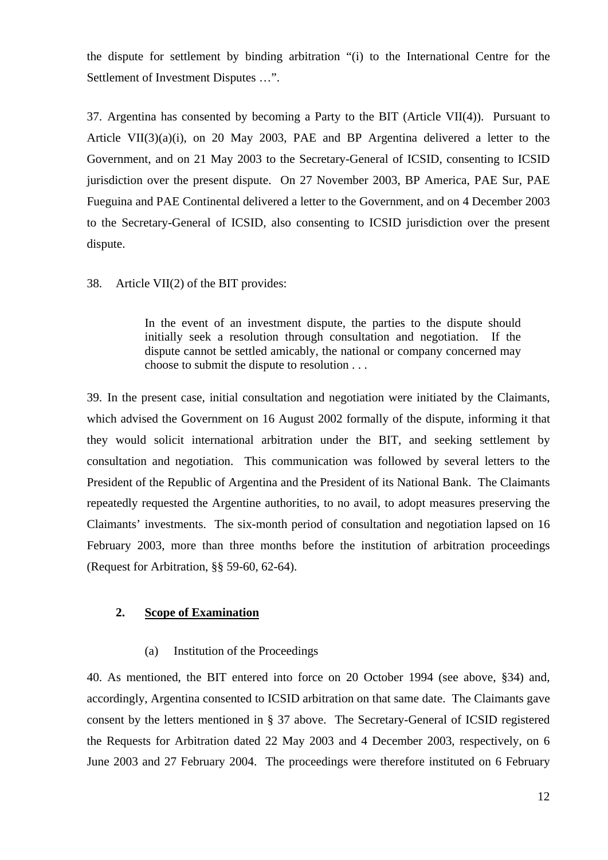<span id="page-11-0"></span>the dispute for settlement by binding arbitration "(i) to the International Centre for the Settlement of Investment Disputes …".

<span id="page-11-1"></span>37. Argentina has consented by becoming a Party to the BIT (Article VII(4)). Pursuant to Article VII(3)(a)(i), on 20 May 2003, PAE and BP Argentina delivered a letter to the Government, and on 21 May 2003 to the Secretary-General of ICSID, consenting to ICSID jurisdiction over the present dispute. On 27 November 2003, BP America, PAE Sur, PAE Fueguina and PAE Continental delivered a letter to the Government, and on 4 December 2003 to the Secretary-General of ICSID, also consenting to ICSID jurisdiction over the present dispute.

38. Article VII(2) of the BIT provides:

In the event of an investment dispute, the parties to the dispute should initially seek a resolution through consultation and negotiation. If the dispute cannot be settled amicably, the national or company concerned may choose to submit the dispute to resolution . . .

<span id="page-11-2"></span>39. In the present case, initial consultation and negotiation were initiated by the Claimants, which advised the Government on 16 August 2002 formally of the dispute, informing it that they would solicit international arbitration under the BIT, and seeking settlement by consultation and negotiation. This communication was followed by several letters to the President of the Republic of Argentina and the President of its National Bank. The Claimants repeatedly requested the Argentine authorities, to no avail, to adopt measures preserving the Claimants' investments. The six-month period of consultation and negotiation lapsed on 16 February 2003, more than three months before the institution of arbitration proceedings (Request for Arbitration, §§ 59-60, 62-64).

### **2. Scope of Examination**

(a) Institution of the Proceedings

40. As mentioned, the BIT entered into force on 20 October 1994 (see above, [§34](#page-10-1)) and, accordingly, Argentina consented to ICSID arbitration on that same date. The Claimants gave consent by the letters mentioned in § [37](#page-11-1) above. The Secretary-General of ICSID registered the Requests for Arbitration dated 22 May 2003 and 4 December 2003, respectively, on 6 June 2003 and 27 February 2004. The proceedings were therefore instituted on 6 February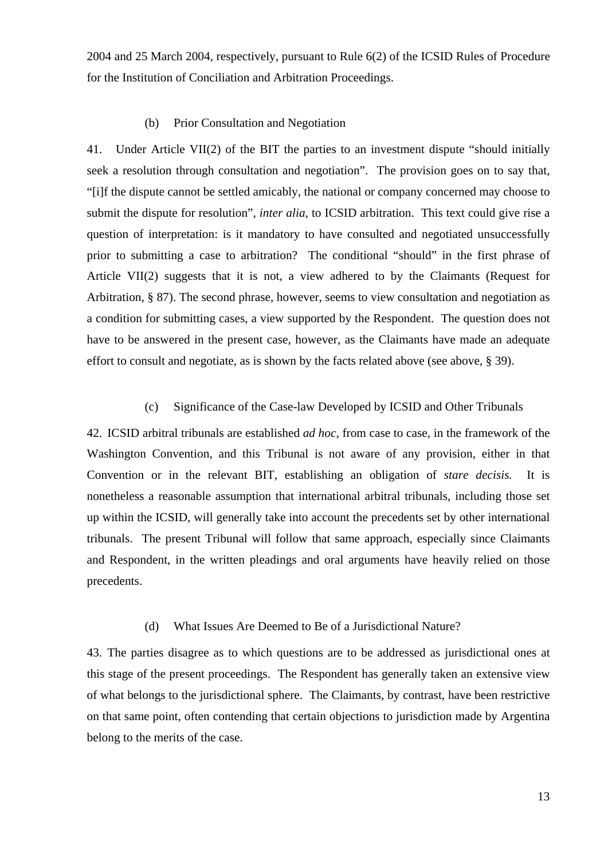<span id="page-12-0"></span>2004 and 25 March 2004, respectively, pursuant to Rule 6(2) of the ICSID Rules of Procedure for the Institution of Conciliation and Arbitration Proceedings.

#### (b) Prior Consultation and Negotiation

41. Under Article VII(2) of the BIT the parties to an investment dispute "should initially seek a resolution through consultation and negotiation". The provision goes on to say that, "[i]f the dispute cannot be settled amicably, the national or company concerned may choose to submit the dispute for resolution", *inter alia*, to ICSID arbitration. This text could give rise a question of interpretation: is it mandatory to have consulted and negotiated unsuccessfully prior to submitting a case to arbitration? The conditional "should" in the first phrase of Article VII(2) suggests that it is not, a view adhered to by the Claimants (Request for Arbitration, § 87). The second phrase, however, seems to view consultation and negotiation as a condition for submitting cases, a view supported by the Respondent. The question does not have to be answered in the present case, however, as the Claimants have made an adequate effort to consult and negotiate, as is shown by the facts related above (see above, § [39\)](#page-11-2).

#### (c) Significance of the Case-law Developed by ICSID and Other Tribunals

42. ICSID arbitral tribunals are established *ad hoc,* from case to case, in the framework of the Washington Convention, and this Tribunal is not aware of any provision, either in that Convention or in the relevant BIT, establishing an obligation of *stare decisis.* It is nonetheless a reasonable assumption that international arbitral tribunals, including those set up within the ICSID, will generally take into account the precedents set by other international tribunals. The present Tribunal will follow that same approach, especially since Claimants and Respondent, in the written pleadings and oral arguments have heavily relied on those precedents.

#### (d) What Issues Are Deemed to Be of a Jurisdictional Nature?

43. The parties disagree as to which questions are to be addressed as jurisdictional ones at this stage of the present proceedings. The Respondent has generally taken an extensive view of what belongs to the jurisdictional sphere. The Claimants, by contrast, have been restrictive on that same point, often contending that certain objections to jurisdiction made by Argentina belong to the merits of the case.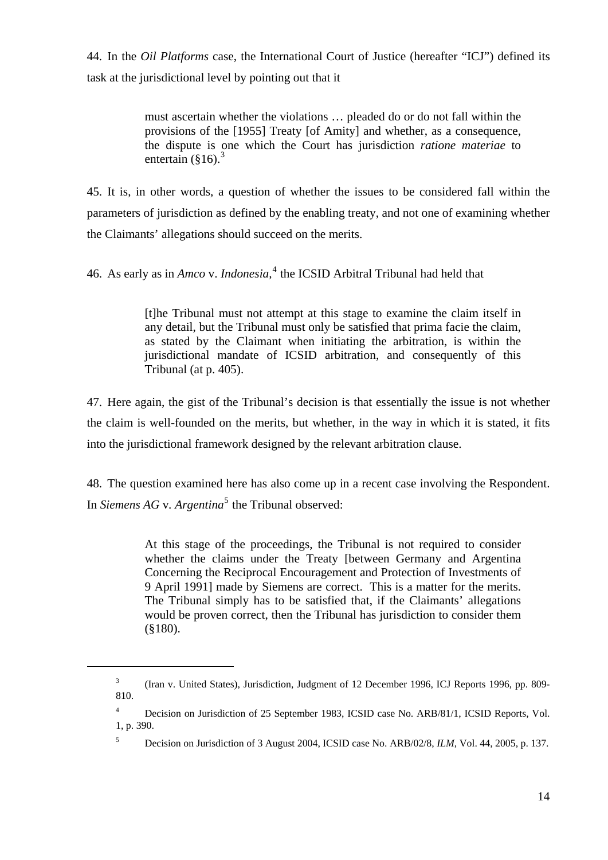44. In the *Oil Platforms* case, the International Court of Justice (hereafter "ICJ") defined its task at the jurisdictional level by pointing out that it

> must ascertain whether the violations … pleaded do or do not fall within the provisions of the [1955] Treaty [of Amity] and whether, as a consequence, the dispute is one which the Court has jurisdiction *ratione materiae* to entertain  $(\S 16)$ .<sup>[3](#page-13-0)</sup>

45. It is, in other words, a question of whether the issues to be considered fall within the parameters of jurisdiction as defined by the enabling treaty, and not one of examining whether the Claimants' allegations should succeed on the merits.

46. As early as in *Amco* v. *Indonesia,*[4](#page-13-1) the ICSID Arbitral Tribunal had held that

[t]he Tribunal must not attempt at this stage to examine the claim itself in any detail, but the Tribunal must only be satisfied that prima facie the claim, as stated by the Claimant when initiating the arbitration, is within the jurisdictional mandate of ICSID arbitration, and consequently of this Tribunal (at p. 405).

47. Here again, the gist of the Tribunal's decision is that essentially the issue is not whether the claim is well-founded on the merits, but whether, in the way in which it is stated, it fits into the jurisdictional framework designed by the relevant arbitration clause.

48. The question examined here has also come up in a recent case involving the Respondent. In *Siemens AG* v. *Argentina*<sup>[5](#page-13-2)</sup> the Tribunal observed:

> At this stage of the proceedings, the Tribunal is not required to consider whether the claims under the Treaty [between Germany and Argentina Concerning the Reciprocal Encouragement and Protection of Investments of 9 April 1991] made by Siemens are correct. This is a matter for the merits. The Tribunal simply has to be satisfied that, if the Claimants' allegations would be proven correct, then the Tribunal has jurisdiction to consider them (§180).

<span id="page-13-0"></span><sup>3</sup> (Iran v. United States), Jurisdiction, Judgment of 12 December 1996, ICJ Reports 1996, pp. 809- 810.

<span id="page-13-1"></span><sup>4</sup> Decision on Jurisdiction of 25 September 1983, ICSID case No. ARB/81/1, ICSID Reports, Vol. 1, p. 390.

<span id="page-13-2"></span><sup>5</sup> Decision on Jurisdiction of 3 August 2004, ICSID case No. ARB/02/8, *ILM*, Vol. 44, 2005, p. 137.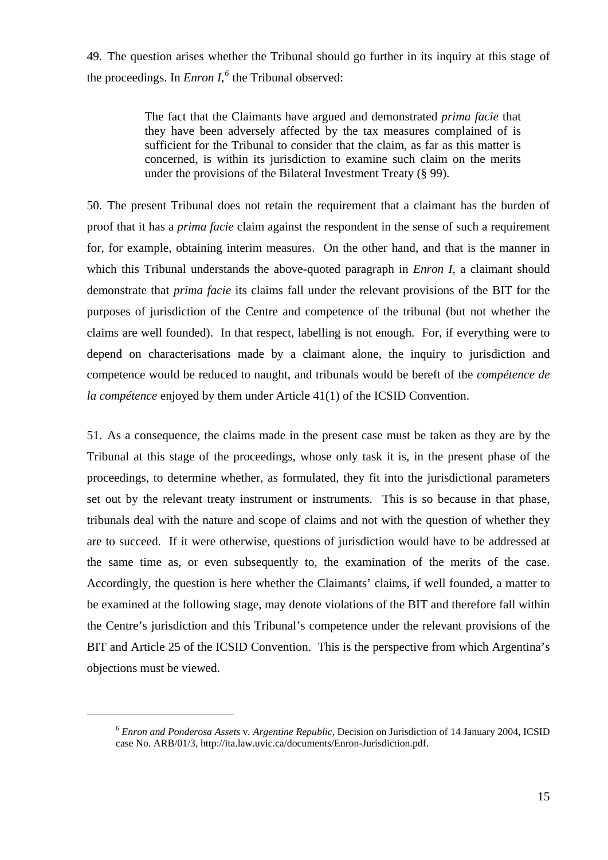49. The question arises whether the Tribunal should go further in its inquiry at this stage of the proceedings. In *Enron*  $I<sub>i</sub><sup>6</sup>$  $I<sub>i</sub><sup>6</sup>$  $I<sub>i</sub><sup>6</sup>$  the Tribunal observed:

> The fact that the Claimants have argued and demonstrated *prima facie* that they have been adversely affected by the tax measures complained of is sufficient for the Tribunal to consider that the claim, as far as this matter is concerned, is within its jurisdiction to examine such claim on the merits under the provisions of the Bilateral Investment Treaty (§ 99).

50. The present Tribunal does not retain the requirement that a claimant has the burden of proof that it has a *prima facie* claim against the respondent in the sense of such a requirement for, for example, obtaining interim measures. On the other hand, and that is the manner in which this Tribunal understands the above-quoted paragraph in *Enron I*, a claimant should demonstrate that *prima facie* its claims fall under the relevant provisions of the BIT for the purposes of jurisdiction of the Centre and competence of the tribunal (but not whether the claims are well founded). In that respect, labelling is not enough. For, if everything were to depend on characterisations made by a claimant alone, the inquiry to jurisdiction and competence would be reduced to naught, and tribunals would be bereft of the *compétence de la compétence* enjoyed by them under Article 41(1) of the ICSID Convention.

51. As a consequence, the claims made in the present case must be taken as they are by the Tribunal at this stage of the proceedings, whose only task it is, in the present phase of the proceedings, to determine whether, as formulated, they fit into the jurisdictional parameters set out by the relevant treaty instrument or instruments. This is so because in that phase, tribunals deal with the nature and scope of claims and not with the question of whether they are to succeed. If it were otherwise, questions of jurisdiction would have to be addressed at the same time as, or even subsequently to, the examination of the merits of the case. Accordingly, the question is here whether the Claimants' claims, if well founded, a matter to be examined at the following stage, may denote violations of the BIT and therefore fall within the Centre's jurisdiction and this Tribunal's competence under the relevant provisions of the BIT and Article 25 of the ICSID Convention. This is the perspective from which Argentina's objections must be viewed.

<span id="page-14-0"></span><u>.</u>

<sup>6</sup> *Enron and Ponderosa Assets* v*. Argentine Republic*, Decision on Jurisdiction of 14 January 2004, ICSID case No. ARB/01/3, http://ita.law.uvic.ca/documents/Enron-Jurisdiction.pdf.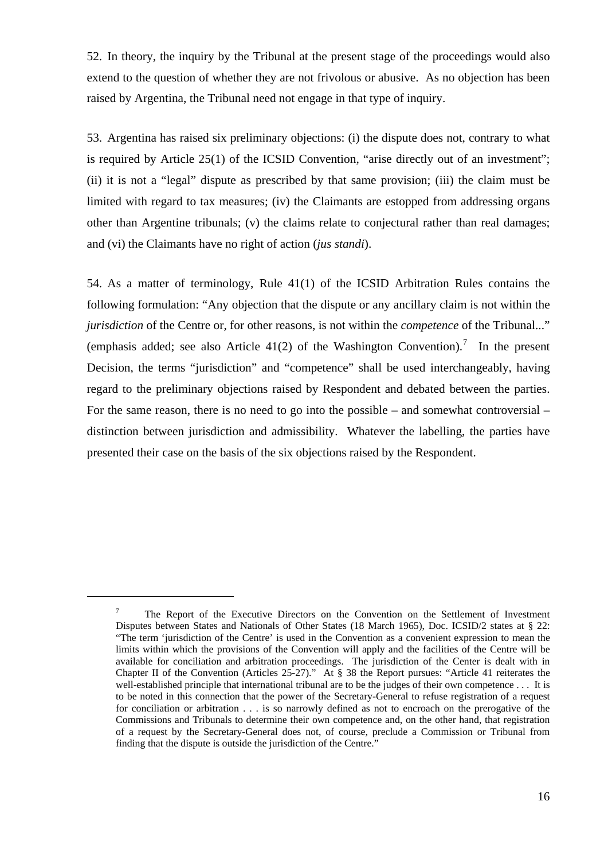52. In theory, the inquiry by the Tribunal at the present stage of the proceedings would also extend to the question of whether they are not frivolous or abusive. As no objection has been raised by Argentina, the Tribunal need not engage in that type of inquiry.

53. Argentina has raised six preliminary objections: (i) the dispute does not, contrary to what is required by Article 25(1) of the ICSID Convention, "arise directly out of an investment"; (ii) it is not a "legal" dispute as prescribed by that same provision; (iii) the claim must be limited with regard to tax measures; (iv) the Claimants are estopped from addressing organs other than Argentine tribunals; (v) the claims relate to conjectural rather than real damages; and (vi) the Claimants have no right of action (*jus standi*).

54. As a matter of terminology, Rule 41(1) of the ICSID Arbitration Rules contains the following formulation: "Any objection that the dispute or any ancillary claim is not within the *jurisdiction* of the Centre or, for other reasons, is not within the *competence* of the Tribunal..." (emphasis added; see also Article 41(2) of the Washington Convention).<sup>[7](#page-15-0)</sup> In the present Decision, the terms "jurisdiction" and "competence" shall be used interchangeably, having regard to the preliminary objections raised by Respondent and debated between the parties. For the same reason, there is no need to go into the possible – and somewhat controversial – distinction between jurisdiction and admissibility. Whatever the labelling, the parties have presented their case on the basis of the six objections raised by the Respondent.

<span id="page-15-0"></span><u>.</u>

<sup>7</sup> The Report of the Executive Directors on the Convention on the Settlement of Investment Disputes between States and Nationals of Other States (18 March 1965), Doc. ICSID/2 states at § 22: "The term 'jurisdiction of the Centre' is used in the Convention as a convenient expression to mean the limits within which the provisions of the Convention will apply and the facilities of the Centre will be available for conciliation and arbitration proceedings. The jurisdiction of the Center is dealt with in Chapter II of the Convention (Articles 25-27)." At § 38 the Report pursues: "Article 41 reiterates the well-established principle that international tribunal are to be the judges of their own competence . . . It is to be noted in this connection that the power of the Secretary-General to refuse registration of a request for conciliation or arbitration . . . is so narrowly defined as not to encroach on the prerogative of the Commissions and Tribunals to determine their own competence and, on the other hand, that registration of a request by the Secretary-General does not, of course, preclude a Commission or Tribunal from finding that the dispute is outside the jurisdiction of the Centre."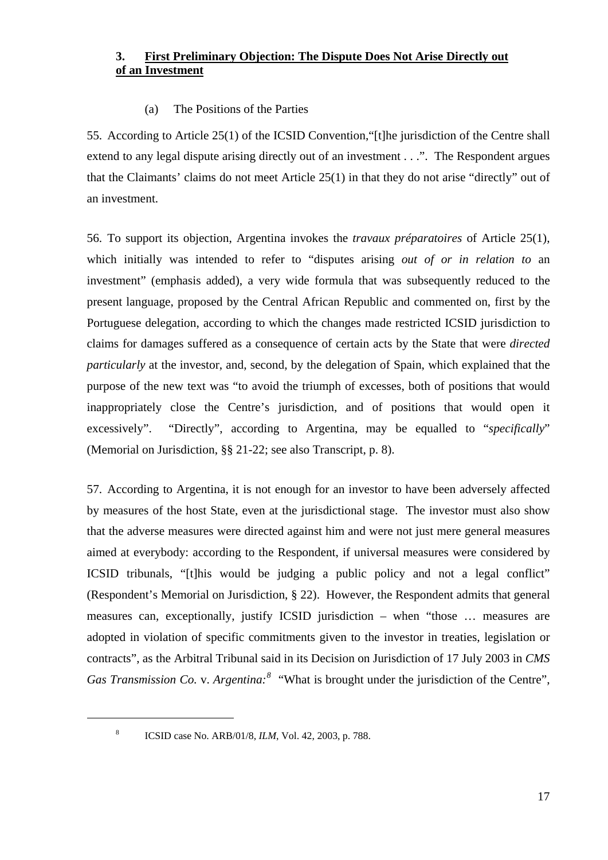# <span id="page-16-0"></span>**3. First Preliminary Objection: The Dispute Does Not Arise Directly out of an Investment**

# (a) The Positions of the Parties

55. According to Article 25(1) of the ICSID Convention,"[t]he jurisdiction of the Centre shall extend to any legal dispute arising directly out of an investment . . .". The Respondent argues that the Claimants' claims do not meet Article 25(1) in that they do not arise "directly" out of an investment.

56. To support its objection, Argentina invokes the *travaux préparatoires* of Article 25(1), which initially was intended to refer to "disputes arising *out of or in relation to* an investment" (emphasis added), a very wide formula that was subsequently reduced to the present language, proposed by the Central African Republic and commented on, first by the Portuguese delegation, according to which the changes made restricted ICSID jurisdiction to claims for damages suffered as a consequence of certain acts by the State that were *directed particularly* at the investor, and, second, by the delegation of Spain, which explained that the purpose of the new text was "to avoid the triumph of excesses, both of positions that would inappropriately close the Centre's jurisdiction, and of positions that would open it excessively". "Directly", according to Argentina, may be equalled to "*specifically*" (Memorial on Jurisdiction, §§ 21-22; see also Transcript, p. 8).

57. According to Argentina, it is not enough for an investor to have been adversely affected by measures of the host State, even at the jurisdictional stage. The investor must also show that the adverse measures were directed against him and were not just mere general measures aimed at everybody: according to the Respondent, if universal measures were considered by ICSID tribunals, "[t]his would be judging a public policy and not a legal conflict" (Respondent's Memorial on Jurisdiction, § 22). However, the Respondent admits that general measures can, exceptionally, justify ICSID jurisdiction – when "those … measures are adopted in violation of specific commitments given to the investor in treaties, legislation or contracts", as the Arbitral Tribunal said in its Decision on Jurisdiction of 17 July 2003 in *CMS Gas Transmission Co.* v. *Argentina:[8](#page-16-1)* "What is brought under the jurisdiction of the Centre",

<span id="page-16-1"></span>8

ICSID case No. ARB/01/8, *ILM*, Vol. 42, 2003, p. 788.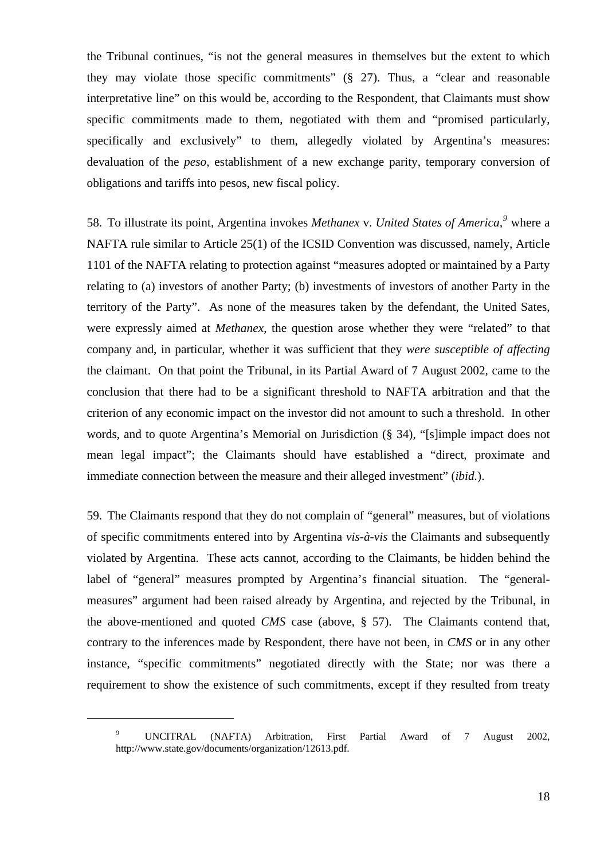the Tribunal continues, "is not the general measures in themselves but the extent to which they may violate those specific commitments" (§ 27). Thus, a "clear and reasonable interpretative line" on this would be, according to the Respondent, that Claimants must show specific commitments made to them, negotiated with them and "promised particularly, specifically and exclusively" to them, allegedly violated by Argentina's measures: devaluation of the *peso*, establishment of a new exchange parity, temporary conversion of obligations and tariffs into pesos, new fiscal policy.

58. To illustrate its point, Argentina invokes *Methanex* v. *United States of America,[9](#page-17-0)* where a NAFTA rule similar to Article 25(1) of the ICSID Convention was discussed, namely, Article 1101 of the NAFTA relating to protection against "measures adopted or maintained by a Party relating to (a) investors of another Party; (b) investments of investors of another Party in the territory of the Party". As none of the measures taken by the defendant, the United Sates, were expressly aimed at *Methanex*, the question arose whether they were "related" to that company and, in particular, whether it was sufficient that they *were susceptible of affecting* the claimant. On that point the Tribunal, in its Partial Award of 7 August 2002, came to the conclusion that there had to be a significant threshold to NAFTA arbitration and that the criterion of any economic impact on the investor did not amount to such a threshold. In other words, and to quote Argentina's Memorial on Jurisdiction (§ 34), "[s]imple impact does not mean legal impact"; the Claimants should have established a "direct, proximate and immediate connection between the measure and their alleged investment" (*ibid.*).

<span id="page-17-1"></span>59. The Claimants respond that they do not complain of "general" measures, but of violations of specific commitments entered into by Argentina *vis-à-vis* the Claimants and subsequently violated by Argentina. These acts cannot, according to the Claimants, be hidden behind the label of "general" measures prompted by Argentina's financial situation. The "generalmeasures" argument had been raised already by Argentina, and rejected by the Tribunal, in the above-mentioned and quoted *CMS* case (above, § [57\)](#page-17-1). The Claimants contend that, contrary to the inferences made by Respondent, there have not been, in *CMS* or in any other instance, "specific commitments" negotiated directly with the State; nor was there a requirement to show the existence of such commitments, except if they resulted from treaty

<span id="page-17-0"></span><sup>9</sup> UNCITRAL (NAFTA) Arbitration, First Partial Award of 7 August 2002, http://www.state.gov/documents/organization/12613.pdf.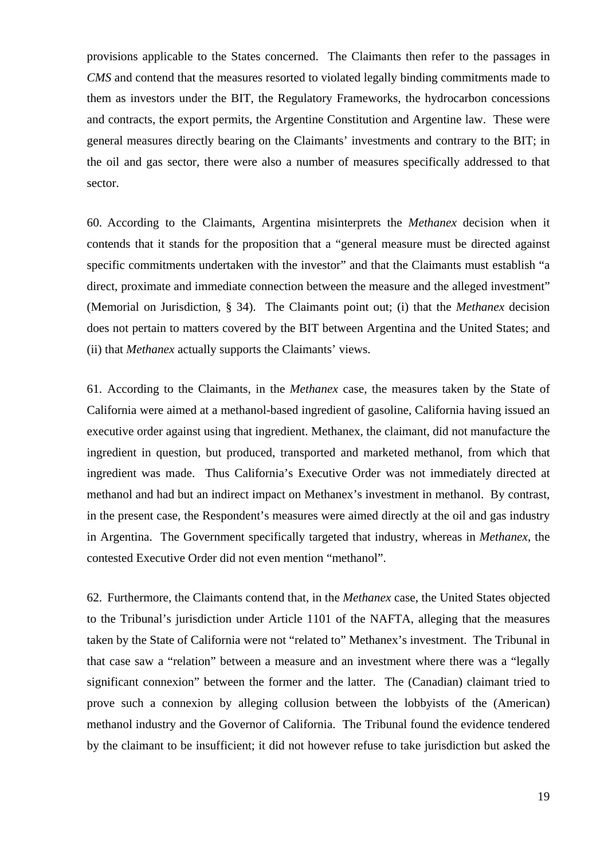provisions applicable to the States concerned. The Claimants then refer to the passages in *CMS* and contend that the measures resorted to violated legally binding commitments made to them as investors under the BIT, the Regulatory Frameworks, the hydrocarbon concessions and contracts, the export permits, the Argentine Constitution and Argentine law. These were general measures directly bearing on the Claimants' investments and contrary to the BIT; in the oil and gas sector, there were also a number of measures specifically addressed to that sector.

60. According to the Claimants, Argentina misinterprets the *Methanex* decision when it contends that it stands for the proposition that a "general measure must be directed against specific commitments undertaken with the investor" and that the Claimants must establish "a direct, proximate and immediate connection between the measure and the alleged investment" (Memorial on Jurisdiction, § 34). The Claimants point out; (i) that the *Methanex* decision does not pertain to matters covered by the BIT between Argentina and the United States; and (ii) that *Methanex* actually supports the Claimants' views.

61. According to the Claimants, in the *Methanex* case, the measures taken by the State of California were aimed at a methanol-based ingredient of gasoline, California having issued an executive order against using that ingredient. Methanex*,* the claimant, did not manufacture the ingredient in question, but produced, transported and marketed methanol, from which that ingredient was made. Thus California's Executive Order was not immediately directed at methanol and had but an indirect impact on Methanex's investment in methanol. By contrast, in the present case, the Respondent's measures were aimed directly at the oil and gas industry in Argentina. The Government specifically targeted that industry, whereas in *Methanex*, the contested Executive Order did not even mention "methanol".

62. Furthermore, the Claimants contend that, in the *Methanex* case, the United States objected to the Tribunal's jurisdiction under Article 1101 of the NAFTA, alleging that the measures taken by the State of California were not "related to" Methanex's investment. The Tribunal in that case saw a "relation" between a measure and an investment where there was a "legally significant connexion" between the former and the latter. The (Canadian) claimant tried to prove such a connexion by alleging collusion between the lobbyists of the (American) methanol industry and the Governor of California. The Tribunal found the evidence tendered by the claimant to be insufficient; it did not however refuse to take jurisdiction but asked the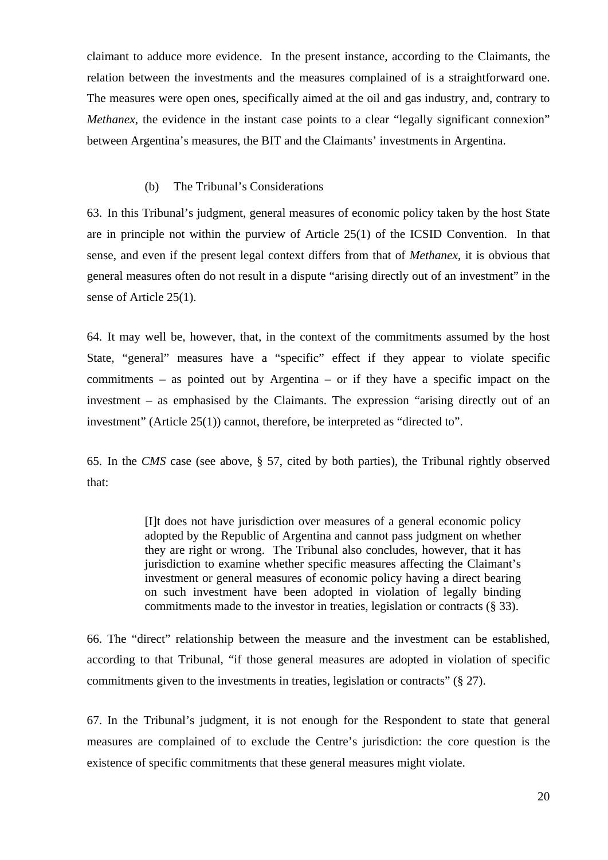<span id="page-19-0"></span>claimant to adduce more evidence. In the present instance, according to the Claimants, the relation between the investments and the measures complained of is a straightforward one. The measures were open ones, specifically aimed at the oil and gas industry, and, contrary to *Methanex*, the evidence in the instant case points to a clear "legally significant connexion" between Argentina's measures, the BIT and the Claimants' investments in Argentina.

#### (b) The Tribunal's Considerations

63. In this Tribunal's judgment, general measures of economic policy taken by the host State are in principle not within the purview of Article 25(1) of the ICSID Convention. In that sense, and even if the present legal context differs from that of *Methanex*, it is obvious that general measures often do not result in a dispute "arising directly out of an investment" in the sense of Article 25(1).

64. It may well be, however, that, in the context of the commitments assumed by the host State, "general" measures have a "specific" effect if they appear to violate specific commitments – as pointed out by Argentina – or if they have a specific impact on the investment – as emphasised by the Claimants. The expression "arising directly out of an investment" (Article 25(1)) cannot, therefore, be interpreted as "directed to".

65. In the *CMS* case (see above, § [57,](#page-17-1) cited by both parties), the Tribunal rightly observed that:

> [I]t does not have jurisdiction over measures of a general economic policy adopted by the Republic of Argentina and cannot pass judgment on whether they are right or wrong. The Tribunal also concludes, however, that it has jurisdiction to examine whether specific measures affecting the Claimant's investment or general measures of economic policy having a direct bearing on such investment have been adopted in violation of legally binding commitments made to the investor in treaties, legislation or contracts (§ 33).

66. The "direct" relationship between the measure and the investment can be established, according to that Tribunal, "if those general measures are adopted in violation of specific commitments given to the investments in treaties, legislation or contracts" (§ 27).

67. In the Tribunal's judgment, it is not enough for the Respondent to state that general measures are complained of to exclude the Centre's jurisdiction: the core question is the existence of specific commitments that these general measures might violate.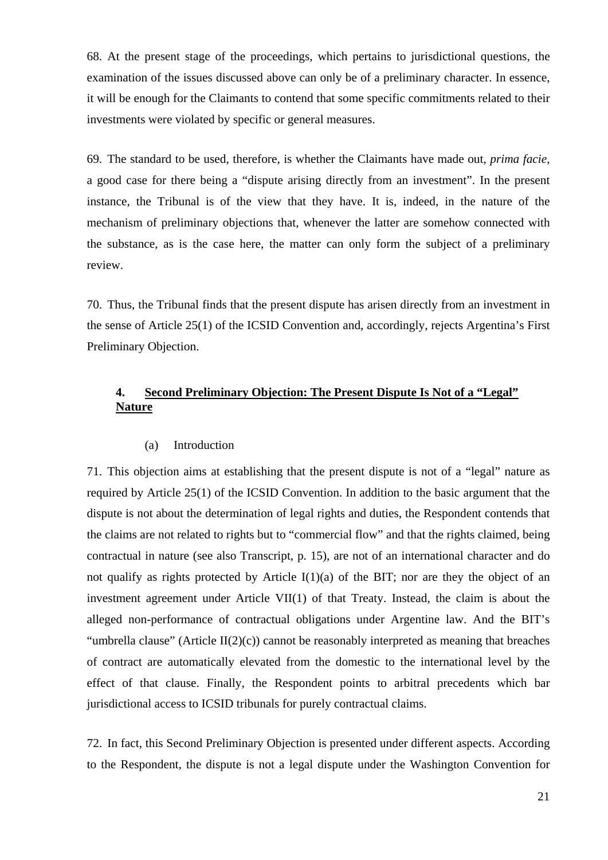<span id="page-20-0"></span>68. At the present stage of the proceedings, which pertains to jurisdictional questions, the examination of the issues discussed above can only be of a preliminary character. In essence, it will be enough for the Claimants to contend that some specific commitments related to their investments were violated by specific or general measures.

69. The standard to be used, therefore, is whether the Claimants have made out, *prima facie,* a good case for there being a "dispute arising directly from an investment". In the present instance, the Tribunal is of the view that they have. It is, indeed, in the nature of the mechanism of preliminary objections that, whenever the latter are somehow connected with the substance, as is the case here, the matter can only form the subject of a preliminary review.

70. Thus, the Tribunal finds that the present dispute has arisen directly from an investment in the sense of Article 25(1) of the ICSID Convention and, accordingly, rejects Argentina's First Preliminary Objection.

## **4. Second Preliminary Objection: The Present Dispute Is Not of a "Legal" Nature**

#### (a) Introduction

71. This objection aims at establishing that the present dispute is not of a "legal" nature as required by Article 25(1) of the ICSID Convention. In addition to the basic argument that the dispute is not about the determination of legal rights and duties, the Respondent contends that the claims are not related to rights but to "commercial flow" and that the rights claimed, being contractual in nature (see also Transcript, p. 15), are not of an international character and do not qualify as rights protected by Article  $I(1)(a)$  of the BIT; nor are they the object of an investment agreement under Article VII(1) of that Treaty. Instead, the claim is about the alleged non-performance of contractual obligations under Argentine law. And the BIT's "umbrella clause" (Article  $II(2)(c)$ ) cannot be reasonably interpreted as meaning that breaches of contract are automatically elevated from the domestic to the international level by the effect of that clause. Finally, the Respondent points to arbitral precedents which bar jurisdictional access to ICSID tribunals for purely contractual claims.

72. In fact, this Second Preliminary Objection is presented under different aspects. According to the Respondent, the dispute is not a legal dispute under the Washington Convention for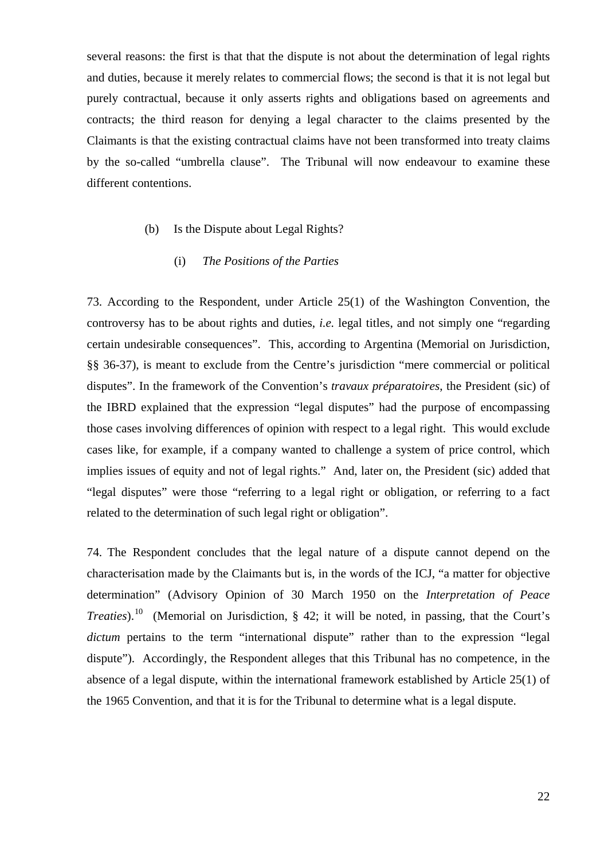<span id="page-21-0"></span>several reasons: the first is that that the dispute is not about the determination of legal rights and duties, because it merely relates to commercial flows; the second is that it is not legal but purely contractual, because it only asserts rights and obligations based on agreements and contracts; the third reason for denying a legal character to the claims presented by the Claimants is that the existing contractual claims have not been transformed into treaty claims by the so-called "umbrella clause". The Tribunal will now endeavour to examine these different contentions.

### (b) Is the Dispute about Legal Rights?

#### (i) *The Positions of the Parties*

73. According to the Respondent, under Article 25(1) of the Washington Convention, the controversy has to be about rights and duties, *i.e.* legal titles, and not simply one "regarding certain undesirable consequences". This, according to Argentina (Memorial on Jurisdiction, §§ 36-37), is meant to exclude from the Centre's jurisdiction "mere commercial or political disputes". In the framework of the Convention's *travaux préparatoires*, the President (sic) of the IBRD explained that the expression "legal disputes" had the purpose of encompassing those cases involving differences of opinion with respect to a legal right. This would exclude cases like, for example, if a company wanted to challenge a system of price control, which implies issues of equity and not of legal rights." And, later on, the President (sic) added that "legal disputes" were those "referring to a legal right or obligation, or referring to a fact related to the determination of such legal right or obligation".

<span id="page-21-1"></span>74. The Respondent concludes that the legal nature of a dispute cannot depend on the characterisation made by the Claimants but is, in the words of the ICJ, "a matter for objective determination" (Advisory Opinion of 30 March 1950 on the *Interpretation of Peace Treaties*).<sup>[10](#page-21-1)</sup> (Memorial on Jurisdiction, § 42; it will be noted, in passing, that the Court's *dictum* pertains to the term "international dispute" rather than to the expression "legal dispute"). Accordingly, the Respondent alleges that this Tribunal has no competence, in the absence of a legal dispute, within the international framework established by Article 25(1) of the 1965 Convention, and that it is for the Tribunal to determine what is a legal dispute.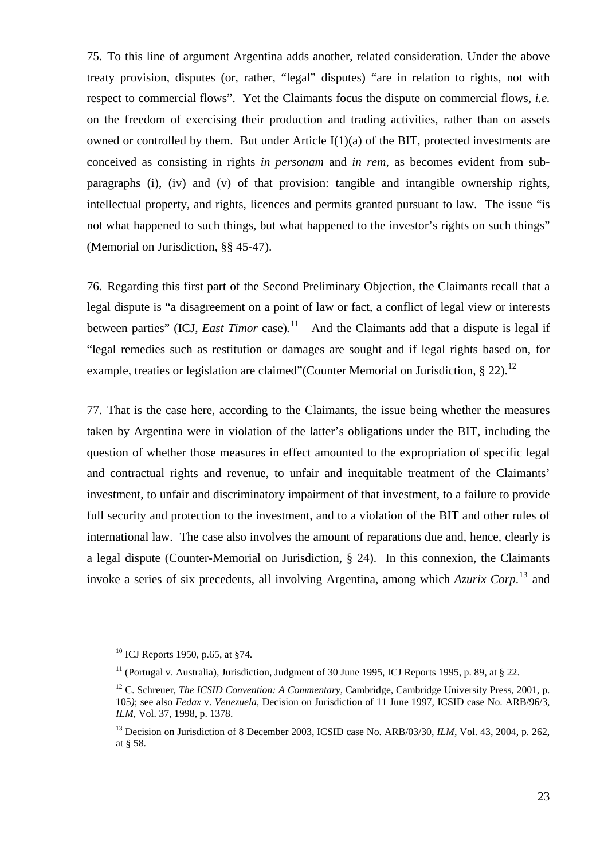<span id="page-22-0"></span>75. To this line of argument Argentina adds another, related consideration. Under the above treaty provision, disputes (or, rather, "legal" disputes) "are in relation to rights, not with respect to commercial flows". Yet the Claimants focus the dispute on commercial flows, *i.e.*  on the freedom of exercising their production and trading activities, rather than on assets owned or controlled by them. But under Article  $I(1)(a)$  of the BIT, protected investments are conceived as consisting in rights *in personam* and *in rem,* as becomes evident from subparagraphs (i), (iv) and (v) of that provision: tangible and intangible ownership rights, intellectual property, and rights, licences and permits granted pursuant to law. The issue "is not what happened to such things, but what happened to the investor's rights on such things" (Memorial on Jurisdiction, §§ 45-47).

76. Regarding this first part of the Second Preliminary Objection, the Claimants recall that a legal dispute is "a disagreement on a point of law or fact, a conflict of legal view or interests between parties" (ICJ, *East Timor* case).<sup>[11](#page-22-0)</sup> And the Claimants add that a dispute is legal if "legal remedies such as restitution or damages are sought and if legal rights based on, for example, treaties or legislation are claimed"(Counter Memorial on Jurisdiction,  $\S 22$ ).<sup>[12](#page-22-1)</sup>

77. That is the case here, according to the Claimants, the issue being whether the measures taken by Argentina were in violation of the latter's obligations under the BIT, including the question of whether those measures in effect amounted to the expropriation of specific legal and contractual rights and revenue, to unfair and inequitable treatment of the Claimants' investment, to unfair and discriminatory impairment of that investment, to a failure to provide full security and protection to the investment, and to a violation of the BIT and other rules of international law. The case also involves the amount of reparations due and, hence, clearly is a legal dispute (Counter-Memorial on Jurisdiction, § 24). In this connexion, the Claimants invoke a series of six precedents, all involving Argentina, among which *Azurix Corp*. [13](#page-22-2) and

<sup>&</sup>lt;sup>10</sup> ICJ Reports 1950, p.65, at §74.

<sup>&</sup>lt;sup>11</sup> (Portugal v. Australia), Jurisdiction, Judgment of 30 June 1995, ICJ Reports 1995, p. 89, at § 22.

<span id="page-22-1"></span><sup>&</sup>lt;sup>12</sup> C. Schreuer, *The ICSID Convention: A Commentary*, Cambridge, Cambridge University Press, 2001, p. 105*)*; see also *Fedax* v. *Venezuela*, Decision on Jurisdiction of 11 June 1997, ICSID case No. ARB/96/3, *ILM*, Vol. 37, 1998, p. 1378.

<span id="page-22-2"></span><sup>&</sup>lt;sup>13</sup> Decision on Jurisdiction of 8 December 2003, ICSID case No. ARB/03/30, *ILM*, Vol. 43, 2004, p. 262, at § 58.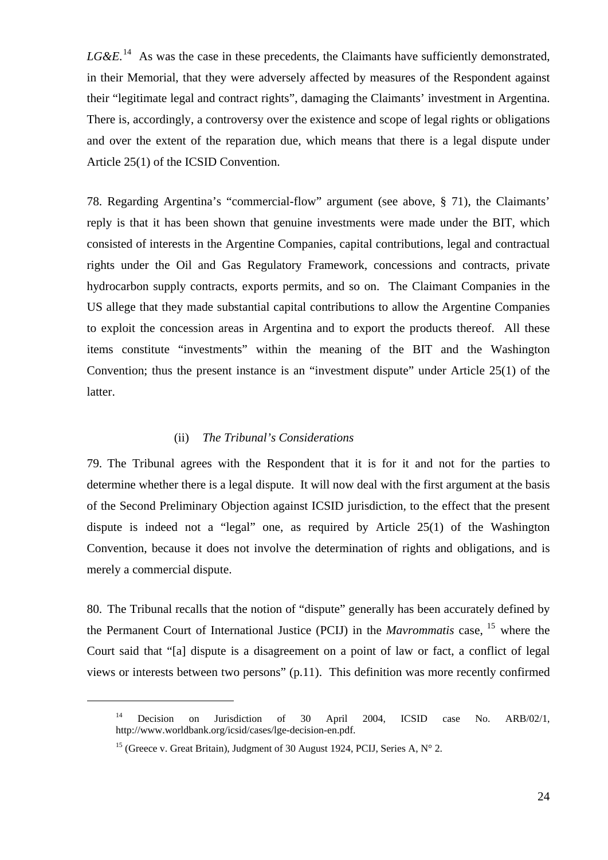<span id="page-23-0"></span> $LGAE$ <sup>[14](#page-23-1)</sup> As was the case in these precedents, the Claimants have sufficiently demonstrated, in their Memorial, that they were adversely affected by measures of the Respondent against their "legitimate legal and contract rights", damaging the Claimants' investment in Argentina. There is, accordingly, a controversy over the existence and scope of legal rights or obligations and over the extent of the reparation due, which means that there is a legal dispute under Article 25(1) of the ICSID Convention.

78. Regarding Argentina's "commercial-flow" argument (see above, § 71), the Claimants' reply is that it has been shown that genuine investments were made under the BIT, which consisted of interests in the Argentine Companies, capital contributions, legal and contractual rights under the Oil and Gas Regulatory Framework, concessions and contracts, private hydrocarbon supply contracts, exports permits, and so on. The Claimant Companies in the US allege that they made substantial capital contributions to allow the Argentine Companies to exploit the concession areas in Argentina and to export the products thereof. All these items constitute "investments" within the meaning of the BIT and the Washington Convention; thus the present instance is an "investment dispute" under Article 25(1) of the latter.

#### (ii) *The Tribunal's Considerations*

79. The Tribunal agrees with the Respondent that it is for it and not for the parties to determine whether there is a legal dispute. It will now deal with the first argument at the basis of the Second Preliminary Objection against ICSID jurisdiction, to the effect that the present dispute is indeed not a "legal" one, as required by Article 25(1) of the Washington Convention, because it does not involve the determination of rights and obligations, and is merely a commercial dispute.

80. The Tribunal recalls that the notion of "dispute" generally has been accurately defined by the Permanent Court of International Justice (PCIJ) in the *Mavrommatis* case, <sup>[15](#page-23-2)</sup> where the Court said that "[a] dispute is a disagreement on a point of law or fact, a conflict of legal views or interests between two persons" (p.11). This definition was more recently confirmed

<span id="page-23-2"></span><span id="page-23-1"></span><u>.</u>

<sup>&</sup>lt;sup>14</sup> Decision on Jurisdiction of 30 April 2004, ICSID case No. ARB/02/1, http://www.worldbank.org/icsid/cases/lge-decision-en.pdf.

<sup>&</sup>lt;sup>15</sup> (Greece v. Great Britain), Judgment of 30 August 1924, PCIJ, Series A,  $N^{\circ}$  2.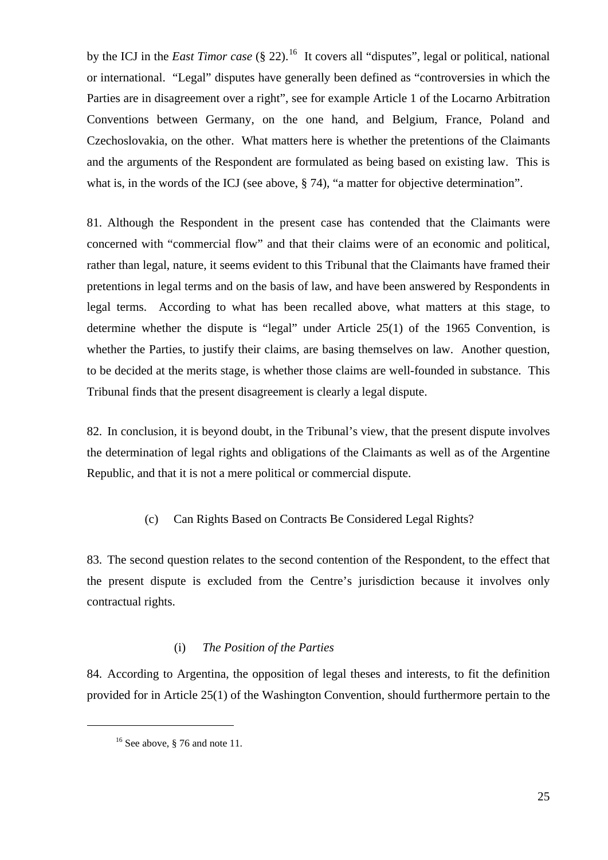<span id="page-24-0"></span>by the ICJ in the *East Timor case* (§ 22).<sup>[16](#page-24-1)</sup> It covers all "disputes", legal or political, national or international. "Legal" disputes have generally been defined as "controversies in which the Parties are in disagreement over a right", see for example Article 1 of the Locarno Arbitration Conventions between Germany, on the one hand, and Belgium, France, Poland and Czechoslovakia, on the other. What matters here is whether the pretentions of the Claimants and the arguments of the Respondent are formulated as being based on existing law. This is what is, in the words of the ICJ (see above, § 74), "a matter for objective determination".

81. Although the Respondent in the present case has contended that the Claimants were concerned with "commercial flow" and that their claims were of an economic and political, rather than legal, nature, it seems evident to this Tribunal that the Claimants have framed their pretentions in legal terms and on the basis of law, and have been answered by Respondents in legal terms. According to what has been recalled above, what matters at this stage, to determine whether the dispute is "legal" under Article 25(1) of the 1965 Convention, is whether the Parties, to justify their claims, are basing themselves on law. Another question, to be decided at the merits stage, is whether those claims are well-founded in substance. This Tribunal finds that the present disagreement is clearly a legal dispute.

82. In conclusion, it is beyond doubt, in the Tribunal's view, that the present dispute involves the determination of legal rights and obligations of the Claimants as well as of the Argentine Republic, and that it is not a mere political or commercial dispute.

(c) Can Rights Based on Contracts Be Considered Legal Rights?

83. The second question relates to the second contention of the Respondent, to the effect that the present dispute is excluded from the Centre's jurisdiction because it involves only contractual rights.

### (i) *The Position of the Parties*

<span id="page-24-1"></span>84. According to Argentina, the opposition of legal theses and interests, to fit the definition provided for in Article 25(1) of the Washington Convention, should furthermore pertain to the

<sup>&</sup>lt;sup>16</sup> See above, § 76 and note 11.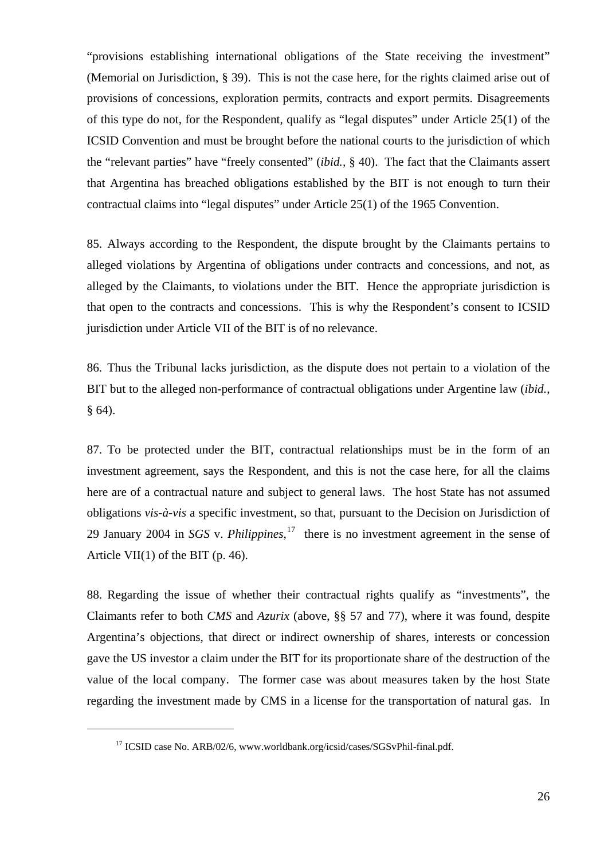"provisions establishing international obligations of the State receiving the investment" (Memorial on Jurisdiction, § 39). This is not the case here, for the rights claimed arise out of provisions of concessions, exploration permits, contracts and export permits. Disagreements of this type do not, for the Respondent, qualify as "legal disputes" under Article 25(1) of the ICSID Convention and must be brought before the national courts to the jurisdiction of which the "relevant parties" have "freely consented" (*ibid.,* § 40). The fact that the Claimants assert that Argentina has breached obligations established by the BIT is not enough to turn their contractual claims into "legal disputes" under Article 25(1) of the 1965 Convention.

85. Always according to the Respondent, the dispute brought by the Claimants pertains to alleged violations by Argentina of obligations under contracts and concessions, and not, as alleged by the Claimants, to violations under the BIT. Hence the appropriate jurisdiction is that open to the contracts and concessions. This is why the Respondent's consent to ICSID jurisdiction under Article VII of the BIT is of no relevance.

86. Thus the Tribunal lacks jurisdiction, as the dispute does not pertain to a violation of the BIT but to the alleged non-performance of contractual obligations under Argentine law (*ibid.,*  $§ 64$ ).

87. To be protected under the BIT, contractual relationships must be in the form of an investment agreement, says the Respondent, and this is not the case here, for all the claims here are of a contractual nature and subject to general laws. The host State has not assumed obligations *vis-à-vis* a specific investment, so that, pursuant to the Decision on Jurisdiction of 29 January 2004 in *SGS* v. *Philippines,*[17](#page-25-0) there is no investment agreement in the sense of Article VII(1) of the BIT (p. 46).

88. Regarding the issue of whether their contractual rights qualify as "investments", the Claimants refer to both *CMS* and *Azurix* (above, §§ 57 and 77), where it was found, despite Argentina's objections, that direct or indirect ownership of shares, interests or concession gave the US investor a claim under the BIT for its proportionate share of the destruction of the value of the local company. The former case was about measures taken by the host State regarding the investment made by CMS in a license for the transportation of natural gas. In

<span id="page-25-0"></span><sup>&</sup>lt;sup>17</sup> ICSID case No. ARB/02/6, www.worldbank.org/icsid/cases/SGSvPhil-final.pdf.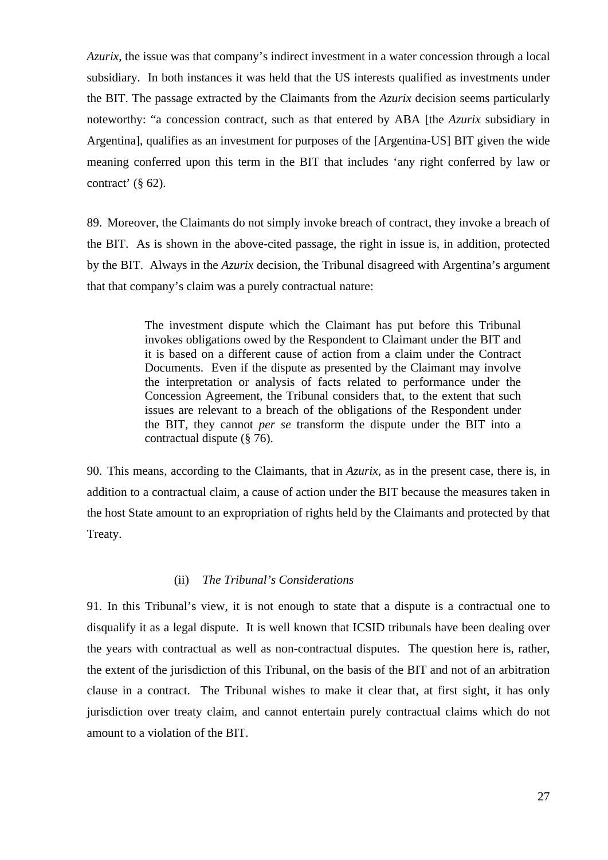<span id="page-26-0"></span>*Azurix*, the issue was that company's indirect investment in a water concession through a local subsidiary. In both instances it was held that the US interests qualified as investments under the BIT. The passage extracted by the Claimants from the *Azurix* decision seems particularly noteworthy: "a concession contract, such as that entered by ABA [the *Azurix* subsidiary in Argentina], qualifies as an investment for purposes of the [Argentina-US] BIT given the wide meaning conferred upon this term in the BIT that includes 'any right conferred by law or contract'  $(\S 62)$ .

89. Moreover, the Claimants do not simply invoke breach of contract, they invoke a breach of the BIT. As is shown in the above-cited passage, the right in issue is, in addition, protected by the BIT. Always in the *Azurix* decision, the Tribunal disagreed with Argentina's argument that that company's claim was a purely contractual nature:

> The investment dispute which the Claimant has put before this Tribunal invokes obligations owed by the Respondent to Claimant under the BIT and it is based on a different cause of action from a claim under the Contract Documents. Even if the dispute as presented by the Claimant may involve the interpretation or analysis of facts related to performance under the Concession Agreement, the Tribunal considers that, to the extent that such issues are relevant to a breach of the obligations of the Respondent under the BIT, they cannot *per se* transform the dispute under the BIT into a contractual dispute (§ 76).

90. This means, according to the Claimants, that in *Azurix*, as in the present case, there is, in addition to a contractual claim, a cause of action under the BIT because the measures taken in the host State amount to an expropriation of rights held by the Claimants and protected by that Treaty.

# (ii) *The Tribunal's Considerations*

91. In this Tribunal's view, it is not enough to state that a dispute is a contractual one to disqualify it as a legal dispute. It is well known that ICSID tribunals have been dealing over the years with contractual as well as non-contractual disputes. The question here is, rather, the extent of the jurisdiction of this Tribunal, on the basis of the BIT and not of an arbitration clause in a contract. The Tribunal wishes to make it clear that, at first sight, it has only jurisdiction over treaty claim, and cannot entertain purely contractual claims which do not amount to a violation of the BIT.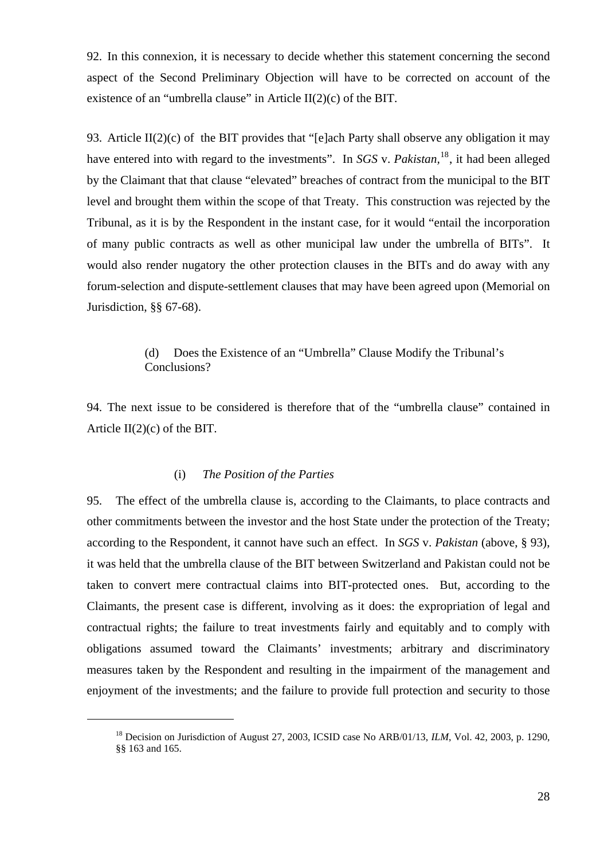<span id="page-27-0"></span>92. In this connexion, it is necessary to decide whether this statement concerning the second aspect of the Second Preliminary Objection will have to be corrected on account of the existence of an "umbrella clause" in Article II(2)(c) of the BIT.

93. Article II(2)(c) of the BIT provides that "[e]ach Party shall observe any obligation it may have entered into with regard to the investments". In *SGS* v. *Pakistan,*[18](#page-27-1), it had been alleged by the Claimant that that clause "elevated" breaches of contract from the municipal to the BIT level and brought them within the scope of that Treaty. This construction was rejected by the Tribunal, as it is by the Respondent in the instant case, for it would "entail the incorporation of many public contracts as well as other municipal law under the umbrella of BITs". It would also render nugatory the other protection clauses in the BITs and do away with any forum-selection and dispute-settlement clauses that may have been agreed upon (Memorial on Jurisdiction, §§ 67-68).

### (d) Does the Existence of an "Umbrella" Clause Modify the Tribunal's Conclusions?

94. The next issue to be considered is therefore that of the "umbrella clause" contained in Article  $II(2)(c)$  of the BIT.

### (i) *The Position of the Parties*

<span id="page-27-1"></span><u>.</u>

95. The effect of the umbrella clause is, according to the Claimants, to place contracts and other commitments between the investor and the host State under the protection of the Treaty; according to the Respondent, it cannot have such an effect. In *SGS* v. *Pakistan* (above, § 93), it was held that the umbrella clause of the BIT between Switzerland and Pakistan could not be taken to convert mere contractual claims into BIT-protected ones. But, according to the Claimants, the present case is different, involving as it does: the expropriation of legal and contractual rights; the failure to treat investments fairly and equitably and to comply with obligations assumed toward the Claimants' investments; arbitrary and discriminatory measures taken by the Respondent and resulting in the impairment of the management and enjoyment of the investments; and the failure to provide full protection and security to those

<sup>18</sup> Decision on Jurisdiction of August 27, 2003, ICSID case No ARB/01/13, *ILM*, Vol. 42, 2003, p. 1290, §§ 163 and 165.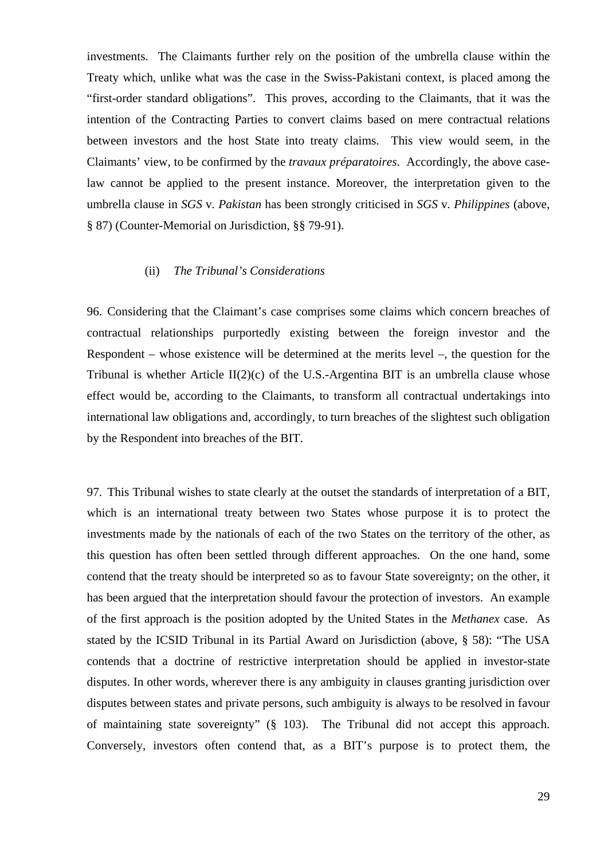<span id="page-28-0"></span>investments. The Claimants further rely on the position of the umbrella clause within the Treaty which, unlike what was the case in the Swiss-Pakistani context, is placed among the "first-order standard obligations". This proves, according to the Claimants, that it was the intention of the Contracting Parties to convert claims based on mere contractual relations between investors and the host State into treaty claims. This view would seem, in the Claimants' view, to be confirmed by the *travaux préparatoires*. Accordingly, the above caselaw cannot be applied to the present instance. Moreover, the interpretation given to the umbrella clause in *SGS* v*. Pakistan* has been strongly criticised in *SGS* v*. Philippines* (above, § 87) (Counter-Memorial on Jurisdiction, §§ 79-91).

#### (ii) *The Tribunal's Considerations*

96. Considering that the Claimant's case comprises some claims which concern breaches of contractual relationships purportedly existing between the foreign investor and the Respondent – whose existence will be determined at the merits level –, the question for the Tribunal is whether Article  $II(2)(c)$  of the U.S.-Argentina BIT is an umbrella clause whose effect would be, according to the Claimants, to transform all contractual undertakings into international law obligations and, accordingly, to turn breaches of the slightest such obligation by the Respondent into breaches of the BIT.

97. This Tribunal wishes to state clearly at the outset the standards of interpretation of a BIT, which is an international treaty between two States whose purpose it is to protect the investments made by the nationals of each of the two States on the territory of the other, as this question has often been settled through different approaches. On the one hand, some contend that the treaty should be interpreted so as to favour State sovereignty; on the other, it has been argued that the interpretation should favour the protection of investors. An example of the first approach is the position adopted by the United States in the *Methanex* case. As stated by the ICSID Tribunal in its Partial Award on Jurisdiction (above, § 58): "The USA contends that a doctrine of restrictive interpretation should be applied in investor-state disputes. In other words, wherever there is any ambiguity in clauses granting jurisdiction over disputes between states and private persons, such ambiguity is always to be resolved in favour of maintaining state sovereignty" (§ 103). The Tribunal did not accept this approach. Conversely, investors often contend that, as a BIT's purpose is to protect them, the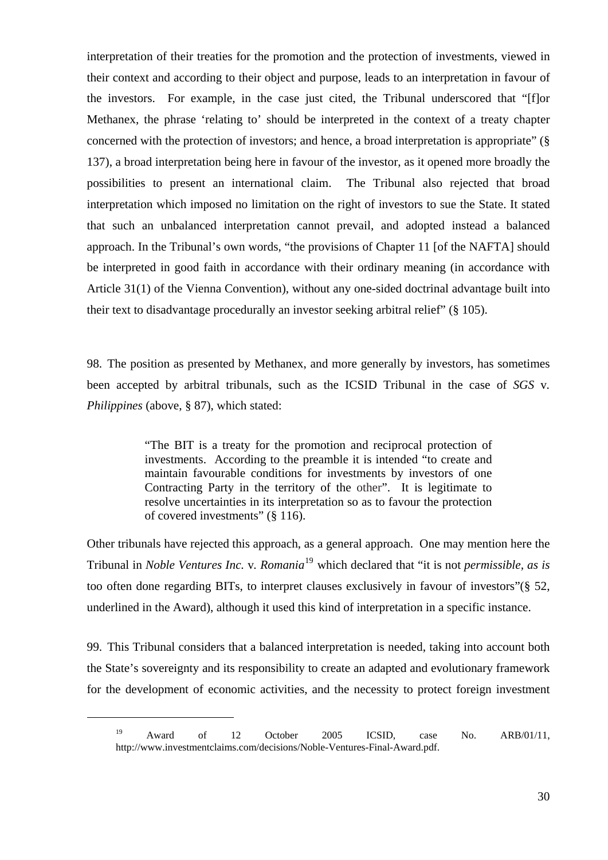interpretation of their treaties for the promotion and the protection of investments, viewed in their context and according to their object and purpose, leads to an interpretation in favour of the investors. For example, in the case just cited, the Tribunal underscored that "[f]or Methanex, the phrase 'relating to' should be interpreted in the context of a treaty chapter concerned with the protection of investors; and hence, a broad interpretation is appropriate" (§ 137), a broad interpretation being here in favour of the investor, as it opened more broadly the possibilities to present an international claim. The Tribunal also rejected that broad interpretation which imposed no limitation on the right of investors to sue the State. It stated that such an unbalanced interpretation cannot prevail, and adopted instead a balanced approach. In the Tribunal's own words, "the provisions of Chapter 11 [of the NAFTA] should be interpreted in good faith in accordance with their ordinary meaning (in accordance with Article 31(1) of the Vienna Convention), without any one-sided doctrinal advantage built into their text to disadvantage procedurally an investor seeking arbitral relief" (§ 105).

98. The position as presented by Methanex, and more generally by investors, has sometimes been accepted by arbitral tribunals, such as the ICSID Tribunal in the case of *SGS* v*. Philippines* (above, § 87), which stated:

> "The BIT is a treaty for the promotion and reciprocal protection of investments. According to the preamble it is intended "to create and maintain favourable conditions for investments by investors of one Contracting Party in the territory of the other". It is legitimate to resolve uncertainties in its interpretation so as to favour the protection of covered investments" (§ 116).

Other tribunals have rejected this approach, as a general approach. One may mention here the Tribunal in *Noble Ventures Inc.* v*. Romania*[19](#page-29-0) which declared that "it is not *permissible, as is*  too often done regarding BITs, to interpret clauses exclusively in favour of investors"(§ 52, underlined in the Award), although it used this kind of interpretation in a specific instance.

99. This Tribunal considers that a balanced interpretation is needed, taking into account both the State's sovereignty and its responsibility to create an adapted and evolutionary framework for the development of economic activities, and the necessity to protect foreign investment

<span id="page-29-0"></span><u>.</u>

<sup>&</sup>lt;sup>19</sup> Award of 12 October 2005 ICSID, case No.  $ARB/01/11$ , http://www.investmentclaims.com/decisions/Noble-Ventures-Final-Award.pdf.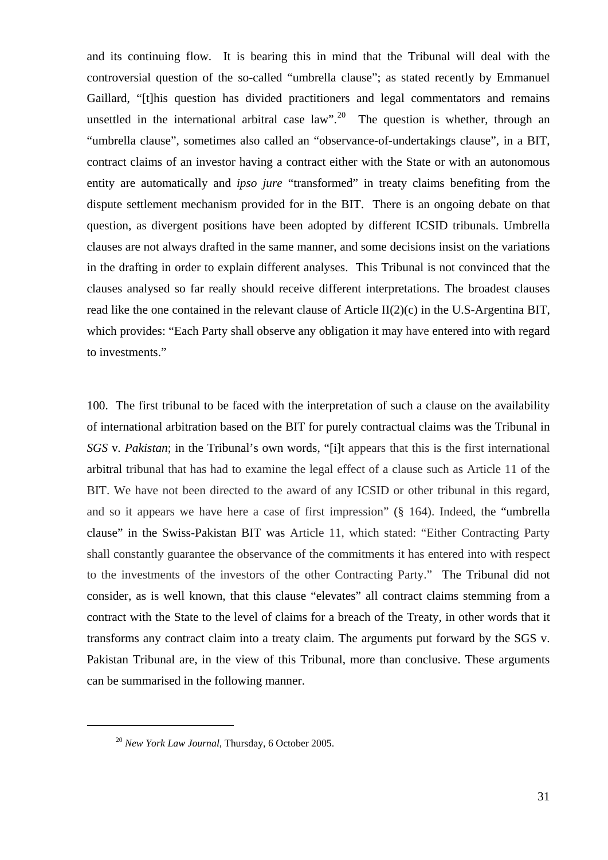and its continuing flow. It is bearing this in mind that the Tribunal will deal with the controversial question of the so-called "umbrella clause"; as stated recently by Emmanuel Gaillard, "[t]his question has divided practitioners and legal commentators and remains unsettled in the international arbitral case law".<sup>[20](#page-30-0)</sup> The question is whether, through an "umbrella clause", sometimes also called an "observance-of-undertakings clause", in a BIT, contract claims of an investor having a contract either with the State or with an autonomous entity are automatically and *ipso jure* "transformed" in treaty claims benefiting from the dispute settlement mechanism provided for in the BIT. There is an ongoing debate on that question, as divergent positions have been adopted by different ICSID tribunals. Umbrella clauses are not always drafted in the same manner, and some decisions insist on the variations in the drafting in order to explain different analyses. This Tribunal is not convinced that the clauses analysed so far really should receive different interpretations. The broadest clauses read like the one contained in the relevant clause of Article II(2)(c) in the U.S-Argentina BIT, which provides: "Each Party shall observe any obligation it may have entered into with regard to investments."

100. The first tribunal to be faced with the interpretation of such a clause on the availability of international arbitration based on the BIT for purely contractual claims was the Tribunal in *SGS* v*. Pakistan*; in the Tribunal's own words, "[i]t appears that this is the first international arbitral tribunal that has had to examine the legal effect of a clause such as Article 11 of the BIT. We have not been directed to the award of any ICSID or other tribunal in this regard, and so it appears we have here a case of first impression" (§ 164). Indeed, the "umbrella clause" in the Swiss-Pakistan BIT was Article 11, which stated: "Either Contracting Party shall constantly guarantee the observance of the commitments it has entered into with respect to the investments of the investors of the other Contracting Party." The Tribunal did not consider, as is well known, that this clause "elevates" all contract claims stemming from a contract with the State to the level of claims for a breach of the Treaty, in other words that it transforms any contract claim into a treaty claim. The arguments put forward by the SGS v. Pakistan Tribunal are, in the view of this Tribunal, more than conclusive. These arguments can be summarised in the following manner.

<span id="page-30-0"></span><sup>20</sup> *New York Law Journal*, Thursday, 6 October 2005.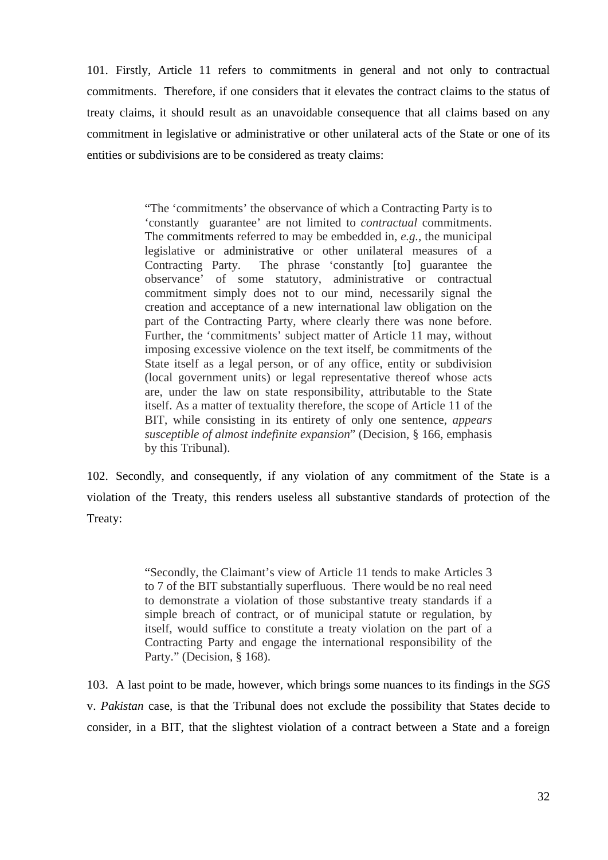101. Firstly, Article 11 refers to commitments in general and not only to contractual commitments. Therefore, if one considers that it elevates the contract claims to the status of treaty claims, it should result as an unavoidable consequence that all claims based on any commitment in legislative or administrative or other unilateral acts of the State or one of its entities or subdivisions are to be considered as treaty claims:

> "The 'commitments' the observance of which a Contracting Party is to 'constantly guarantee' are not limited to *contractual* commitments. The commitments referred to may be embedded in, *e.g.,* the municipal legislative or administrative or other unilateral measures of a Contracting Party. The phrase 'constantly [to] guarantee the observance' of some statutory, administrative or contractual commitment simply does not to our mind, necessarily signal the creation and acceptance of a new international law obligation on the part of the Contracting Party, where clearly there was none before. Further, the 'commitments' subject matter of Article 11 may, without imposing excessive violence on the text itself, be commitments of the State itself as a legal person, or of any office, entity or subdivision (local government units) or legal representative thereof whose acts are, under the law on state responsibility, attributable to the State itself. As a matter of textuality therefore, the scope of Article 11 of the BIT, while consisting in its entirety of only one sentence, *appears susceptible of almost indefinite expansion*" (Decision, § 166, emphasis by this Tribunal).

102. Secondly, and consequently, if any violation of any commitment of the State is a violation of the Treaty, this renders useless all substantive standards of protection of the Treaty:

> "Secondly, the Claimant's view of Article 11 tends to make Articles 3 to 7 of the BIT substantially superfluous. There would be no real need to demonstrate a violation of those substantive treaty standards if a simple breach of contract, or of municipal statute or regulation, by itself, would suffice to constitute a treaty violation on the part of a Contracting Party and engage the international responsibility of the Party." (Decision, § 168).

103. A last point to be made, however, which brings some nuances to its findings in the *SGS*  v. *Pakistan* case, is that the Tribunal does not exclude the possibility that States decide to consider, in a BIT, that the slightest violation of a contract between a State and a foreign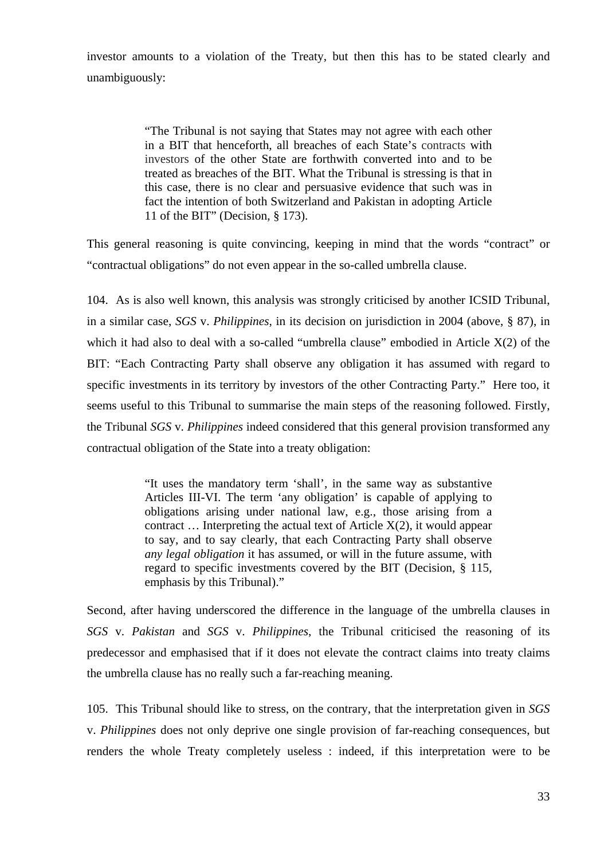investor amounts to a violation of the Treaty, but then this has to be stated clearly and unambiguously:

> "The Tribunal is not saying that States may not agree with each other in a BIT that henceforth, all breaches of each State's contracts with investors of the other State are forthwith converted into and to be treated as breaches of the BIT. What the Tribunal is stressing is that in this case, there is no clear and persuasive evidence that such was in fact the intention of both Switzerland and Pakistan in adopting Article 11 of the BIT" (Decision, § 173).

This general reasoning is quite convincing, keeping in mind that the words "contract" or "contractual obligations" do not even appear in the so-called umbrella clause.

104. As is also well known, this analysis was strongly criticised by another ICSID Tribunal, in a similar case, *SGS* v. *Philippines*, in its decision on jurisdiction in 2004 (above, § 87), in which it had also to deal with a so-called "umbrella clause" embodied in Article  $X(2)$  of the BIT: "Each Contracting Party shall observe any obligation it has assumed with regard to specific investments in its territory by investors of the other Contracting Party." Here too, it seems useful to this Tribunal to summarise the main steps of the reasoning followed. Firstly, the Tribunal *SGS* v. *Philippines* indeed considered that this general provision transformed any contractual obligation of the State into a treaty obligation:

> "It uses the mandatory term 'shall', in the same way as substantive Articles III-VI. The term 'any obligation' is capable of applying to obligations arising under national law, e.g., those arising from a contract  $\ldots$  Interpreting the actual text of Article  $X(2)$ , it would appear to say, and to say clearly, that each Contracting Party shall observe *any legal obligation* it has assumed, or will in the future assume, with regard to specific investments covered by the BIT (Decision, § 115, emphasis by this Tribunal)."

Second, after having underscored the difference in the language of the umbrella clauses in *SGS* v. *Pakistan* and *SGS* v. *Philippines*, the Tribunal criticised the reasoning of its predecessor and emphasised that if it does not elevate the contract claims into treaty claims the umbrella clause has no really such a far-reaching meaning.

105. This Tribunal should like to stress, on the contrary, that the interpretation given in *SGS*  v. *Philippines* does not only deprive one single provision of far-reaching consequences, but renders the whole Treaty completely useless : indeed, if this interpretation were to be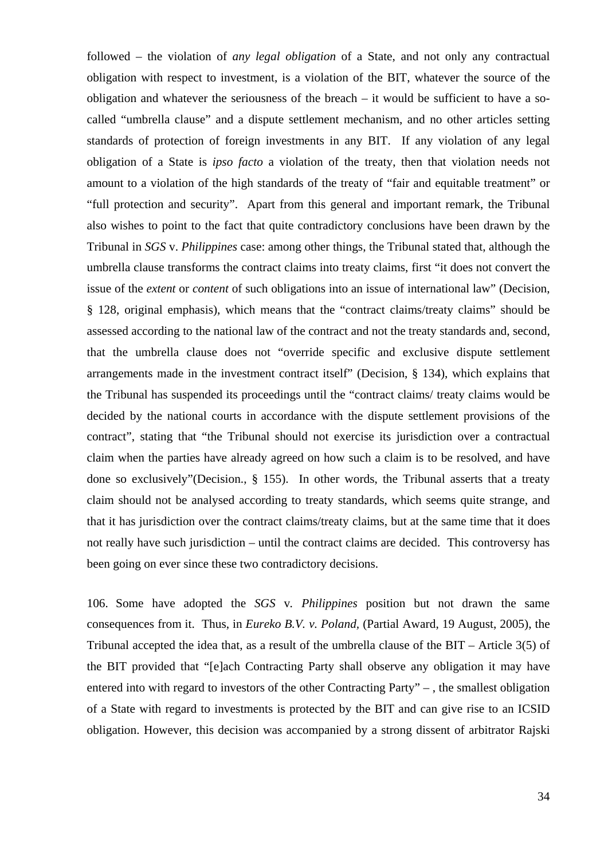followed – the violation of *any legal obligation* of a State, and not only any contractual obligation with respect to investment, is a violation of the BIT, whatever the source of the obligation and whatever the seriousness of the breach  $-$  it would be sufficient to have a socalled "umbrella clause" and a dispute settlement mechanism, and no other articles setting standards of protection of foreign investments in any BIT. If any violation of any legal obligation of a State is *ipso facto* a violation of the treaty, then that violation needs not amount to a violation of the high standards of the treaty of "fair and equitable treatment" or "full protection and security". Apart from this general and important remark, the Tribunal also wishes to point to the fact that quite contradictory conclusions have been drawn by the Tribunal in *SGS* v. *Philippines* case: among other things, the Tribunal stated that, although the umbrella clause transforms the contract claims into treaty claims, first "it does not convert the issue of the *extent* or *content* of such obligations into an issue of international law" (Decision, § 128, original emphasis), which means that the "contract claims/treaty claims" should be assessed according to the national law of the contract and not the treaty standards and, second, that the umbrella clause does not "override specific and exclusive dispute settlement arrangements made in the investment contract itself" (Decision, § 134), which explains that the Tribunal has suspended its proceedings until the "contract claims/ treaty claims would be decided by the national courts in accordance with the dispute settlement provisions of the contract", stating that "the Tribunal should not exercise its jurisdiction over a contractual claim when the parties have already agreed on how such a claim is to be resolved, and have done so exclusively"(Decision., § 155). In other words, the Tribunal asserts that a treaty claim should not be analysed according to treaty standards, which seems quite strange, and that it has jurisdiction over the contract claims/treaty claims, but at the same time that it does not really have such jurisdiction – until the contract claims are decided. This controversy has been going on ever since these two contradictory decisions.

106. Some have adopted the *SGS* v*. Philippines* position but not drawn the same consequences from it. Thus, in *Eureko B.V. v. Poland,* (Partial Award, 19 August, 2005), the Tribunal accepted the idea that, as a result of the umbrella clause of the BIT – Article 3(5) of the BIT provided that "[e]ach Contracting Party shall observe any obligation it may have entered into with regard to investors of the other Contracting Party" – , the smallest obligation of a State with regard to investments is protected by the BIT and can give rise to an ICSID obligation. However, this decision was accompanied by a strong dissent of arbitrator Rajski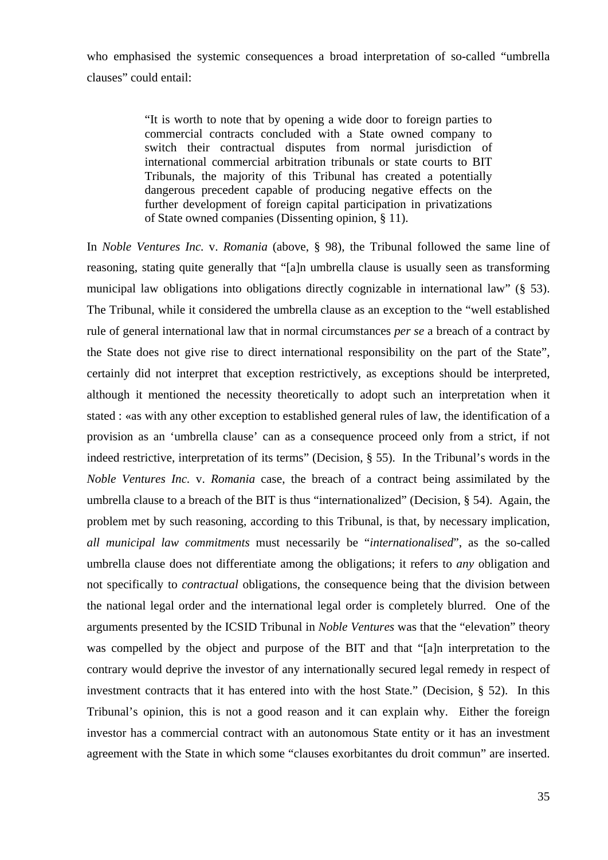who emphasised the systemic consequences a broad interpretation of so-called "umbrella clauses" could entail:

> "It is worth to note that by opening a wide door to foreign parties to commercial contracts concluded with a State owned company to switch their contractual disputes from normal jurisdiction of international commercial arbitration tribunals or state courts to BIT Tribunals, the majority of this Tribunal has created a potentially dangerous precedent capable of producing negative effects on the further development of foreign capital participation in privatizations of State owned companies (Dissenting opinion, § 11).

In *Noble Ventures Inc.* v. *Romania* (above, § 98), the Tribunal followed the same line of reasoning, stating quite generally that "[a]n umbrella clause is usually seen as transforming municipal law obligations into obligations directly cognizable in international law" (§ 53). The Tribunal, while it considered the umbrella clause as an exception to the "well established rule of general international law that in normal circumstances *per se* a breach of a contract by the State does not give rise to direct international responsibility on the part of the State", certainly did not interpret that exception restrictively, as exceptions should be interpreted, although it mentioned the necessity theoretically to adopt such an interpretation when it stated : «as with any other exception to established general rules of law, the identification of a provision as an 'umbrella clause' can as a consequence proceed only from a strict, if not indeed restrictive, interpretation of its terms" (Decision, § 55). In the Tribunal's words in the *Noble Ventures Inc.* v. *Romania* case, the breach of a contract being assimilated by the umbrella clause to a breach of the BIT is thus "internationalized" (Decision, § 54). Again, the problem met by such reasoning, according to this Tribunal, is that, by necessary implication, *all municipal law commitments* must necessarily be "*internationalised*", as the so-called umbrella clause does not differentiate among the obligations; it refers to *any* obligation and not specifically to *contractual* obligations, the consequence being that the division between the national legal order and the international legal order is completely blurred. One of the arguments presented by the ICSID Tribunal in *Noble Ventures* was that the "elevation" theory was compelled by the object and purpose of the BIT and that "[a]n interpretation to the contrary would deprive the investor of any internationally secured legal remedy in respect of investment contracts that it has entered into with the host State." (Decision, § 52). In this Tribunal's opinion, this is not a good reason and it can explain why. Either the foreign investor has a commercial contract with an autonomous State entity or it has an investment agreement with the State in which some "clauses exorbitantes du droit commun" are inserted.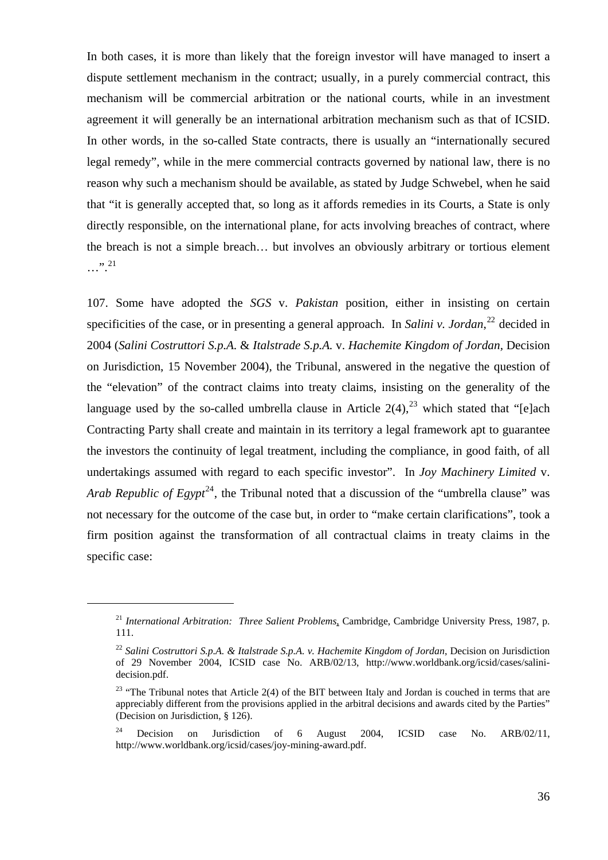In both cases, it is more than likely that the foreign investor will have managed to insert a dispute settlement mechanism in the contract; usually, in a purely commercial contract, this mechanism will be commercial arbitration or the national courts, while in an investment agreement it will generally be an international arbitration mechanism such as that of ICSID. In other words, in the so-called State contracts, there is usually an "internationally secured legal remedy", while in the mere commercial contracts governed by national law, there is no reason why such a mechanism should be available, as stated by Judge Schwebel, when he said that "it is generally accepted that, so long as it affords remedies in its Courts, a State is only directly responsible, on the international plane, for acts involving breaches of contract, where the breach is not a simple breach… but involves an obviously arbitrary or tortious element  $\ldots$  . [21](#page-35-0)

107. Some have adopted the *SGS* v. *Pakistan* position, either in insisting on certain specificities of the case, or in presenting a general approach. In *Salini v. Jordan*,<sup>[22](#page-35-1)</sup> decided in 2004 (*Salini Costruttori S.p.A.* & *Italstrade S.p.A.* v. *Hachemite Kingdom of Jordan,* Decision on Jurisdiction, 15 November 2004), the Tribunal, answered in the negative the question of the "elevation" of the contract claims into treaty claims, insisting on the generality of the language used by the so-called umbrella clause in Article  $2(4)$ ,  $^{23}$  $^{23}$  $^{23}$  which stated that "[e]ach Contracting Party shall create and maintain in its territory a legal framework apt to guarantee the investors the continuity of legal treatment, including the compliance, in good faith, of all undertakings assumed with regard to each specific investor". In *Joy Machinery Limited* v. *Arab Republic of Egypt*<sup>[24](#page-35-3)</sup>, the Tribunal noted that a discussion of the "umbrella clause" was not necessary for the outcome of the case but, in order to "make certain clarifications", took a firm position against the transformation of all contractual claims in treaty claims in the specific case:

<span id="page-35-0"></span><sup>21</sup> *International Arbitration: Three Salient Problems*, Cambridge, Cambridge University Press, 1987, p. 111.

<span id="page-35-1"></span><sup>22</sup> *Salini Costruttori S.p.A. & Italstrade S.p.A. v. Hachemite Kingdom of Jordan*, Decision on Jurisdiction of 29 November 2004, ICSID case No. ARB/02/13, http://www.worldbank.org/icsid/cases/salinidecision.pdf.

<span id="page-35-2"></span> $23$  "The Tribunal notes that Article 2(4) of the BIT between Italy and Jordan is couched in terms that are appreciably different from the provisions applied in the arbitral decisions and awards cited by the Parties" (Decision on Jurisdiction, § 126).

<span id="page-35-3"></span><sup>&</sup>lt;sup>24</sup> Decision on Jurisdiction of 6 August 2004, ICSID case No.  $ARB/02/11$ , http://www.worldbank.org/icsid/cases/joy-mining-award.pdf.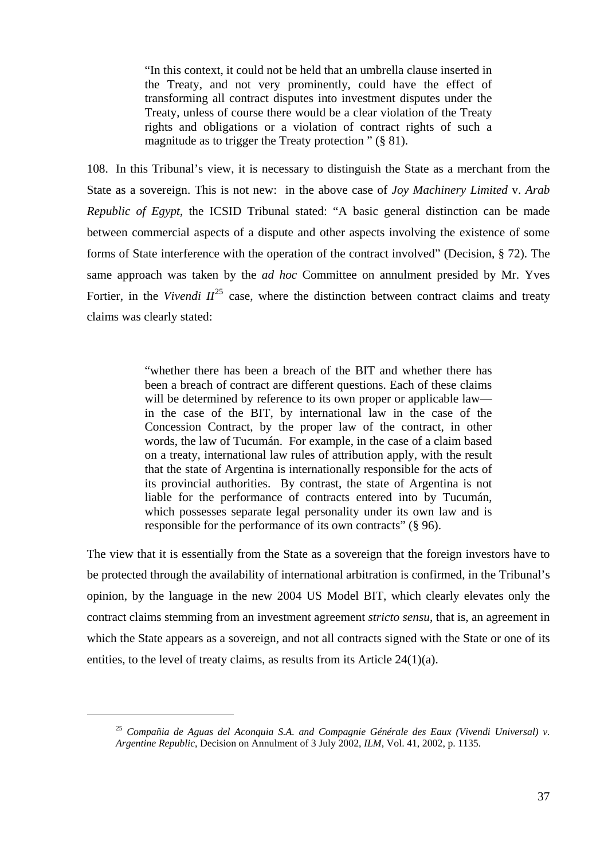"In this context, it could not be held that an umbrella clause inserted in the Treaty, and not very prominently, could have the effect of transforming all contract disputes into investment disputes under the Treaty, unless of course there would be a clear violation of the Treaty rights and obligations or a violation of contract rights of such a magnitude as to trigger the Treaty protection " (§ 81).

108. In this Tribunal's view, it is necessary to distinguish the State as a merchant from the State as a sovereign. This is not new: in the above case of *Joy Machinery Limited* v. *Arab Republic of Egypt*, the ICSID Tribunal stated: "A basic general distinction can be made between commercial aspects of a dispute and other aspects involving the existence of some forms of State interference with the operation of the contract involved" (Decision, § 72). The same approach was taken by the *ad hoc* Committee on annulment presided by Mr. Yves Fortier, in the *Vivendi II*<sup>[25](#page-36-0)</sup> case, where the distinction between contract claims and treaty claims was clearly stated:

> "whether there has been a breach of the BIT and whether there has been a breach of contract are different questions. Each of these claims will be determined by reference to its own proper or applicable law in the case of the BIT, by international law in the case of the Concession Contract, by the proper law of the contract, in other words, the law of Tucumán. For example, in the case of a claim based on a treaty, international law rules of attribution apply, with the result that the state of Argentina is internationally responsible for the acts of its provincial authorities. By contrast, the state of Argentina is not liable for the performance of contracts entered into by Tucumán, which possesses separate legal personality under its own law and is responsible for the performance of its own contracts" (§ 96).

The view that it is essentially from the State as a sovereign that the foreign investors have to be protected through the availability of international arbitration is confirmed, in the Tribunal's opinion, by the language in the new 2004 US Model BIT, which clearly elevates only the contract claims stemming from an investment agreement *stricto sensu*, that is, an agreement in which the State appears as a sovereign, and not all contracts signed with the State or one of its entities, to the level of treaty claims, as results from its Article 24(1)(a).

<span id="page-36-0"></span><u>.</u>

<sup>25</sup> *Compañia de Aguas del Aconquia S.A. and Compagnie Générale des Eaux (Vivendi Universal) v. Argentine Republic*, Decision on Annulment of 3 July 2002, *ILM*, Vol. 41, 2002, p. 1135.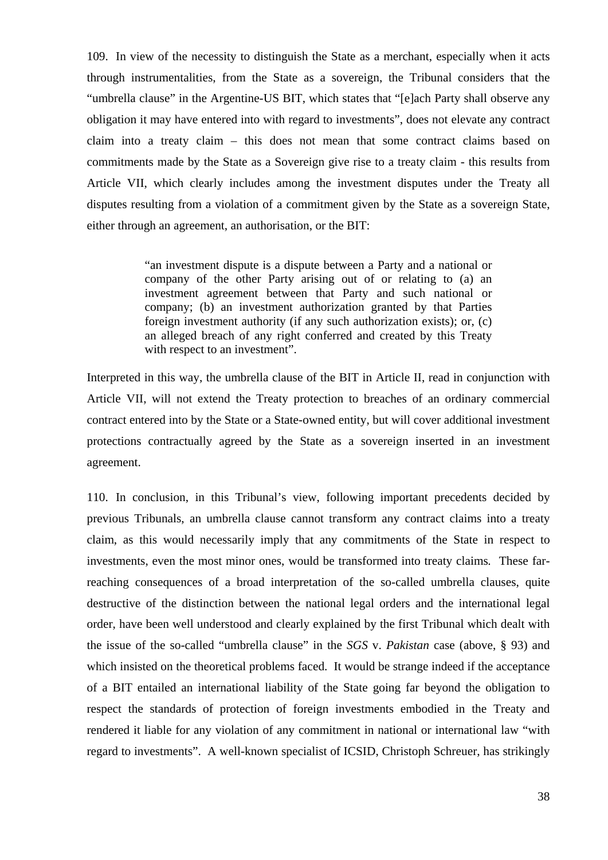109. In view of the necessity to distinguish the State as a merchant, especially when it acts through instrumentalities, from the State as a sovereign, the Tribunal considers that the "umbrella clause" in the Argentine-US BIT, which states that "[e]ach Party shall observe any obligation it may have entered into with regard to investments", does not elevate any contract claim into a treaty claim – this does not mean that some contract claims based on commitments made by the State as a Sovereign give rise to a treaty claim - this results from Article VII, which clearly includes among the investment disputes under the Treaty all disputes resulting from a violation of a commitment given by the State as a sovereign State, either through an agreement, an authorisation, or the BIT:

> "an investment dispute is a dispute between a Party and a national or company of the other Party arising out of or relating to (a) an investment agreement between that Party and such national or company; (b) an investment authorization granted by that Parties foreign investment authority (if any such authorization exists); or, (c) an alleged breach of any right conferred and created by this Treaty with respect to an investment".

Interpreted in this way, the umbrella clause of the BIT in Article II, read in conjunction with Article VII, will not extend the Treaty protection to breaches of an ordinary commercial contract entered into by the State or a State-owned entity, but will cover additional investment protections contractually agreed by the State as a sovereign inserted in an investment agreement.

110. In conclusion, in this Tribunal's view, following important precedents decided by previous Tribunals, an umbrella clause cannot transform any contract claims into a treaty claim, as this would necessarily imply that any commitments of the State in respect to investments, even the most minor ones, would be transformed into treaty claims*.* These farreaching consequences of a broad interpretation of the so-called umbrella clauses, quite destructive of the distinction between the national legal orders and the international legal order, have been well understood and clearly explained by the first Tribunal which dealt with the issue of the so-called "umbrella clause" in the *SGS* v. *Pakistan* case (above, § 93) and which insisted on the theoretical problems faced. It would be strange indeed if the acceptance of a BIT entailed an international liability of the State going far beyond the obligation to respect the standards of protection of foreign investments embodied in the Treaty and rendered it liable for any violation of any commitment in national or international law "with regard to investments". A well-known specialist of ICSID, Christoph Schreuer, has strikingly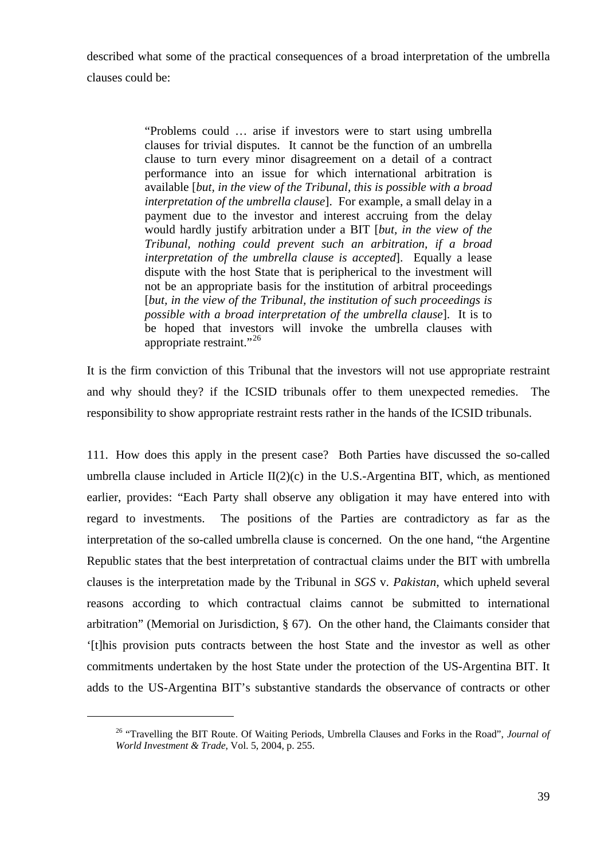described what some of the practical consequences of a broad interpretation of the umbrella clauses could be:

> "Problems could … arise if investors were to start using umbrella clauses for trivial disputes. It cannot be the function of an umbrella clause to turn every minor disagreement on a detail of a contract performance into an issue for which international arbitration is available [*but, in the view of the Tribunal, this is possible with a broad interpretation of the umbrella clause*]. For example, a small delay in a payment due to the investor and interest accruing from the delay would hardly justify arbitration under a BIT [*but, in the view of the Tribunal, nothing could prevent such an arbitration, if a broad interpretation of the umbrella clause is accepted*]. Equally a lease dispute with the host State that is peripherical to the investment will not be an appropriate basis for the institution of arbitral proceedings [*but, in the view of the Tribunal, the institution of such proceedings is possible with a broad interpretation of the umbrella clause*]. It is to be hoped that investors will invoke the umbrella clauses with appropriate restraint."[26](#page-38-0)

It is the firm conviction of this Tribunal that the investors will not use appropriate restraint and why should they? if the ICSID tribunals offer to them unexpected remedies. The responsibility to show appropriate restraint rests rather in the hands of the ICSID tribunals.

111. How does this apply in the present case? Both Parties have discussed the so-called umbrella clause included in Article  $II(2)(c)$  in the U.S.-Argentina BIT, which, as mentioned earlier, provides: "Each Party shall observe any obligation it may have entered into with regard to investments. The positions of the Parties are contradictory as far as the interpretation of the so-called umbrella clause is concerned. On the one hand, "the Argentine Republic states that the best interpretation of contractual claims under the BIT with umbrella clauses is the interpretation made by the Tribunal in *SGS* v. *Pakistan*, which upheld several reasons according to which contractual claims cannot be submitted to international arbitration" (Memorial on Jurisdiction, § 67). On the other hand, the Claimants consider that '[t]his provision puts contracts between the host State and the investor as well as other commitments undertaken by the host State under the protection of the US-Argentina BIT. It adds to the US-Argentina BIT's substantive standards the observance of contracts or other

<span id="page-38-0"></span><u>.</u>

<sup>26 &</sup>quot;Travelling the BIT Route. Of Waiting Periods, Umbrella Clauses and Forks in the Road", *Journal of World Investment & Trade*, Vol. 5, 2004, p. 255.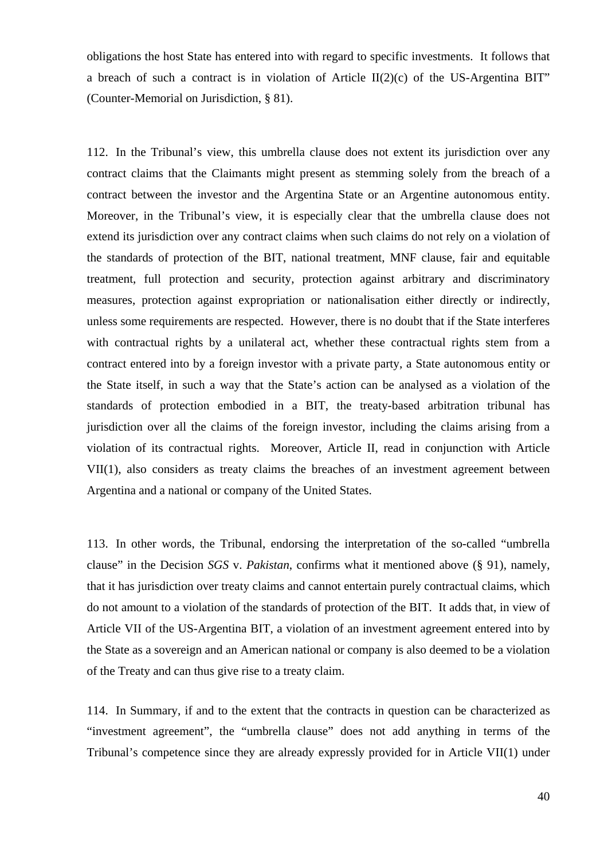obligations the host State has entered into with regard to specific investments. It follows that a breach of such a contract is in violation of Article  $II(2)(c)$  of the US-Argentina BIT" (Counter-Memorial on Jurisdiction, § 81).

112. In the Tribunal's view, this umbrella clause does not extent its jurisdiction over any contract claims that the Claimants might present as stemming solely from the breach of a contract between the investor and the Argentina State or an Argentine autonomous entity. Moreover, in the Tribunal's view, it is especially clear that the umbrella clause does not extend its jurisdiction over any contract claims when such claims do not rely on a violation of the standards of protection of the BIT, national treatment, MNF clause, fair and equitable treatment, full protection and security, protection against arbitrary and discriminatory measures, protection against expropriation or nationalisation either directly or indirectly, unless some requirements are respected. However, there is no doubt that if the State interferes with contractual rights by a unilateral act, whether these contractual rights stem from a contract entered into by a foreign investor with a private party, a State autonomous entity or the State itself, in such a way that the State's action can be analysed as a violation of the standards of protection embodied in a BIT, the treaty-based arbitration tribunal has jurisdiction over all the claims of the foreign investor, including the claims arising from a violation of its contractual rights. Moreover, Article II, read in conjunction with Article VII(1), also considers as treaty claims the breaches of an investment agreement between Argentina and a national or company of the United States.

113. In other words, the Tribunal, endorsing the interpretation of the so-called "umbrella clause" in the Decision *SGS* v. *Pakistan*, confirms what it mentioned above (§ 91), namely, that it has jurisdiction over treaty claims and cannot entertain purely contractual claims, which do not amount to a violation of the standards of protection of the BIT. It adds that, in view of Article VII of the US-Argentina BIT, a violation of an investment agreement entered into by the State as a sovereign and an American national or company is also deemed to be a violation of the Treaty and can thus give rise to a treaty claim.

114. In Summary, if and to the extent that the contracts in question can be characterized as "investment agreement", the "umbrella clause" does not add anything in terms of the Tribunal's competence since they are already expressly provided for in Article VII(1) under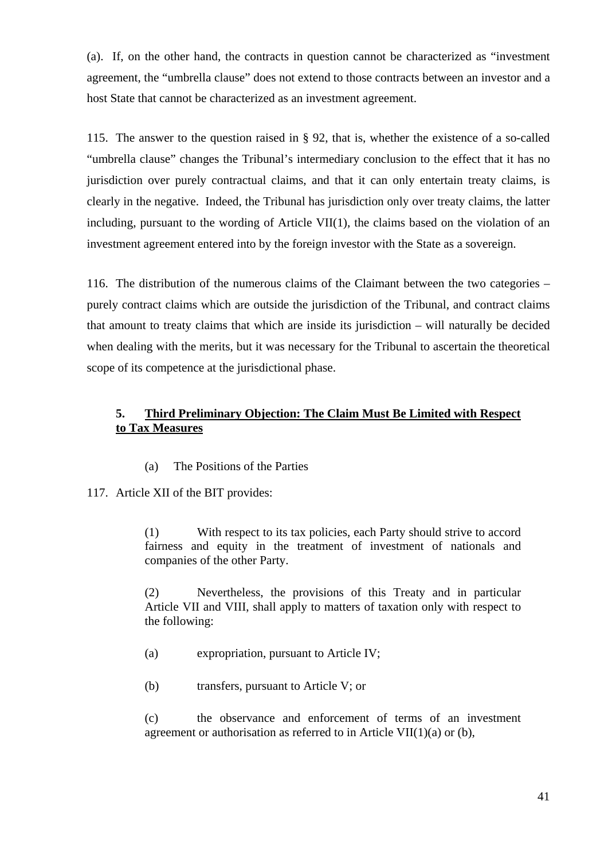(a). If, on the other hand, the contracts in question cannot be characterized as "investment agreement, the "umbrella clause" does not extend to those contracts between an investor and a host State that cannot be characterized as an investment agreement.

115. The answer to the question raised in § 92, that is, whether the existence of a so-called "umbrella clause" changes the Tribunal's intermediary conclusion to the effect that it has no jurisdiction over purely contractual claims, and that it can only entertain treaty claims, is clearly in the negative. Indeed, the Tribunal has jurisdiction only over treaty claims, the latter including, pursuant to the wording of Article VII(1), the claims based on the violation of an investment agreement entered into by the foreign investor with the State as a sovereign.

116. The distribution of the numerous claims of the Claimant between the two categories – purely contract claims which are outside the jurisdiction of the Tribunal, and contract claims that amount to treaty claims that which are inside its jurisdiction – will naturally be decided when dealing with the merits, but it was necessary for the Tribunal to ascertain the theoretical scope of its competence at the jurisdictional phase.

# **5. Third Preliminary Objection: The Claim Must Be Limited with Respect to Tax Measures**

- (a) The Positions of the Parties
- 117. Article XII of the BIT provides:

(1) With respect to its tax policies, each Party should strive to accord fairness and equity in the treatment of investment of nationals and companies of the other Party.

(2) Nevertheless, the provisions of this Treaty and in particular Article VII and VIII, shall apply to matters of taxation only with respect to the following:

(a) expropriation, pursuant to Article IV;

(b) transfers, pursuant to Article V; or

(c) the observance and enforcement of terms of an investment agreement or authorisation as referred to in Article VII(1)(a) or (b),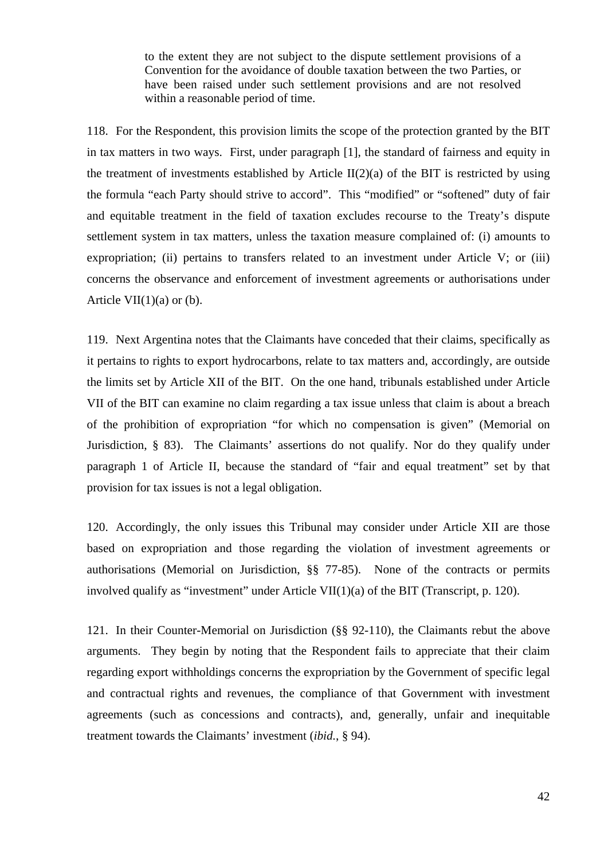to the extent they are not subject to the dispute settlement provisions of a Convention for the avoidance of double taxation between the two Parties, or have been raised under such settlement provisions and are not resolved within a reasonable period of time.

118. For the Respondent, this provision limits the scope of the protection granted by the BIT in tax matters in two ways. First, under paragraph [1], the standard of fairness and equity in the treatment of investments established by Article  $II(2)(a)$  of the BIT is restricted by using the formula "each Party should strive to accord". This "modified" or "softened" duty of fair and equitable treatment in the field of taxation excludes recourse to the Treaty's dispute settlement system in tax matters, unless the taxation measure complained of: (i) amounts to expropriation; (ii) pertains to transfers related to an investment under Article V; or (iii) concerns the observance and enforcement of investment agreements or authorisations under Article  $VII(1)(a)$  or (b).

119. Next Argentina notes that the Claimants have conceded that their claims, specifically as it pertains to rights to export hydrocarbons, relate to tax matters and, accordingly, are outside the limits set by Article XII of the BIT. On the one hand, tribunals established under Article VII of the BIT can examine no claim regarding a tax issue unless that claim is about a breach of the prohibition of expropriation "for which no compensation is given" (Memorial on Jurisdiction, § 83). The Claimants' assertions do not qualify. Nor do they qualify under paragraph 1 of Article II, because the standard of "fair and equal treatment" set by that provision for tax issues is not a legal obligation.

120. Accordingly, the only issues this Tribunal may consider under Article XII are those based on expropriation and those regarding the violation of investment agreements or authorisations (Memorial on Jurisdiction, §§ 77-85). None of the contracts or permits involved qualify as "investment" under Article VII(1)(a) of the BIT (Transcript, p. 120).

121. In their Counter-Memorial on Jurisdiction (§§ 92-110), the Claimants rebut the above arguments. They begin by noting that the Respondent fails to appreciate that their claim regarding export withholdings concerns the expropriation by the Government of specific legal and contractual rights and revenues, the compliance of that Government with investment agreements (such as concessions and contracts), and, generally, unfair and inequitable treatment towards the Claimants' investment (*ibid.*, § 94).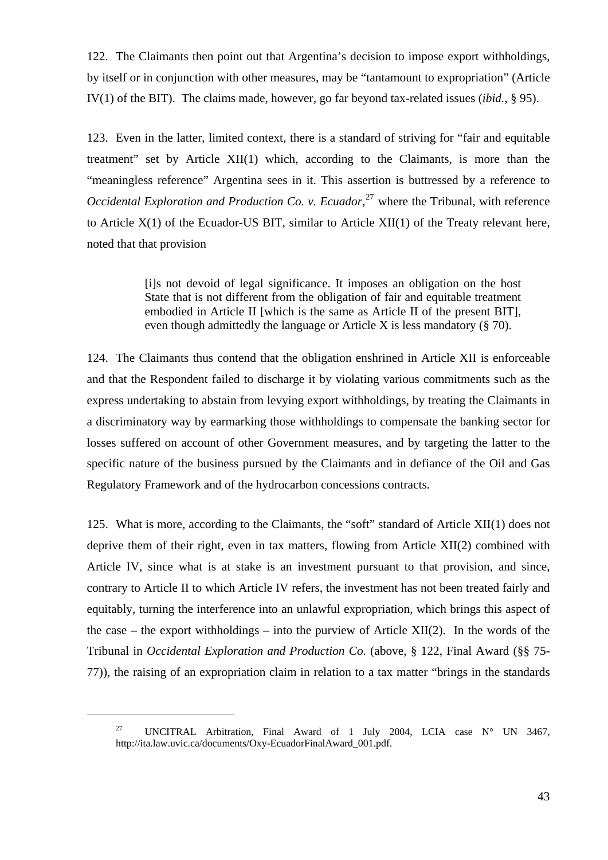122. The Claimants then point out that Argentina's decision to impose export withholdings, by itself or in conjunction with other measures, may be "tantamount to expropriation" (Article IV(1) of the BIT). The claims made, however, go far beyond tax-related issues (*ibid.*, § 95).

123. Even in the latter, limited context, there is a standard of striving for "fair and equitable treatment" set by Article XII(1) which, according to the Claimants, is more than the "meaningless reference" Argentina sees in it. This assertion is buttressed by a reference to *Occidental Exploration and Production Co. v. Ecuador,*[27](#page-42-0) where the Tribunal, with reference to Article  $X(1)$  of the Ecuador-US BIT, similar to Article  $XII(1)$  of the Treaty relevant here, noted that that provision

> [i]s not devoid of legal significance. It imposes an obligation on the host State that is not different from the obligation of fair and equitable treatment embodied in Article II [which is the same as Article II of the present BIT], even though admittedly the language or Article X is less mandatory (§ 70).

124. The Claimants thus contend that the obligation enshrined in Article XII is enforceable and that the Respondent failed to discharge it by violating various commitments such as the express undertaking to abstain from levying export withholdings, by treating the Claimants in a discriminatory way by earmarking those withholdings to compensate the banking sector for losses suffered on account of other Government measures, and by targeting the latter to the specific nature of the business pursued by the Claimants and in defiance of the Oil and Gas Regulatory Framework and of the hydrocarbon concessions contracts.

125. What is more, according to the Claimants, the "soft" standard of Article XII(1) does not deprive them of their right, even in tax matters, flowing from Article XII(2) combined with Article IV, since what is at stake is an investment pursuant to that provision, and since, contrary to Article II to which Article IV refers, the investment has not been treated fairly and equitably, turning the interference into an unlawful expropriation, which brings this aspect of the case – the export withholdings – into the purview of Article XII(2). In the words of the Tribunal in *Occidental Exploration and Production Co*. (above, § 122, Final Award (§§ 75- 77)), the raising of an expropriation claim in relation to a tax matter "brings in the standards

<span id="page-42-0"></span><u>.</u>

<sup>&</sup>lt;sup>27</sup> UNCITRAL Arbitration, Final Award of 1 July 2004, LCIA case  $N^{\circ}$  UN 3467, http://ita.law.uvic.ca/documents/Oxy-EcuadorFinalAward\_001.pdf.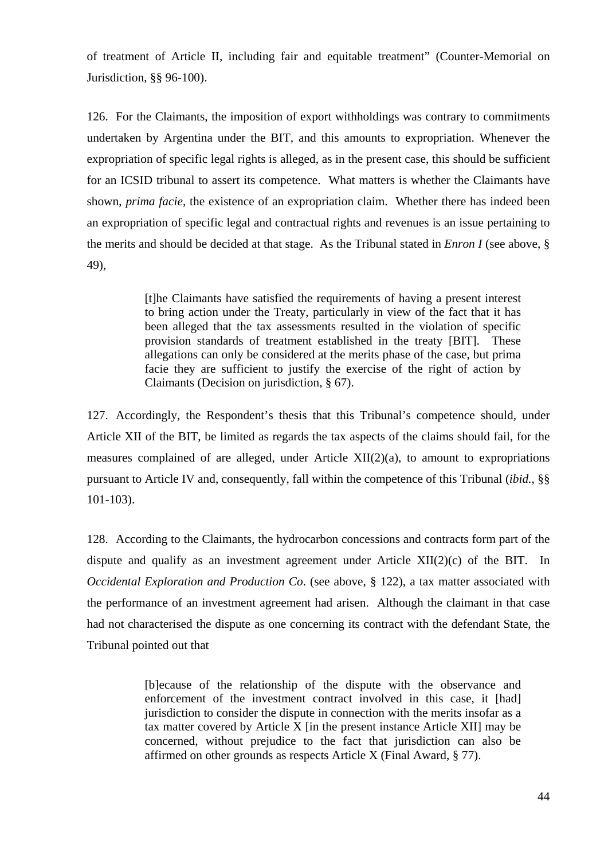of treatment of Article II, including fair and equitable treatment" (Counter-Memorial on Jurisdiction, §§ 96-100).

126. For the Claimants, the imposition of export withholdings was contrary to commitments undertaken by Argentina under the BIT, and this amounts to expropriation. Whenever the expropriation of specific legal rights is alleged, as in the present case, this should be sufficient for an ICSID tribunal to assert its competence. What matters is whether the Claimants have shown, *prima facie*, the existence of an expropriation claim. Whether there has indeed been an expropriation of specific legal and contractual rights and revenues is an issue pertaining to the merits and should be decided at that stage. As the Tribunal stated in *Enron I* (see above, § 49),

> [t]he Claimants have satisfied the requirements of having a present interest to bring action under the Treaty, particularly in view of the fact that it has been alleged that the tax assessments resulted in the violation of specific provision standards of treatment established in the treaty [BIT]. These allegations can only be considered at the merits phase of the case, but prima facie they are sufficient to justify the exercise of the right of action by Claimants (Decision on jurisdiction, § 67).

127. Accordingly, the Respondent's thesis that this Tribunal's competence should, under Article XII of the BIT, be limited as regards the tax aspects of the claims should fail, for the measures complained of are alleged, under Article XII(2)(a), to amount to expropriations pursuant to Article IV and, consequently, fall within the competence of this Tribunal (*ibid.*, §§ 101-103).

128. According to the Claimants, the hydrocarbon concessions and contracts form part of the dispute and qualify as an investment agreement under Article XII(2)(c) of the BIT. In *Occidental Exploration and Production Co*. (see above, § 122), a tax matter associated with the performance of an investment agreement had arisen. Although the claimant in that case had not characterised the dispute as one concerning its contract with the defendant State, the Tribunal pointed out that

> [b]ecause of the relationship of the dispute with the observance and enforcement of the investment contract involved in this case, it [had] jurisdiction to consider the dispute in connection with the merits insofar as a tax matter covered by Article X [in the present instance Article XII] may be concerned, without prejudice to the fact that jurisdiction can also be affirmed on other grounds as respects Article X (Final Award, § 77).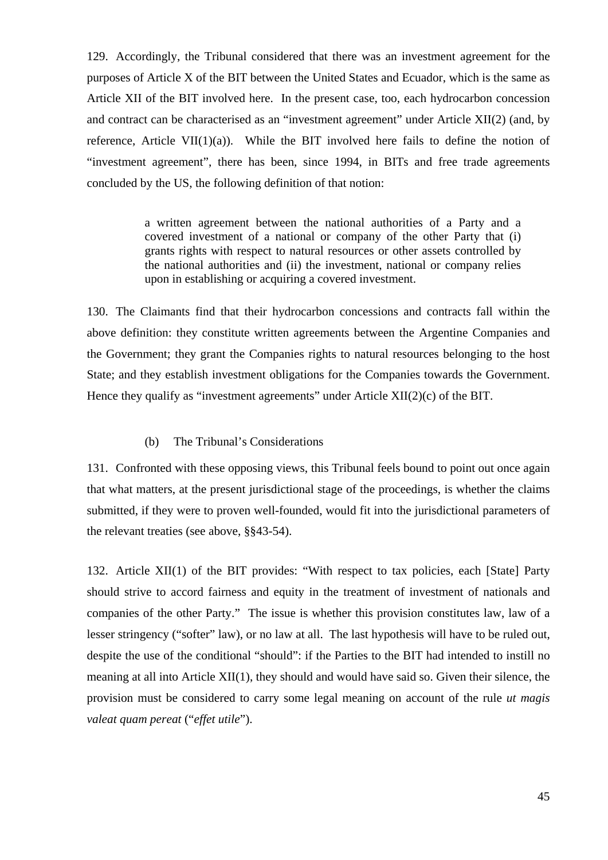129. Accordingly, the Tribunal considered that there was an investment agreement for the purposes of Article X of the BIT between the United States and Ecuador, which is the same as Article XII of the BIT involved here. In the present case, too, each hydrocarbon concession and contract can be characterised as an "investment agreement" under Article XII(2) (and, by reference, Article VII(1)(a)). While the BIT involved here fails to define the notion of "investment agreement", there has been, since 1994, in BITs and free trade agreements concluded by the US, the following definition of that notion:

> a written agreement between the national authorities of a Party and a covered investment of a national or company of the other Party that (i) grants rights with respect to natural resources or other assets controlled by the national authorities and (ii) the investment, national or company relies upon in establishing or acquiring a covered investment.

130. The Claimants find that their hydrocarbon concessions and contracts fall within the above definition: they constitute written agreements between the Argentine Companies and the Government; they grant the Companies rights to natural resources belonging to the host State; and they establish investment obligations for the Companies towards the Government. Hence they qualify as "investment agreements" under Article XII(2)(c) of the BIT.

# (b) The Tribunal's Considerations

131. Confronted with these opposing views, this Tribunal feels bound to point out once again that what matters, at the present jurisdictional stage of the proceedings, is whether the claims submitted, if they were to proven well-founded, would fit into the jurisdictional parameters of the relevant treaties (see above, §§43-54).

132. Article XII(1) of the BIT provides: "With respect to tax policies, each [State] Party should strive to accord fairness and equity in the treatment of investment of nationals and companies of the other Party." The issue is whether this provision constitutes law, law of a lesser stringency ("softer" law), or no law at all. The last hypothesis will have to be ruled out, despite the use of the conditional "should": if the Parties to the BIT had intended to instill no meaning at all into Article XII(1), they should and would have said so. Given their silence, the provision must be considered to carry some legal meaning on account of the rule *ut magis valeat quam pereat* ("*effet utile*").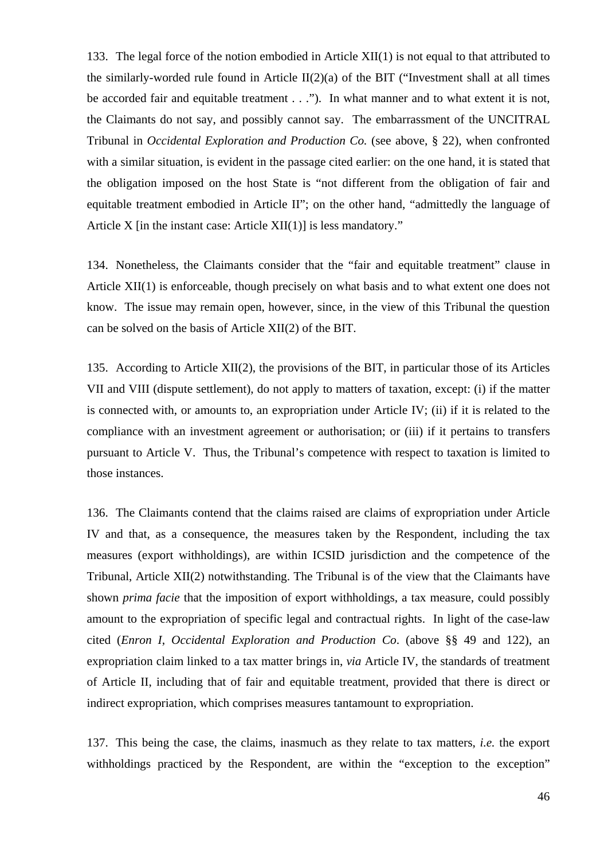133. The legal force of the notion embodied in Article XII(1) is not equal to that attributed to the similarly-worded rule found in Article  $II(2)(a)$  of the BIT ("Investment shall at all times be accorded fair and equitable treatment . . ."). In what manner and to what extent it is not, the Claimants do not say, and possibly cannot say. The embarrassment of the UNCITRAL Tribunal in *Occidental Exploration and Production Co.* (see above, § 22), when confronted with a similar situation, is evident in the passage cited earlier: on the one hand, it is stated that the obligation imposed on the host State is "not different from the obligation of fair and equitable treatment embodied in Article II"; on the other hand, "admittedly the language of Article X [in the instant case: Article  $XII(1)$ ] is less mandatory."

134. Nonetheless, the Claimants consider that the "fair and equitable treatment" clause in Article XII(1) is enforceable, though precisely on what basis and to what extent one does not know. The issue may remain open, however, since, in the view of this Tribunal the question can be solved on the basis of Article XII(2) of the BIT.

135. According to Article XII(2), the provisions of the BIT, in particular those of its Articles VII and VIII (dispute settlement), do not apply to matters of taxation, except: (i) if the matter is connected with, or amounts to, an expropriation under Article IV; (ii) if it is related to the compliance with an investment agreement or authorisation; or (iii) if it pertains to transfers pursuant to Article V. Thus, the Tribunal's competence with respect to taxation is limited to those instances.

136. The Claimants contend that the claims raised are claims of expropriation under Article IV and that, as a consequence, the measures taken by the Respondent, including the tax measures (export withholdings), are within ICSID jurisdiction and the competence of the Tribunal, Article XII(2) notwithstanding. The Tribunal is of the view that the Claimants have shown *prima facie* that the imposition of export withholdings, a tax measure, could possibly amount to the expropriation of specific legal and contractual rights. In light of the case-law cited (*Enron I*, *Occidental Exploration and Production Co*. (above §§ 49 and 122), an expropriation claim linked to a tax matter brings in, *via* Article IV, the standards of treatment of Article II, including that of fair and equitable treatment, provided that there is direct or indirect expropriation, which comprises measures tantamount to expropriation.

137. This being the case, the claims, inasmuch as they relate to tax matters, *i.e.* the export withholdings practiced by the Respondent, are within the "exception to the exception"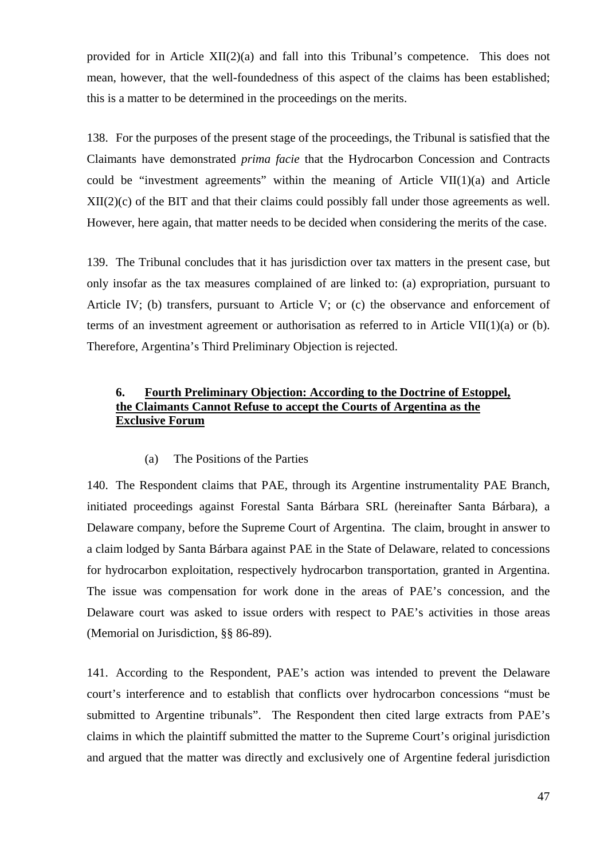provided for in Article XII(2)(a) and fall into this Tribunal's competence. This does not mean, however, that the well-foundedness of this aspect of the claims has been established; this is a matter to be determined in the proceedings on the merits.

138. For the purposes of the present stage of the proceedings, the Tribunal is satisfied that the Claimants have demonstrated *prima facie* that the Hydrocarbon Concession and Contracts could be "investment agreements" within the meaning of Article  $VII(1)(a)$  and Article XII(2)(c) of the BIT and that their claims could possibly fall under those agreements as well. However, here again, that matter needs to be decided when considering the merits of the case.

139. The Tribunal concludes that it has jurisdiction over tax matters in the present case, but only insofar as the tax measures complained of are linked to: (a) expropriation, pursuant to Article IV; (b) transfers, pursuant to Article V; or (c) the observance and enforcement of terms of an investment agreement or authorisation as referred to in Article VII(1)(a) or (b). Therefore, Argentina's Third Preliminary Objection is rejected.

# **6. Fourth Preliminary Objection: According to the Doctrine of Estoppel, the Claimants Cannot Refuse to accept the Courts of Argentina as the Exclusive Forum**

(a) The Positions of the Parties

140. The Respondent claims that PAE, through its Argentine instrumentality PAE Branch, initiated proceedings against Forestal Santa Bárbara SRL (hereinafter Santa Bárbara), a Delaware company, before the Supreme Court of Argentina. The claim, brought in answer to a claim lodged by Santa Bárbara against PAE in the State of Delaware, related to concessions for hydrocarbon exploitation, respectively hydrocarbon transportation, granted in Argentina. The issue was compensation for work done in the areas of PAE's concession, and the Delaware court was asked to issue orders with respect to PAE's activities in those areas (Memorial on Jurisdiction, §§ 86-89).

141. According to the Respondent, PAE's action was intended to prevent the Delaware court's interference and to establish that conflicts over hydrocarbon concessions "must be submitted to Argentine tribunals". The Respondent then cited large extracts from PAE's claims in which the plaintiff submitted the matter to the Supreme Court's original jurisdiction and argued that the matter was directly and exclusively one of Argentine federal jurisdiction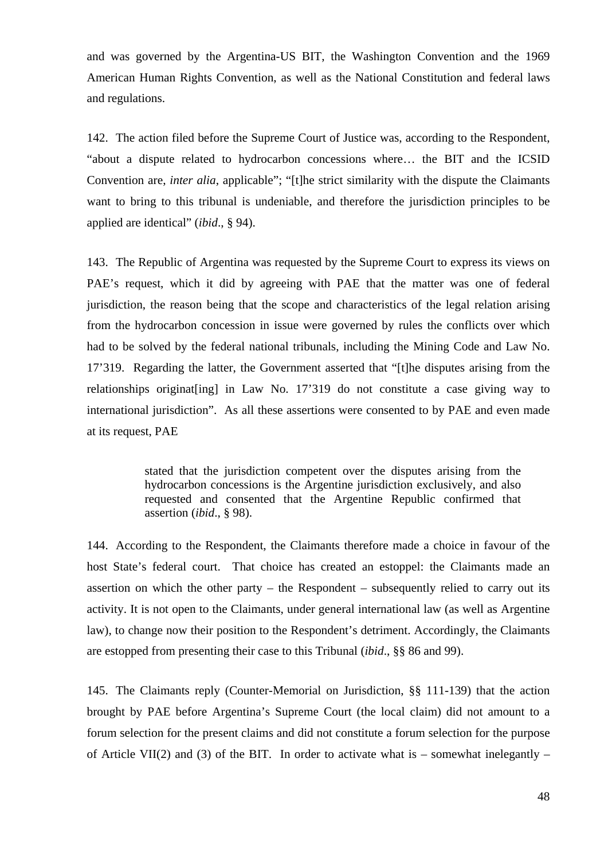and was governed by the Argentina-US BIT, the Washington Convention and the 1969 American Human Rights Convention, as well as the National Constitution and federal laws and regulations.

142. The action filed before the Supreme Court of Justice was, according to the Respondent, "about a dispute related to hydrocarbon concessions where… the BIT and the ICSID Convention are, *inter alia*, applicable"; "[t]he strict similarity with the dispute the Claimants want to bring to this tribunal is undeniable, and therefore the jurisdiction principles to be applied are identical" (*ibid*., § 94).

143. The Republic of Argentina was requested by the Supreme Court to express its views on PAE's request, which it did by agreeing with PAE that the matter was one of federal jurisdiction, the reason being that the scope and characteristics of the legal relation arising from the hydrocarbon concession in issue were governed by rules the conflicts over which had to be solved by the federal national tribunals, including the Mining Code and Law No. 17'319. Regarding the latter, the Government asserted that "[t]he disputes arising from the relationships originat[ing] in Law No. 17'319 do not constitute a case giving way to international jurisdiction". As all these assertions were consented to by PAE and even made at its request, PAE

> stated that the jurisdiction competent over the disputes arising from the hydrocarbon concessions is the Argentine jurisdiction exclusively, and also requested and consented that the Argentine Republic confirmed that assertion (*ibid*., § 98).

144. According to the Respondent, the Claimants therefore made a choice in favour of the host State's federal court. That choice has created an estoppel: the Claimants made an assertion on which the other party – the Respondent – subsequently relied to carry out its activity. It is not open to the Claimants, under general international law (as well as Argentine law), to change now their position to the Respondent's detriment. Accordingly, the Claimants are estopped from presenting their case to this Tribunal (*ibid*., §§ 86 and 99).

145. The Claimants reply (Counter-Memorial on Jurisdiction, §§ 111-139) that the action brought by PAE before Argentina's Supreme Court (the local claim) did not amount to a forum selection for the present claims and did not constitute a forum selection for the purpose of Article VII(2) and (3) of the BIT. In order to activate what is – somewhat inelegantly –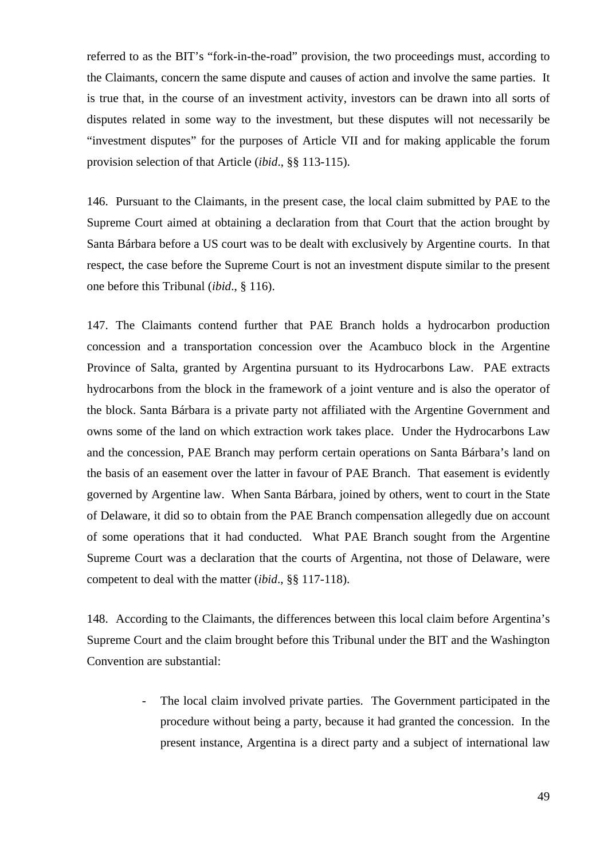referred to as the BIT's "fork-in-the-road" provision, the two proceedings must, according to the Claimants, concern the same dispute and causes of action and involve the same parties. It is true that, in the course of an investment activity, investors can be drawn into all sorts of disputes related in some way to the investment, but these disputes will not necessarily be "investment disputes" for the purposes of Article VII and for making applicable the forum provision selection of that Article (*ibid*., §§ 113-115).

146. Pursuant to the Claimants, in the present case, the local claim submitted by PAE to the Supreme Court aimed at obtaining a declaration from that Court that the action brought by Santa Bárbara before a US court was to be dealt with exclusively by Argentine courts. In that respect, the case before the Supreme Court is not an investment dispute similar to the present one before this Tribunal (*ibid*., § 116).

147. The Claimants contend further that PAE Branch holds a hydrocarbon production concession and a transportation concession over the Acambuco block in the Argentine Province of Salta, granted by Argentina pursuant to its Hydrocarbons Law. PAE extracts hydrocarbons from the block in the framework of a joint venture and is also the operator of the block. Santa Bárbara is a private party not affiliated with the Argentine Government and owns some of the land on which extraction work takes place. Under the Hydrocarbons Law and the concession, PAE Branch may perform certain operations on Santa Bárbara's land on the basis of an easement over the latter in favour of PAE Branch. That easement is evidently governed by Argentine law. When Santa Bárbara, joined by others, went to court in the State of Delaware, it did so to obtain from the PAE Branch compensation allegedly due on account of some operations that it had conducted. What PAE Branch sought from the Argentine Supreme Court was a declaration that the courts of Argentina, not those of Delaware, were competent to deal with the matter (*ibid*., §§ 117-118).

148. According to the Claimants, the differences between this local claim before Argentina's Supreme Court and the claim brought before this Tribunal under the BIT and the Washington Convention are substantial:

> - The local claim involved private parties. The Government participated in the procedure without being a party, because it had granted the concession. In the present instance, Argentina is a direct party and a subject of international law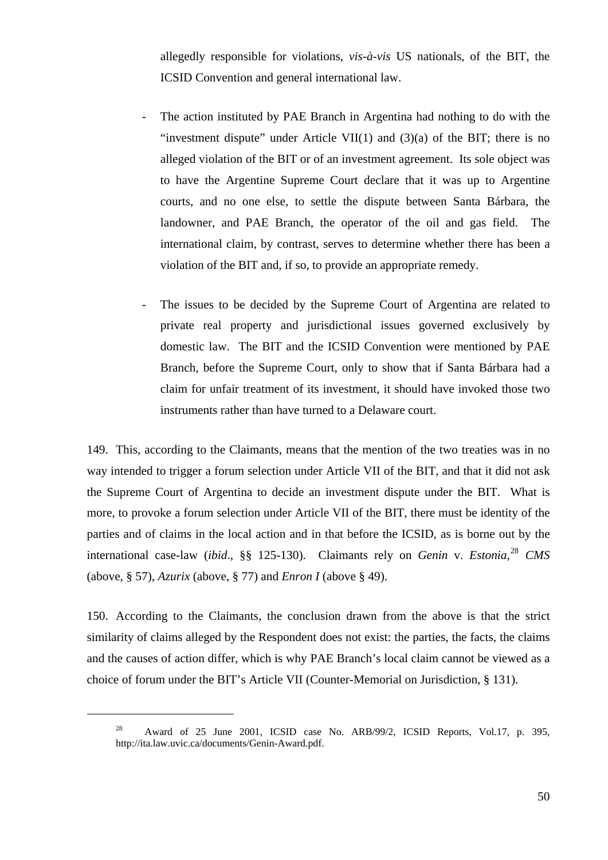allegedly responsible for violations, *vis-à-vis* US nationals, of the BIT, the ICSID Convention and general international law.

- The action instituted by PAE Branch in Argentina had nothing to do with the "investment dispute" under Article VII $(1)$  and  $(3)(a)$  of the BIT; there is no alleged violation of the BIT or of an investment agreement. Its sole object was to have the Argentine Supreme Court declare that it was up to Argentine courts, and no one else, to settle the dispute between Santa Bárbara, the landowner, and PAE Branch, the operator of the oil and gas field. The international claim, by contrast, serves to determine whether there has been a violation of the BIT and, if so, to provide an appropriate remedy.
- The issues to be decided by the Supreme Court of Argentina are related to private real property and jurisdictional issues governed exclusively by domestic law. The BIT and the ICSID Convention were mentioned by PAE Branch, before the Supreme Court, only to show that if Santa Bárbara had a claim for unfair treatment of its investment, it should have invoked those two instruments rather than have turned to a Delaware court.

149. This, according to the Claimants, means that the mention of the two treaties was in no way intended to trigger a forum selection under Article VII of the BIT, and that it did not ask the Supreme Court of Argentina to decide an investment dispute under the BIT. What is more, to provoke a forum selection under Article VII of the BIT, there must be identity of the parties and of claims in the local action and in that before the ICSID, as is borne out by the international case-law (*ibid*., §§ 125-130). Claimants rely on *Genin* v. *Estonia,*[28](#page-49-0) *CMS* (above, § 57), *Azurix* (above, § 77) and *Enron I* (above § 49).

150. According to the Claimants, the conclusion drawn from the above is that the strict similarity of claims alleged by the Respondent does not exist: the parties, the facts, the claims and the causes of action differ, which is why PAE Branch's local claim cannot be viewed as a choice of forum under the BIT's Article VII (Counter-Memorial on Jurisdiction, § 131).

<span id="page-49-0"></span><u>.</u>

<sup>&</sup>lt;sup>28</sup> Award of 25 June 2001, ICSID case No. ARB/99/2, ICSID Reports, Vol.17, p. 395, http://ita.law.uvic.ca/documents/Genin-Award.pdf.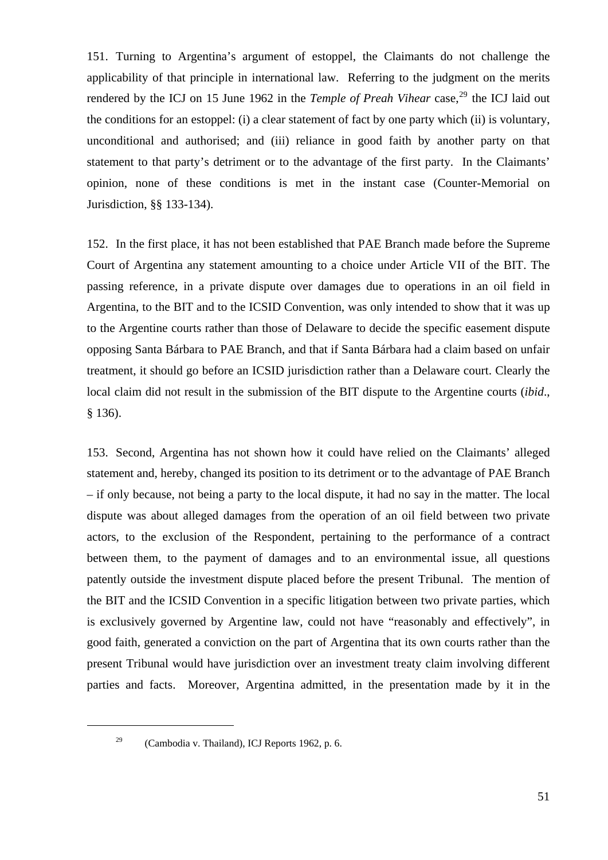151. Turning to Argentina's argument of estoppel, the Claimants do not challenge the applicability of that principle in international law. Referring to the judgment on the merits rendered by the ICJ on 15 June 1962 in the *Temple of Preah Vihear* case,<sup>[29](#page-50-0)</sup> the ICJ laid out the conditions for an estoppel: (i) a clear statement of fact by one party which (ii) is voluntary, unconditional and authorised; and (iii) reliance in good faith by another party on that statement to that party's detriment or to the advantage of the first party. In the Claimants' opinion, none of these conditions is met in the instant case (Counter-Memorial on Jurisdiction, §§ 133-134).

152. In the first place, it has not been established that PAE Branch made before the Supreme Court of Argentina any statement amounting to a choice under Article VII of the BIT. The passing reference, in a private dispute over damages due to operations in an oil field in Argentina, to the BIT and to the ICSID Convention, was only intended to show that it was up to the Argentine courts rather than those of Delaware to decide the specific easement dispute opposing Santa Bárbara to PAE Branch, and that if Santa Bárbara had a claim based on unfair treatment, it should go before an ICSID jurisdiction rather than a Delaware court. Clearly the local claim did not result in the submission of the BIT dispute to the Argentine courts (*ibid*., § 136).

153. Second, Argentina has not shown how it could have relied on the Claimants' alleged statement and, hereby, changed its position to its detriment or to the advantage of PAE Branch – if only because, not being a party to the local dispute, it had no say in the matter. The local dispute was about alleged damages from the operation of an oil field between two private actors, to the exclusion of the Respondent, pertaining to the performance of a contract between them, to the payment of damages and to an environmental issue, all questions patently outside the investment dispute placed before the present Tribunal. The mention of the BIT and the ICSID Convention in a specific litigation between two private parties, which is exclusively governed by Argentine law, could not have "reasonably and effectively", in good faith, generated a conviction on the part of Argentina that its own courts rather than the present Tribunal would have jurisdiction over an investment treaty claim involving different parties and facts. Moreover, Argentina admitted, in the presentation made by it in the

<span id="page-50-0"></span><sup>&</sup>lt;sup>29</sup> (Cambodia v. Thailand), ICJ Reports 1962, p. 6.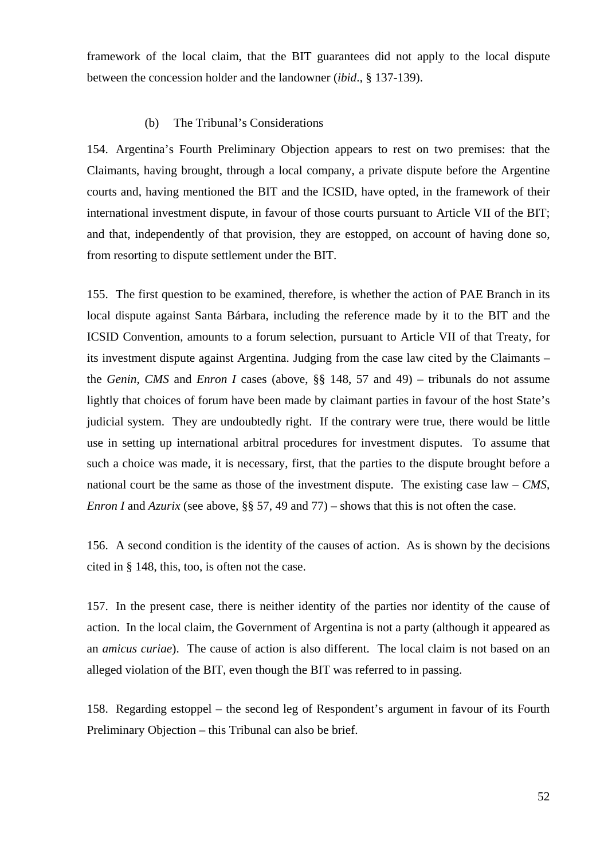framework of the local claim, that the BIT guarantees did not apply to the local dispute between the concession holder and the landowner (*ibid*., § 137-139).

### (b) The Tribunal's Considerations

154. Argentina's Fourth Preliminary Objection appears to rest on two premises: that the Claimants, having brought, through a local company, a private dispute before the Argentine courts and, having mentioned the BIT and the ICSID, have opted, in the framework of their international investment dispute, in favour of those courts pursuant to Article VII of the BIT; and that, independently of that provision, they are estopped, on account of having done so, from resorting to dispute settlement under the BIT.

155. The first question to be examined, therefore, is whether the action of PAE Branch in its local dispute against Santa Bárbara, including the reference made by it to the BIT and the ICSID Convention, amounts to a forum selection, pursuant to Article VII of that Treaty, for its investment dispute against Argentina. Judging from the case law cited by the Claimants – the *Genin*, *CMS* and *Enron I* cases (above, §§ 148, [57](#page-17-0) and 49) – tribunals do not assume lightly that choices of forum have been made by claimant parties in favour of the host State's judicial system. They are undoubtedly right. If the contrary were true, there would be little use in setting up international arbitral procedures for investment disputes. To assume that such a choice was made, it is necessary, first, that the parties to the dispute brought before a national court be the same as those of the investment dispute. The existing case law – *CMS*, *Enron I* and *Azurix* (see above, §§ 57, 49 and 77) – shows that this is not often the case.

156. A second condition is the identity of the causes of action. As is shown by the decisions cited in § 148, this, too, is often not the case.

157. In the present case, there is neither identity of the parties nor identity of the cause of action. In the local claim, the Government of Argentina is not a party (although it appeared as an *amicus curiae*). The cause of action is also different. The local claim is not based on an alleged violation of the BIT, even though the BIT was referred to in passing.

158. Regarding estoppel – the second leg of Respondent's argument in favour of its Fourth Preliminary Objection – this Tribunal can also be brief.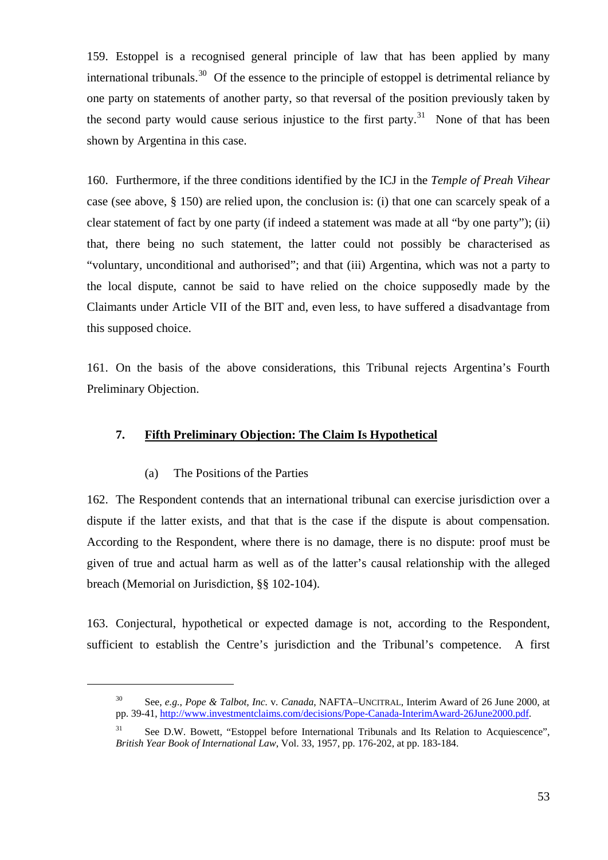159. Estoppel is a recognised general principle of law that has been applied by many international tribunals.<sup>[30](#page-52-0)</sup> Of the essence to the principle of estoppel is detrimental reliance by one party on statements of another party, so that reversal of the position previously taken by the second party would cause serious injustice to the first party.<sup>[31](#page-52-1)</sup> None of that has been shown by Argentina in this case.

160. Furthermore, if the three conditions identified by the ICJ in the *Temple of Preah Vihear* case (see above, § 150) are relied upon, the conclusion is: (i) that one can scarcely speak of a clear statement of fact by one party (if indeed a statement was made at all "by one party"); (ii) that, there being no such statement, the latter could not possibly be characterised as "voluntary, unconditional and authorised"; and that (iii) Argentina, which was not a party to the local dispute, cannot be said to have relied on the choice supposedly made by the Claimants under Article VII of the BIT and, even less, to have suffered a disadvantage from this supposed choice.

161. On the basis of the above considerations, this Tribunal rejects Argentina's Fourth Preliminary Objection.

# **7. Fifth Preliminary Objection: The Claim Is Hypothetical**

(a) The Positions of the Parties

<span id="page-52-1"></span><span id="page-52-0"></span>1

162. The Respondent contends that an international tribunal can exercise jurisdiction over a dispute if the latter exists, and that that is the case if the dispute is about compensation. According to the Respondent, where there is no damage, there is no dispute: proof must be given of true and actual harm as well as of the latter's causal relationship with the alleged breach (Memorial on Jurisdiction, §§ 102-104).

163. Conjectural, hypothetical or expected damage is not, according to the Respondent, sufficient to establish the Centre's jurisdiction and the Tribunal's competence. A first

<sup>30</sup> See, *e.g.*, *Pope & Talbot, Inc.* v*. Canada*, NAFTA–UNCITRAL, Interim Award of 26 June 2000, at pp. 39-41, <http://www.investmentclaims.com/decisions/Pope-Canada-InterimAward-26June2000.pdf>.

<sup>&</sup>lt;sup>31</sup> See D.W. Bowett, "Estoppel before International Tribunals and Its Relation to Acquiescence", *British Year Book of International Law*, Vol. 33, 1957, pp. 176-202, at pp. 183-184.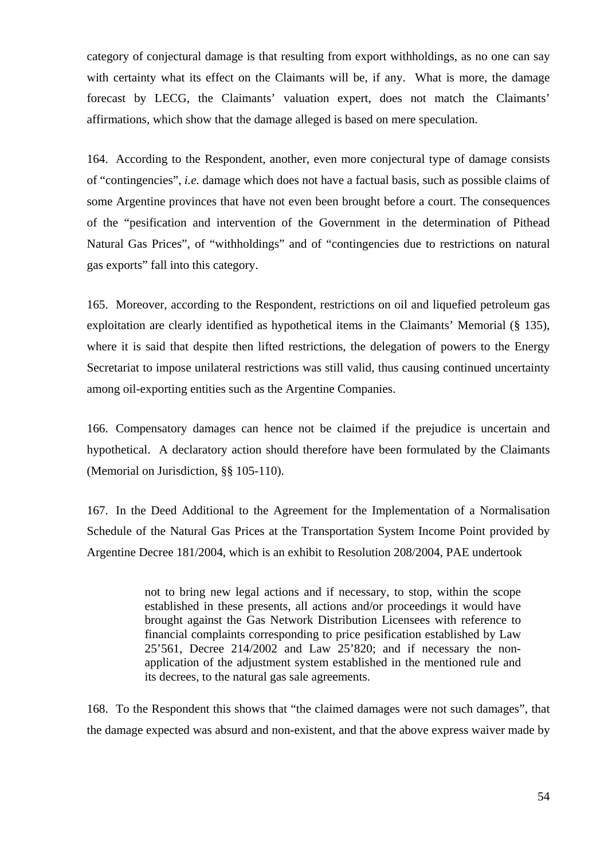category of conjectural damage is that resulting from export withholdings, as no one can say with certainty what its effect on the Claimants will be, if any. What is more, the damage forecast by LECG, the Claimants' valuation expert, does not match the Claimants' affirmations, which show that the damage alleged is based on mere speculation.

164. According to the Respondent, another, even more conjectural type of damage consists of "contingencies", *i.e.* damage which does not have a factual basis, such as possible claims of some Argentine provinces that have not even been brought before a court. The consequences of the "pesification and intervention of the Government in the determination of Pithead Natural Gas Prices", of "withholdings" and of "contingencies due to restrictions on natural gas exports" fall into this category.

165. Moreover, according to the Respondent, restrictions on oil and liquefied petroleum gas exploitation are clearly identified as hypothetical items in the Claimants' Memorial (§ 135), where it is said that despite then lifted restrictions, the delegation of powers to the Energy Secretariat to impose unilateral restrictions was still valid, thus causing continued uncertainty among oil-exporting entities such as the Argentine Companies.

166. Compensatory damages can hence not be claimed if the prejudice is uncertain and hypothetical. A declaratory action should therefore have been formulated by the Claimants (Memorial on Jurisdiction, §§ 105-110).

167. In the Deed Additional to the Agreement for the Implementation of a Normalisation Schedule of the Natural Gas Prices at the Transportation System Income Point provided by Argentine Decree 181/2004, which is an exhibit to Resolution 208/2004, PAE undertook

> not to bring new legal actions and if necessary, to stop, within the scope established in these presents, all actions and/or proceedings it would have brought against the Gas Network Distribution Licensees with reference to financial complaints corresponding to price pesification established by Law 25'561, Decree 214/2002 and Law 25'820; and if necessary the nonapplication of the adjustment system established in the mentioned rule and its decrees, to the natural gas sale agreements.

168. To the Respondent this shows that "the claimed damages were not such damages", that the damage expected was absurd and non-existent, and that the above express waiver made by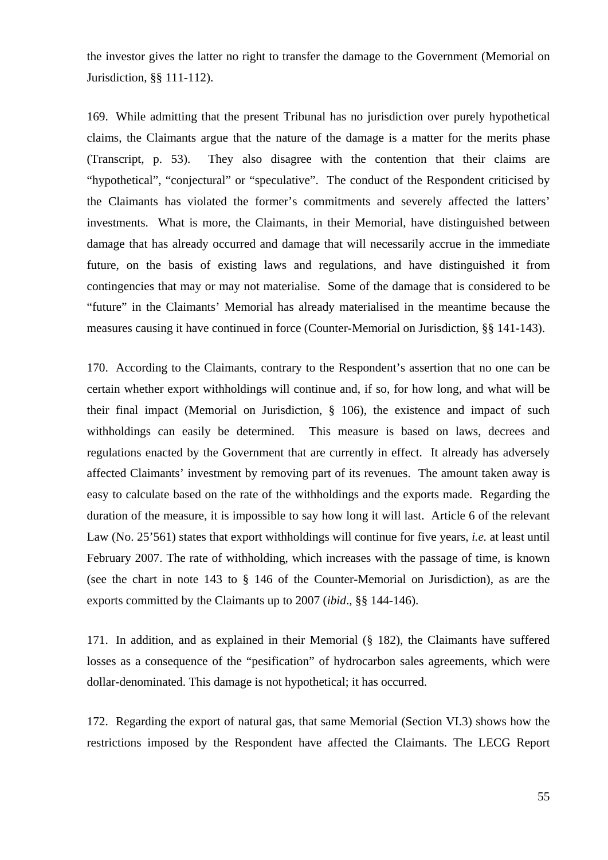the investor gives the latter no right to transfer the damage to the Government (Memorial on Jurisdiction, §§ 111-112).

169. While admitting that the present Tribunal has no jurisdiction over purely hypothetical claims, the Claimants argue that the nature of the damage is a matter for the merits phase (Transcript, p. 53). They also disagree with the contention that their claims are "hypothetical", "conjectural" or "speculative". The conduct of the Respondent criticised by the Claimants has violated the former's commitments and severely affected the latters' investments. What is more, the Claimants, in their Memorial, have distinguished between damage that has already occurred and damage that will necessarily accrue in the immediate future, on the basis of existing laws and regulations, and have distinguished it from contingencies that may or may not materialise. Some of the damage that is considered to be "future" in the Claimants' Memorial has already materialised in the meantime because the measures causing it have continued in force (Counter-Memorial on Jurisdiction, §§ 141-143).

170. According to the Claimants, contrary to the Respondent's assertion that no one can be certain whether export withholdings will continue and, if so, for how long, and what will be their final impact (Memorial on Jurisdiction, § 106), the existence and impact of such withholdings can easily be determined. This measure is based on laws, decrees and regulations enacted by the Government that are currently in effect. It already has adversely affected Claimants' investment by removing part of its revenues. The amount taken away is easy to calculate based on the rate of the withholdings and the exports made. Regarding the duration of the measure, it is impossible to say how long it will last. Article 6 of the relevant Law (No. 25'561) states that export withholdings will continue for five years, *i.e.* at least until February 2007. The rate of withholding, which increases with the passage of time, is known (see the chart in note 143 to § 146 of the Counter-Memorial on Jurisdiction), as are the exports committed by the Claimants up to 2007 (*ibid*., §§ 144-146).

171. In addition, and as explained in their Memorial (§ 182), the Claimants have suffered losses as a consequence of the "pesification" of hydrocarbon sales agreements, which were dollar-denominated. This damage is not hypothetical; it has occurred.

172. Regarding the export of natural gas, that same Memorial (Section VI.3) shows how the restrictions imposed by the Respondent have affected the Claimants. The LECG Report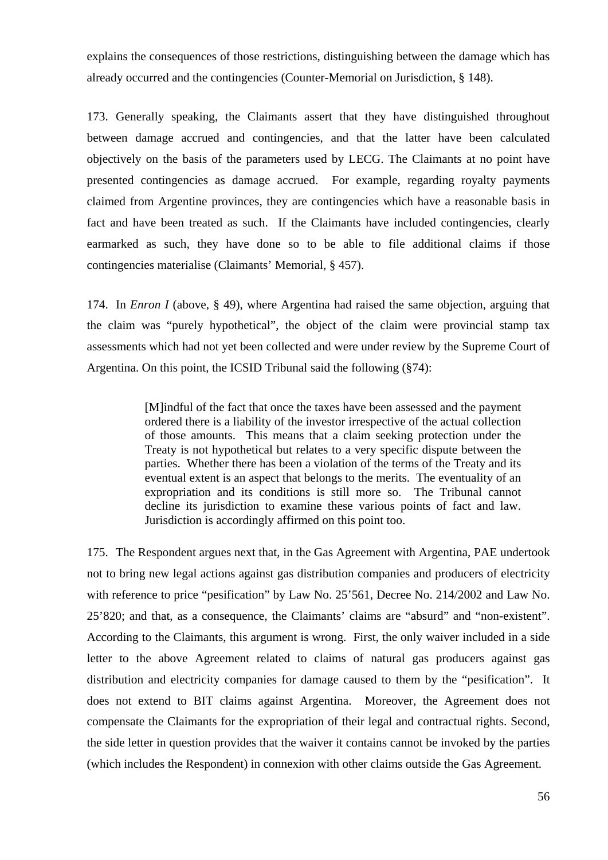explains the consequences of those restrictions, distinguishing between the damage which has already occurred and the contingencies (Counter-Memorial on Jurisdiction, § 148).

173. Generally speaking, the Claimants assert that they have distinguished throughout between damage accrued and contingencies, and that the latter have been calculated objectively on the basis of the parameters used by LECG. The Claimants at no point have presented contingencies as damage accrued. For example, regarding royalty payments claimed from Argentine provinces, they are contingencies which have a reasonable basis in fact and have been treated as such. If the Claimants have included contingencies, clearly earmarked as such, they have done so to be able to file additional claims if those contingencies materialise (Claimants' Memorial, § 457).

174. In *Enron I* (above, § 49), where Argentina had raised the same objection, arguing that the claim was "purely hypothetical", the object of the claim were provincial stamp tax assessments which had not yet been collected and were under review by the Supreme Court of Argentina. On this point, the ICSID Tribunal said the following (§74):

> [M]indful of the fact that once the taxes have been assessed and the payment ordered there is a liability of the investor irrespective of the actual collection of those amounts. This means that a claim seeking protection under the Treaty is not hypothetical but relates to a very specific dispute between the parties. Whether there has been a violation of the terms of the Treaty and its eventual extent is an aspect that belongs to the merits. The eventuality of an expropriation and its conditions is still more so. The Tribunal cannot decline its jurisdiction to examine these various points of fact and law. Jurisdiction is accordingly affirmed on this point too.

175. The Respondent argues next that, in the Gas Agreement with Argentina, PAE undertook not to bring new legal actions against gas distribution companies and producers of electricity with reference to price "pesification" by Law No. 25'561, Decree No. 214/2002 and Law No. 25'820; and that, as a consequence, the Claimants' claims are "absurd" and "non-existent". According to the Claimants, this argument is wrong. First, the only waiver included in a side letter to the above Agreement related to claims of natural gas producers against gas distribution and electricity companies for damage caused to them by the "pesification". It does not extend to BIT claims against Argentina. Moreover, the Agreement does not compensate the Claimants for the expropriation of their legal and contractual rights. Second, the side letter in question provides that the waiver it contains cannot be invoked by the parties (which includes the Respondent) in connexion with other claims outside the Gas Agreement.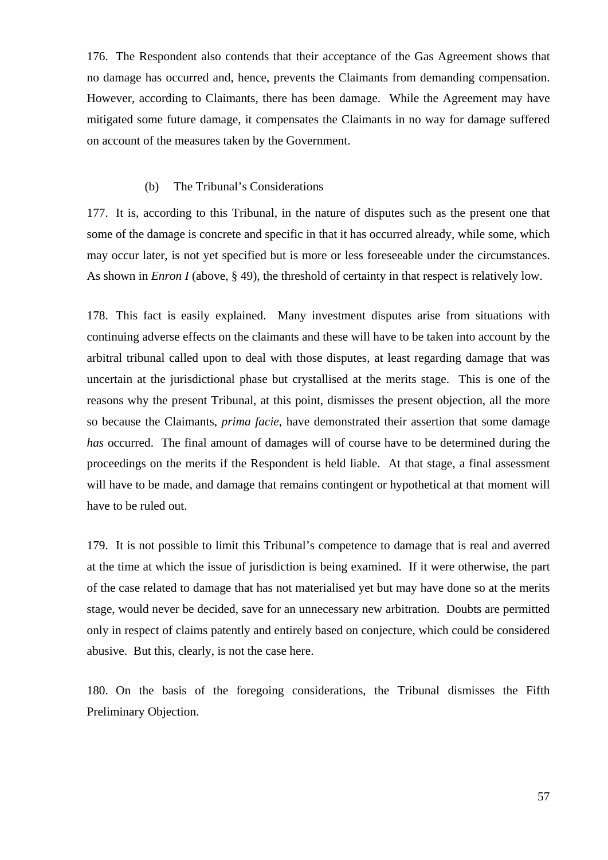176. The Respondent also contends that their acceptance of the Gas Agreement shows that no damage has occurred and, hence, prevents the Claimants from demanding compensation. However, according to Claimants, there has been damage. While the Agreement may have mitigated some future damage, it compensates the Claimants in no way for damage suffered on account of the measures taken by the Government.

### (b) The Tribunal's Considerations

177. It is, according to this Tribunal, in the nature of disputes such as the present one that some of the damage is concrete and specific in that it has occurred already, while some, which may occur later, is not yet specified but is more or less foreseeable under the circumstances. As shown in *Enron I* (above, § 49), the threshold of certainty in that respect is relatively low.

178. This fact is easily explained. Many investment disputes arise from situations with continuing adverse effects on the claimants and these will have to be taken into account by the arbitral tribunal called upon to deal with those disputes, at least regarding damage that was uncertain at the jurisdictional phase but crystallised at the merits stage. This is one of the reasons why the present Tribunal, at this point, dismisses the present objection, all the more so because the Claimants, *prima facie*, have demonstrated their assertion that some damage *has* occurred. The final amount of damages will of course have to be determined during the proceedings on the merits if the Respondent is held liable. At that stage, a final assessment will have to be made, and damage that remains contingent or hypothetical at that moment will have to be ruled out.

179. It is not possible to limit this Tribunal's competence to damage that is real and averred at the time at which the issue of jurisdiction is being examined. If it were otherwise, the part of the case related to damage that has not materialised yet but may have done so at the merits stage, would never be decided, save for an unnecessary new arbitration. Doubts are permitted only in respect of claims patently and entirely based on conjecture, which could be considered abusive. But this, clearly, is not the case here.

180. On the basis of the foregoing considerations, the Tribunal dismisses the Fifth Preliminary Objection.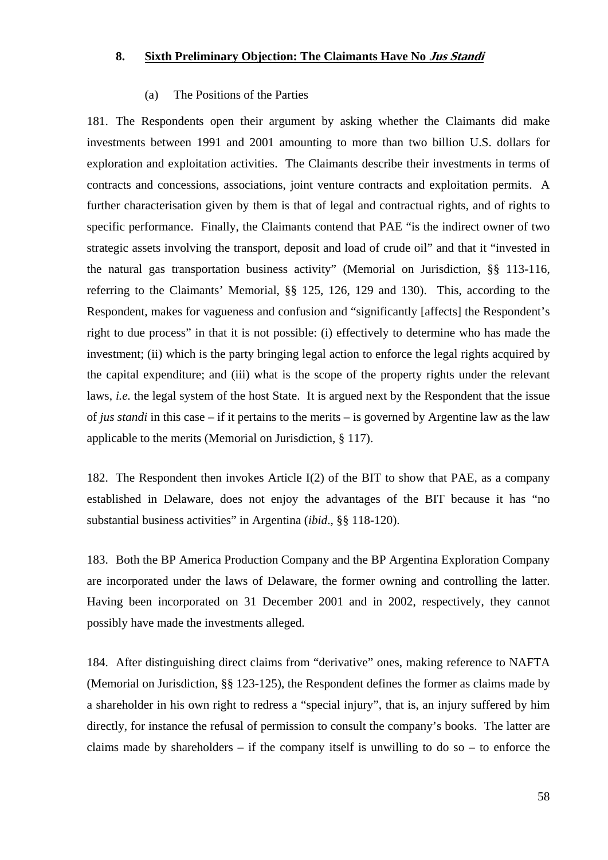## **8. Sixth Preliminary Objection: The Claimants Have No Jus Standi**

#### (a) The Positions of the Parties

181. The Respondents open their argument by asking whether the Claimants did make investments between 1991 and 2001 amounting to more than two billion U.S. dollars for exploration and exploitation activities. The Claimants describe their investments in terms of contracts and concessions, associations, joint venture contracts and exploitation permits. A further characterisation given by them is that of legal and contractual rights, and of rights to specific performance. Finally, the Claimants contend that PAE "is the indirect owner of two strategic assets involving the transport, deposit and load of crude oil" and that it "invested in the natural gas transportation business activity" (Memorial on Jurisdiction, §§ 113-116, referring to the Claimants' Memorial, §§ 125, 126, 129 and 130). This, according to the Respondent, makes for vagueness and confusion and "significantly [affects] the Respondent's right to due process" in that it is not possible: (i) effectively to determine who has made the investment; (ii) which is the party bringing legal action to enforce the legal rights acquired by the capital expenditure; and (iii) what is the scope of the property rights under the relevant laws, *i.e.* the legal system of the host State. It is argued next by the Respondent that the issue of *jus standi* in this case – if it pertains to the merits – is governed by Argentine law as the law applicable to the merits (Memorial on Jurisdiction, § 117).

182. The Respondent then invokes Article I(2) of the BIT to show that PAE, as a company established in Delaware, does not enjoy the advantages of the BIT because it has "no substantial business activities" in Argentina (*ibid*., §§ 118-120).

183. Both the BP America Production Company and the BP Argentina Exploration Company are incorporated under the laws of Delaware, the former owning and controlling the latter. Having been incorporated on 31 December 2001 and in 2002, respectively, they cannot possibly have made the investments alleged.

184. After distinguishing direct claims from "derivative" ones, making reference to NAFTA (Memorial on Jurisdiction, §§ 123-125), the Respondent defines the former as claims made by a shareholder in his own right to redress a "special injury", that is, an injury suffered by him directly, for instance the refusal of permission to consult the company's books. The latter are claims made by shareholders – if the company itself is unwilling to do so – to enforce the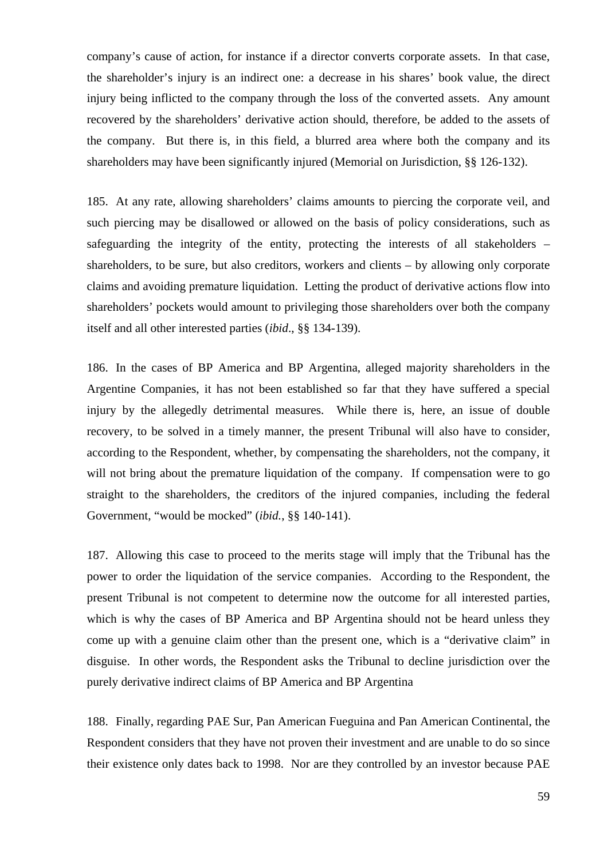company's cause of action, for instance if a director converts corporate assets. In that case, the shareholder's injury is an indirect one: a decrease in his shares' book value, the direct injury being inflicted to the company through the loss of the converted assets. Any amount recovered by the shareholders' derivative action should, therefore, be added to the assets of the company. But there is, in this field, a blurred area where both the company and its shareholders may have been significantly injured (Memorial on Jurisdiction, §§ 126-132).

185. At any rate, allowing shareholders' claims amounts to piercing the corporate veil, and such piercing may be disallowed or allowed on the basis of policy considerations, such as safeguarding the integrity of the entity, protecting the interests of all stakeholders – shareholders, to be sure, but also creditors, workers and clients – by allowing only corporate claims and avoiding premature liquidation. Letting the product of derivative actions flow into shareholders' pockets would amount to privileging those shareholders over both the company itself and all other interested parties (*ibid*., §§ 134-139).

186. In the cases of BP America and BP Argentina, alleged majority shareholders in the Argentine Companies, it has not been established so far that they have suffered a special injury by the allegedly detrimental measures. While there is, here, an issue of double recovery, to be solved in a timely manner, the present Tribunal will also have to consider, according to the Respondent, whether, by compensating the shareholders, not the company, it will not bring about the premature liquidation of the company. If compensation were to go straight to the shareholders, the creditors of the injured companies, including the federal Government, "would be mocked" (*ibid.*, §§ 140-141).

187. Allowing this case to proceed to the merits stage will imply that the Tribunal has the power to order the liquidation of the service companies. According to the Respondent, the present Tribunal is not competent to determine now the outcome for all interested parties, which is why the cases of BP America and BP Argentina should not be heard unless they come up with a genuine claim other than the present one, which is a "derivative claim" in disguise. In other words, the Respondent asks the Tribunal to decline jurisdiction over the purely derivative indirect claims of BP America and BP Argentina

188. Finally, regarding PAE Sur, Pan American Fueguina and Pan American Continental, the Respondent considers that they have not proven their investment and are unable to do so since their existence only dates back to 1998. Nor are they controlled by an investor because PAE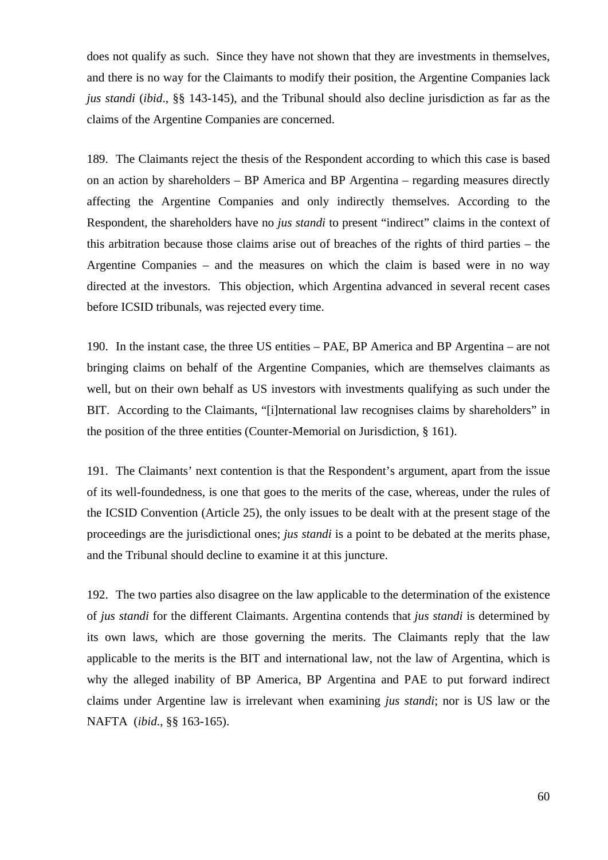does not qualify as such. Since they have not shown that they are investments in themselves, and there is no way for the Claimants to modify their position, the Argentine Companies lack *jus standi* (*ibid*., §§ 143-145), and the Tribunal should also decline jurisdiction as far as the claims of the Argentine Companies are concerned.

189. The Claimants reject the thesis of the Respondent according to which this case is based on an action by shareholders – BP America and BP Argentina – regarding measures directly affecting the Argentine Companies and only indirectly themselves. According to the Respondent, the shareholders have no *jus standi* to present "indirect" claims in the context of this arbitration because those claims arise out of breaches of the rights of third parties – the Argentine Companies – and the measures on which the claim is based were in no way directed at the investors. This objection, which Argentina advanced in several recent cases before ICSID tribunals, was rejected every time.

190. In the instant case, the three US entities – PAE, BP America and BP Argentina – are not bringing claims on behalf of the Argentine Companies, which are themselves claimants as well, but on their own behalf as US investors with investments qualifying as such under the BIT. According to the Claimants, "[i]nternational law recognises claims by shareholders" in the position of the three entities (Counter-Memorial on Jurisdiction, § 161).

191. The Claimants' next contention is that the Respondent's argument, apart from the issue of its well-foundedness, is one that goes to the merits of the case, whereas, under the rules of the ICSID Convention (Article 25), the only issues to be dealt with at the present stage of the proceedings are the jurisdictional ones; *jus standi* is a point to be debated at the merits phase, and the Tribunal should decline to examine it at this juncture.

192. The two parties also disagree on the law applicable to the determination of the existence of *jus standi* for the different Claimants. Argentina contends that *jus standi* is determined by its own laws, which are those governing the merits. The Claimants reply that the law applicable to the merits is the BIT and international law, not the law of Argentina, which is why the alleged inability of BP America, BP Argentina and PAE to put forward indirect claims under Argentine law is irrelevant when examining *jus standi*; nor is US law or the NAFTA (*ibid*., §§ 163-165).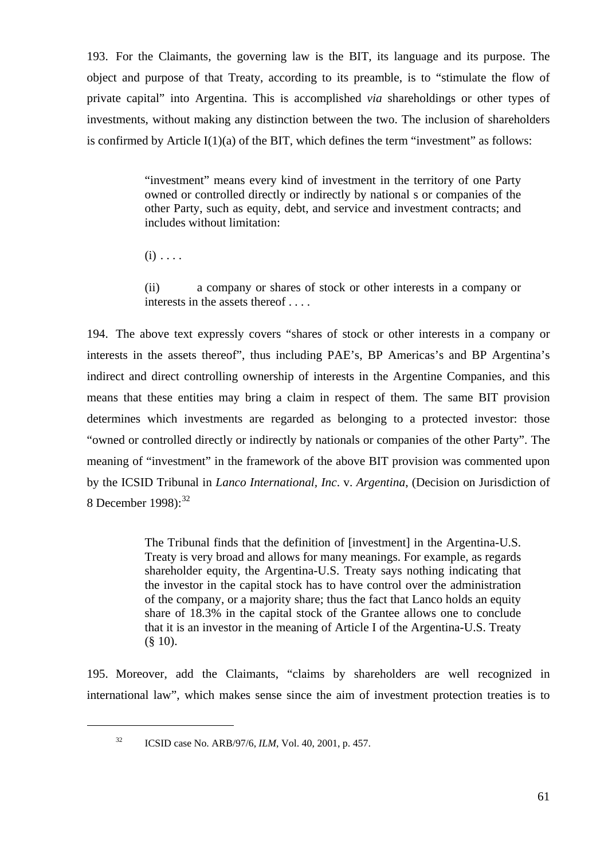193. For the Claimants, the governing law is the BIT, its language and its purpose. The object and purpose of that Treaty, according to its preamble, is to "stimulate the flow of private capital" into Argentina. This is accomplished *via* shareholdings or other types of investments, without making any distinction between the two. The inclusion of shareholders is confirmed by Article  $I(1)(a)$  of the BIT, which defines the term "investment" as follows:

> "investment" means every kind of investment in the territory of one Party owned or controlled directly or indirectly by national s or companies of the other Party, such as equity, debt, and service and investment contracts; and includes without limitation:

 $(i)$ ...

(ii) a company or shares of stock or other interests in a company or interests in the assets thereof . . . .

194. The above text expressly covers "shares of stock or other interests in a company or interests in the assets thereof", thus including PAE's, BP Americas's and BP Argentina's indirect and direct controlling ownership of interests in the Argentine Companies, and this means that these entities may bring a claim in respect of them. The same BIT provision determines which investments are regarded as belonging to a protected investor: those "owned or controlled directly or indirectly by nationals or companies of the other Party". The meaning of "investment" in the framework of the above BIT provision was commented upon by the ICSID Tribunal in *Lanco International, Inc*. v. *Argentina*, (Decision on Jurisdiction of 8 December 1998): [32](#page-60-0)

> The Tribunal finds that the definition of [investment] in the Argentina-U.S. Treaty is very broad and allows for many meanings. For example, as regards shareholder equity, the Argentina-U.S. Treaty says nothing indicating that the investor in the capital stock has to have control over the administration of the company, or a majority share; thus the fact that Lanco holds an equity share of 18.3% in the capital stock of the Grantee allows one to conclude that it is an investor in the meaning of Article I of the Argentina-U.S. Treaty (§ 10).

<span id="page-60-0"></span>195. Moreover, add the Claimants, "claims by shareholders are well recognized in international law", which makes sense since the aim of investment protection treaties is to

<sup>32</sup> ICSID case No. ARB/97/6, *ILM*, Vol. 40, 2001, p. 457.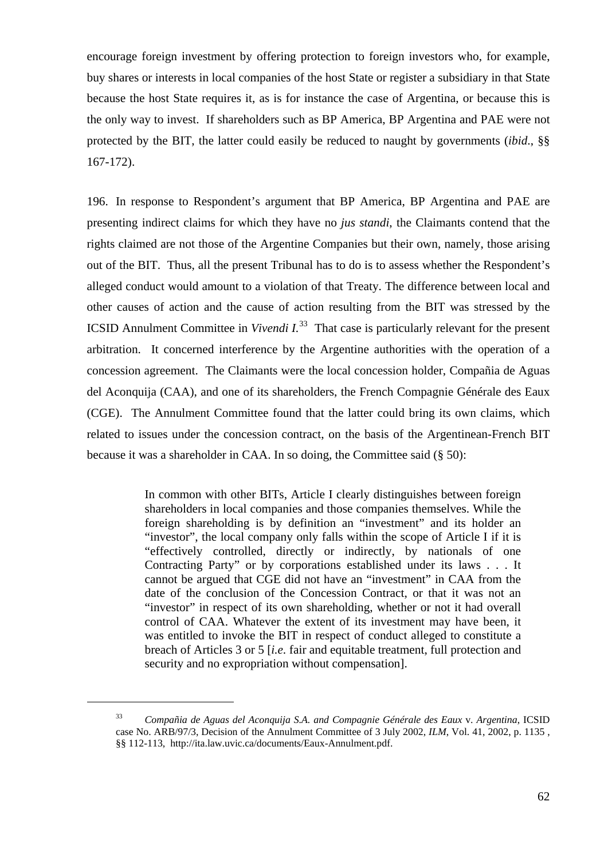encourage foreign investment by offering protection to foreign investors who, for example, buy shares or interests in local companies of the host State or register a subsidiary in that State because the host State requires it, as is for instance the case of Argentina, or because this is the only way to invest. If shareholders such as BP America, BP Argentina and PAE were not protected by the BIT, the latter could easily be reduced to naught by governments (*ibid*., §§ 167-172).

196. In response to Respondent's argument that BP America, BP Argentina and PAE are presenting indirect claims for which they have no *jus standi*, the Claimants contend that the rights claimed are not those of the Argentine Companies but their own, namely, those arising out of the BIT. Thus, all the present Tribunal has to do is to assess whether the Respondent's alleged conduct would amount to a violation of that Treaty. The difference between local and other causes of action and the cause of action resulting from the BIT was stressed by the ICSID Annulment Committee in *Vivendi I*.<sup>[33](#page-61-0)</sup> That case is particularly relevant for the present arbitration. It concerned interference by the Argentine authorities with the operation of a concession agreement. The Claimants were the local concession holder, Compañia de Aguas del Aconquija (CAA), and one of its shareholders, the French Compagnie Générale des Eaux (CGE). The Annulment Committee found that the latter could bring its own claims, which related to issues under the concession contract, on the basis of the Argentinean-French BIT because it was a shareholder in CAA. In so doing, the Committee said (§ 50):

> In common with other BITs, Article I clearly distinguishes between foreign shareholders in local companies and those companies themselves. While the foreign shareholding is by definition an "investment" and its holder an "investor", the local company only falls within the scope of Article I if it is "effectively controlled, directly or indirectly, by nationals of one Contracting Party" or by corporations established under its laws . . . It cannot be argued that CGE did not have an "investment" in CAA from the date of the conclusion of the Concession Contract, or that it was not an "investor" in respect of its own shareholding, whether or not it had overall control of CAA. Whatever the extent of its investment may have been, it was entitled to invoke the BIT in respect of conduct alleged to constitute a breach of Articles 3 or 5 [*i.e.* fair and equitable treatment, full protection and security and no expropriation without compensation].

<span id="page-61-0"></span><sup>33</sup> *Compañia de Aguas del Aconquija S.A. and Compagnie Générale des Eaux* v. *Argentina*, ICSID case No. ARB/97/3, Decision of the Annulment Committee of 3 July 2002, *ILM*, Vol. 41, 2002, p. 1135 , §§ 112-113, http://ita.law.uvic.ca/documents/Eaux-Annulment.pdf.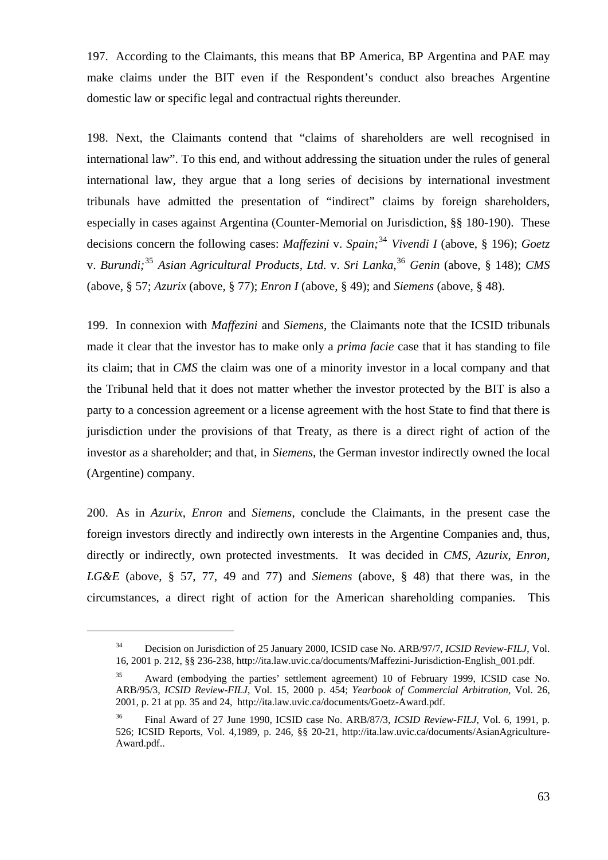197. According to the Claimants, this means that BP America, BP Argentina and PAE may make claims under the BIT even if the Respondent's conduct also breaches Argentine domestic law or specific legal and contractual rights thereunder.

198. Next, the Claimants contend that "claims of shareholders are well recognised in international law". To this end, and without addressing the situation under the rules of general international law, they argue that a long series of decisions by international investment tribunals have admitted the presentation of "indirect" claims by foreign shareholders, especially in cases against Argentina (Counter-Memorial on Jurisdiction, §§ 180-190). These decisions concern the following cases: *Maffezini* v. *Spain;*[34](#page-62-0) *Vivendi I* (above, § 196); *Goetz* v. *Burundi;*[35](#page-62-1) *Asian Agricultural Products, Ltd*. v. *Sri Lanka,*[36](#page-62-2) *Genin* (above, § 148); *CMS* (above, § 57; *Azurix* (above, § 77); *Enron I* (above, § 49); and *Siemens* (above, § 48).

199. In connexion with *Maffezini* and *Siemens*, the Claimants note that the ICSID tribunals made it clear that the investor has to make only a *prima facie* case that it has standing to file its claim; that in *CMS* the claim was one of a minority investor in a local company and that the Tribunal held that it does not matter whether the investor protected by the BIT is also a party to a concession agreement or a license agreement with the host State to find that there is jurisdiction under the provisions of that Treaty, as there is a direct right of action of the investor as a shareholder; and that, in *Siemens*, the German investor indirectly owned the local (Argentine) company.

200. As in *Azurix*, *Enron* and *Siemens*, conclude the Claimants, in the present case the foreign investors directly and indirectly own interests in the Argentine Companies and, thus, directly or indirectly, own protected investments. It was decided in *CMS*, *Azurix*, *Enron*, *LG&E* (above, § 57, 77, 49 and 77) and *Siemens* (above, § 48) that there was, in the circumstances, a direct right of action for the American shareholding companies. This

<span id="page-62-0"></span><sup>34</sup> Decision on Jurisdiction of 25 January 2000, ICSID case No. ARB/97/7, *ICSID Review-FILJ*, Vol. 16, 2001 p. 212, §§ 236-238, http://ita.law.uvic.ca/documents/Maffezini-Jurisdiction-English\_001.pdf.

<span id="page-62-1"></span><sup>35</sup> Award (embodying the parties' settlement agreement) 10 of February 1999, ICSID case No. ARB/95/3, *ICSID Review-FILJ*, Vol. 15, 2000 p. 454; *Yearbook of Commercial Arbitration*, Vol. 26, 2001, p. 21 at pp. 35 and 24, http://ita.law.uvic.ca/documents/Goetz-Award.pdf.

<span id="page-62-2"></span><sup>36</sup> Final Award of 27 June 1990, ICSID case No. ARB/87/3, *ICSID Review-FILJ*, Vol. 6, 1991, p. 526; ICSID Reports, Vol. 4,1989, p. 246, §§ 20-21, http://ita.law.uvic.ca/documents/AsianAgriculture-Award.pdf..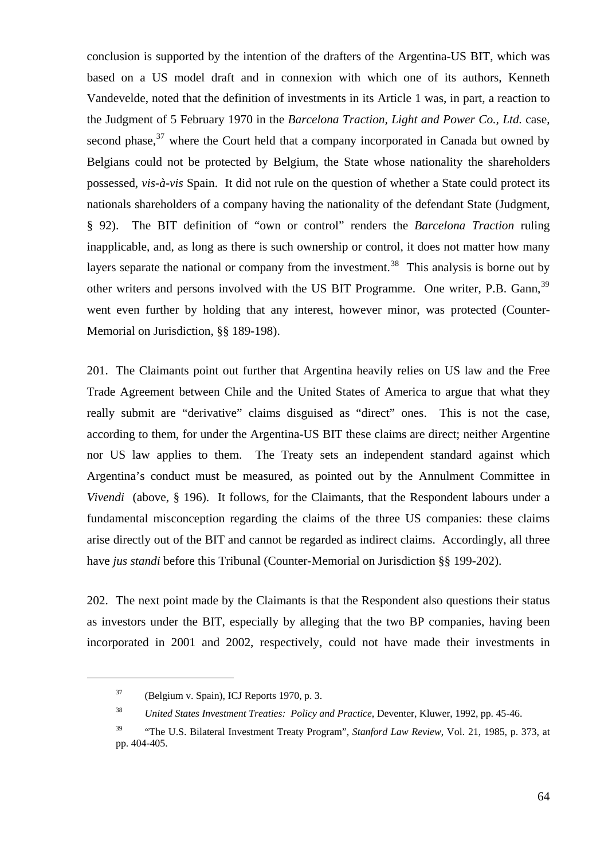conclusion is supported by the intention of the drafters of the Argentina-US BIT, which was based on a US model draft and in connexion with which one of its authors, Kenneth Vandevelde, noted that the definition of investments in its Article 1 was, in part, a reaction to the Judgment of 5 February 1970 in the *Barcelona Traction, Light and Power Co., Ltd.* case, second phase,  $37$  where the Court held that a company incorporated in Canada but owned by Belgians could not be protected by Belgium, the State whose nationality the shareholders possessed, *vis-à-vis* Spain. It did not rule on the question of whether a State could protect its nationals shareholders of a company having the nationality of the defendant State (Judgment, § 92). The BIT definition of "own or control" renders the *Barcelona Traction* ruling inapplicable, and, as long as there is such ownership or control, it does not matter how many layers separate the national or company from the investment.<sup>[38](#page-63-1)</sup> This analysis is borne out by other writers and persons involved with the US BIT Programme. One writer, P.B. Gann, <sup>[39](#page-63-2)</sup> went even further by holding that any interest, however minor, was protected (Counter-Memorial on Jurisdiction, §§ 189-198).

201. The Claimants point out further that Argentina heavily relies on US law and the Free Trade Agreement between Chile and the United States of America to argue that what they really submit are "derivative" claims disguised as "direct" ones. This is not the case, according to them, for under the Argentina-US BIT these claims are direct; neither Argentine nor US law applies to them. The Treaty sets an independent standard against which Argentina's conduct must be measured, as pointed out by the Annulment Committee in *Vivendi* (above, § 196). It follows, for the Claimants, that the Respondent labours under a fundamental misconception regarding the claims of the three US companies: these claims arise directly out of the BIT and cannot be regarded as indirect claims. Accordingly, all three have *jus standi* before this Tribunal (Counter-Memorial on Jurisdiction §§ 199-202).

202. The next point made by the Claimants is that the Respondent also questions their status as investors under the BIT, especially by alleging that the two BP companies, having been incorporated in 2001 and 2002, respectively, could not have made their investments in

<span id="page-63-0"></span><sup>37 (</sup>Belgium v. Spain), ICJ Reports 1970, p. 3.

<sup>38</sup> *United States Investment Treaties: Policy and Practice*, Deventer, Kluwer, 1992, pp. 45-46.

<span id="page-63-2"></span><span id="page-63-1"></span><sup>&</sup>lt;sup>39</sup> "The U.S. Bilateral Investment Treaty Program", *Stanford Law Review*, Vol. 21, 1985, p. 373, at pp. 404-405.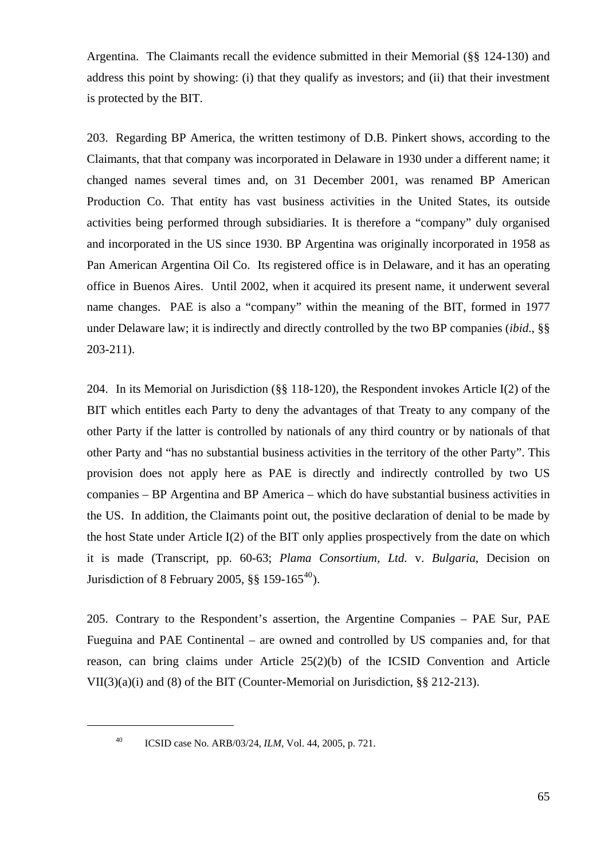Argentina. The Claimants recall the evidence submitted in their Memorial (§§ 124-130) and address this point by showing: (i) that they qualify as investors; and (ii) that their investment is protected by the BIT.

203. Regarding BP America, the written testimony of D.B. Pinkert shows, according to the Claimants, that that company was incorporated in Delaware in 1930 under a different name; it changed names several times and, on 31 December 2001, was renamed BP American Production Co. That entity has vast business activities in the United States, its outside activities being performed through subsidiaries. It is therefore a "company" duly organised and incorporated in the US since 1930. BP Argentina was originally incorporated in 1958 as Pan American Argentina Oil Co. Its registered office is in Delaware, and it has an operating office in Buenos Aires. Until 2002, when it acquired its present name, it underwent several name changes. PAE is also a "company" within the meaning of the BIT, formed in 1977 under Delaware law; it is indirectly and directly controlled by the two BP companies (*ibid*., §§ 203-211).

204. In its Memorial on Jurisdiction (§§ 118-120), the Respondent invokes Article I(2) of the BIT which entitles each Party to deny the advantages of that Treaty to any company of the other Party if the latter is controlled by nationals of any third country or by nationals of that other Party and "has no substantial business activities in the territory of the other Party". This provision does not apply here as PAE is directly and indirectly controlled by two US companies – BP Argentina and BP America – which do have substantial business activities in the US. In addition, the Claimants point out, the positive declaration of denial to be made by the host State under Article I(2) of the BIT only applies prospectively from the date on which it is made (Transcript, pp. 60-63; *Plama Consortium, Ltd.* v. *Bulgaria*, Decision on Jurisdiction of 8 February 2005, §§ 159-165<sup>[40](#page-64-0)</sup>).

205. Contrary to the Respondent's assertion, the Argentine Companies – PAE Sur, PAE Fueguina and PAE Continental – are owned and controlled by US companies and, for that reason, can bring claims under Article 25(2)(b) of the ICSID Convention and Article VII(3)(a)(i) and (8) of the BIT (Counter-Memorial on Jurisdiction, §§ 212-213).

<span id="page-64-0"></span>

<sup>40</sup> ICSID case No. ARB/03/24, *ILM*, Vol. 44, 2005, p. 721.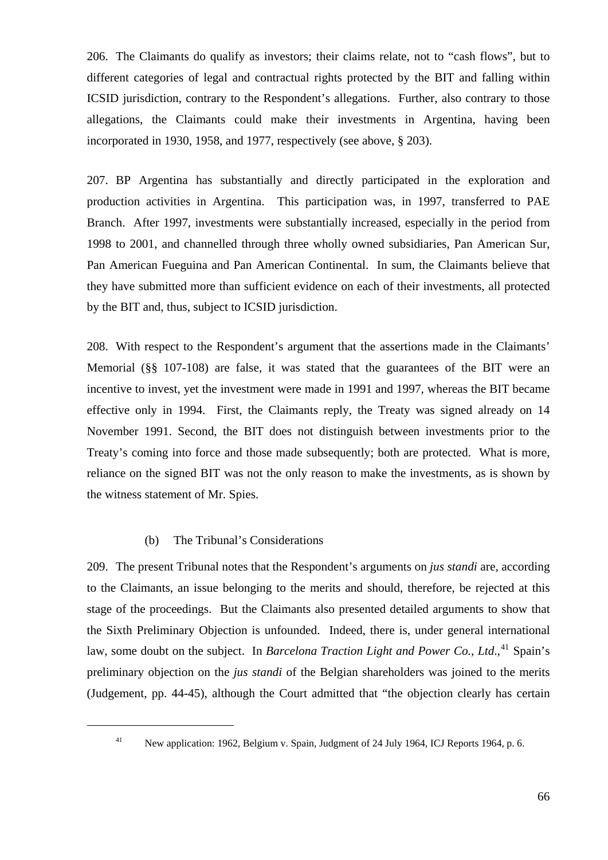206. The Claimants do qualify as investors; their claims relate, not to "cash flows", but to different categories of legal and contractual rights protected by the BIT and falling within ICSID jurisdiction, contrary to the Respondent's allegations. Further, also contrary to those allegations, the Claimants could make their investments in Argentina, having been incorporated in 1930, 1958, and 1977, respectively (see above, § 203).

207. BP Argentina has substantially and directly participated in the exploration and production activities in Argentina. This participation was, in 1997, transferred to PAE Branch. After 1997, investments were substantially increased, especially in the period from 1998 to 2001, and channelled through three wholly owned subsidiaries, Pan American Sur, Pan American Fueguina and Pan American Continental. In sum, the Claimants believe that they have submitted more than sufficient evidence on each of their investments, all protected by the BIT and, thus, subject to ICSID jurisdiction.

208. With respect to the Respondent's argument that the assertions made in the Claimants' Memorial (§§ 107-108) are false, it was stated that the guarantees of the BIT were an incentive to invest, yet the investment were made in 1991 and 1997, whereas the BIT became effective only in 1994. First, the Claimants reply, the Treaty was signed already on 14 November 1991. Second, the BIT does not distinguish between investments prior to the Treaty's coming into force and those made subsequently; both are protected. What is more, reliance on the signed BIT was not the only reason to make the investments, as is shown by the witness statement of Mr. Spies.

# (b) The Tribunal's Considerations

209. The present Tribunal notes that the Respondent's arguments on *jus standi* are, according to the Claimants, an issue belonging to the merits and should, therefore, be rejected at this stage of the proceedings. But the Claimants also presented detailed arguments to show that the Sixth Preliminary Objection is unfounded. Indeed, there is, under general international law, some doubt on the subject. In *Barcelona Traction Light and Power Co., Ltd.*,<sup>[41](#page-65-0)</sup> Spain's preliminary objection on the *jus standi* of the Belgian shareholders was joined to the merits (Judgement, pp. 44-45), although the Court admitted that "the objection clearly has certain

<span id="page-65-0"></span><sup>&</sup>lt;sup>41</sup> New application: 1962, Belgium v. Spain, Judgment of 24 July 1964, ICJ Reports 1964, p. 6.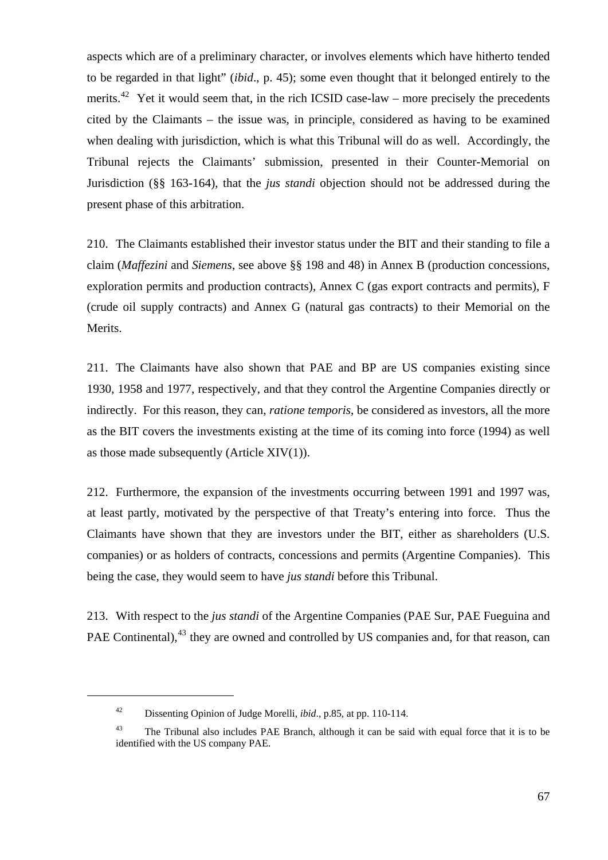aspects which are of a preliminary character, or involves elements which have hitherto tended to be regarded in that light" (*ibid*., p. 45); some even thought that it belonged entirely to the merits.<sup>[42](#page-66-0)</sup> Yet it would seem that, in the rich ICSID case-law – more precisely the precedents cited by the Claimants – the issue was, in principle, considered as having to be examined when dealing with jurisdiction, which is what this Tribunal will do as well. Accordingly, the Tribunal rejects the Claimants' submission, presented in their Counter-Memorial on Jurisdiction (§§ 163-164), that the *jus standi* objection should not be addressed during the present phase of this arbitration.

210. The Claimants established their investor status under the BIT and their standing to file a claim (*Maffezini* and *Siemens*, see above §§ 198 and 48) in Annex B (production concessions, exploration permits and production contracts), Annex C (gas export contracts and permits), F (crude oil supply contracts) and Annex G (natural gas contracts) to their Memorial on the Merits.

211. The Claimants have also shown that PAE and BP are US companies existing since 1930, 1958 and 1977, respectively, and that they control the Argentine Companies directly or indirectly. For this reason, they can, *ratione temporis*, be considered as investors, all the more as the BIT covers the investments existing at the time of its coming into force (1994) as well as those made subsequently (Article  $XIV(1)$ ).

212. Furthermore, the expansion of the investments occurring between 1991 and 1997 was, at least partly, motivated by the perspective of that Treaty's entering into force. Thus the Claimants have shown that they are investors under the BIT, either as shareholders (U.S. companies) or as holders of contracts, concessions and permits (Argentine Companies). This being the case, they would seem to have *jus standi* before this Tribunal.

213. With respect to the *jus standi* of the Argentine Companies (PAE Sur, PAE Fueguina and PAE Continental).<sup>[43](#page-66-1)</sup> they are owned and controlled by US companies and, for that reason, can

<span id="page-66-1"></span><span id="page-66-0"></span><u>.</u>

<sup>42</sup> Dissenting Opinion of Judge Morelli, *ibid*., p.85, at pp. 110-114.

 $43$  The Tribunal also includes PAE Branch, although it can be said with equal force that it is to be identified with the US company PAE.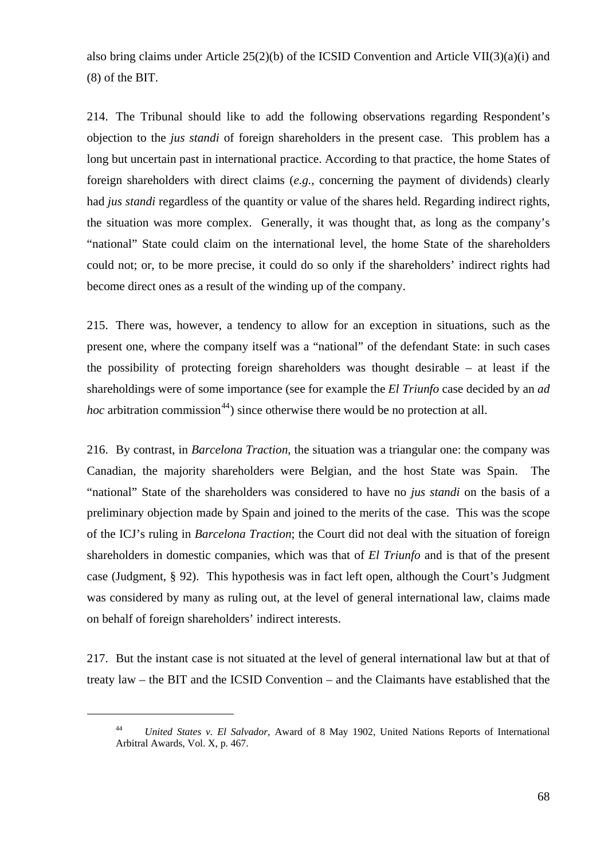also bring claims under Article 25(2)(b) of the ICSID Convention and Article VII(3)(a)(i) and (8) of the BIT.

214. The Tribunal should like to add the following observations regarding Respondent's objection to the *jus standi* of foreign shareholders in the present case. This problem has a long but uncertain past in international practice. According to that practice, the home States of foreign shareholders with direct claims (*e.g.*, concerning the payment of dividends) clearly had *jus standi* regardless of the quantity or value of the shares held. Regarding indirect rights, the situation was more complex. Generally, it was thought that, as long as the company's "national" State could claim on the international level, the home State of the shareholders could not; or, to be more precise, it could do so only if the shareholders' indirect rights had become direct ones as a result of the winding up of the company.

215. There was, however, a tendency to allow for an exception in situations, such as the present one, where the company itself was a "national" of the defendant State: in such cases the possibility of protecting foreign shareholders was thought desirable – at least if the shareholdings were of some importance (see for example the *El Triunfo* case decided by an *ad hoc* arbitration commission<sup>[44](#page-67-0)</sup>) since otherwise there would be no protection at all.

216. By contrast, in *Barcelona Traction*, the situation was a triangular one: the company was Canadian, the majority shareholders were Belgian, and the host State was Spain. The "national" State of the shareholders was considered to have no *jus standi* on the basis of a preliminary objection made by Spain and joined to the merits of the case. This was the scope of the ICJ's ruling in *Barcelona Traction*; the Court did not deal with the situation of foreign shareholders in domestic companies, which was that of *El Triunfo* and is that of the present case (Judgment, § 92). This hypothesis was in fact left open, although the Court's Judgment was considered by many as ruling out, at the level of general international law, claims made on behalf of foreign shareholders' indirect interests.

217. But the instant case is not situated at the level of general international law but at that of treaty law – the BIT and the ICSID Convention – and the Claimants have established that the

<span id="page-67-0"></span><u>.</u>

<sup>44</sup> *United States v. El Salvador*, Award of 8 May 1902, United Nations Reports of International Arbitral Awards, Vol. X, p. 467.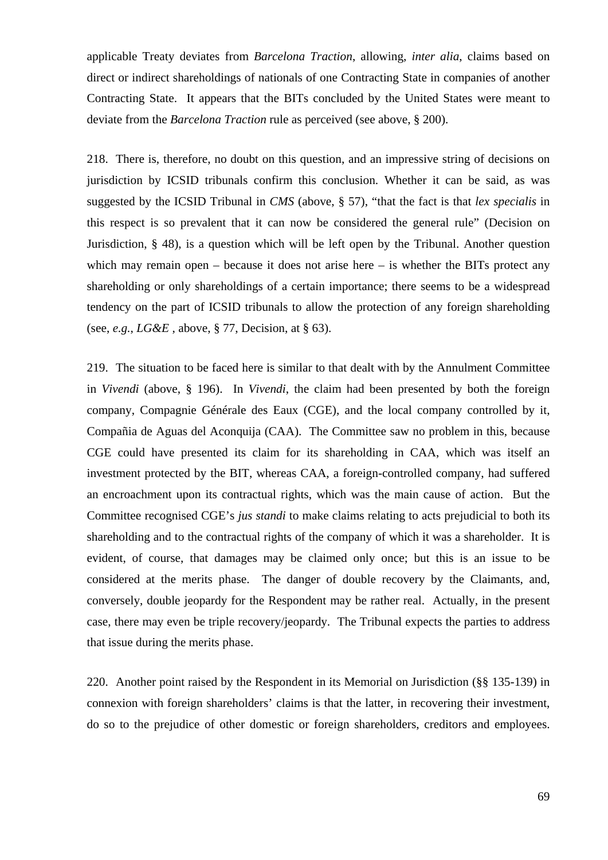applicable Treaty deviates from *Barcelona Traction*, allowing, *inter alia*, claims based on direct or indirect shareholdings of nationals of one Contracting State in companies of another Contracting State. It appears that the BITs concluded by the United States were meant to deviate from the *Barcelona Traction* rule as perceived (see above, § 200).

218. There is, therefore, no doubt on this question, and an impressive string of decisions on jurisdiction by ICSID tribunals confirm this conclusion. Whether it can be said, as was suggested by the ICSID Tribunal in *CMS* (above, § 57), "that the fact is that *lex specialis* in this respect is so prevalent that it can now be considered the general rule" (Decision on Jurisdiction, § 48), is a question which will be left open by the Tribunal. Another question which may remain open  $-$  because it does not arise here  $-$  is whether the BITs protect any shareholding or only shareholdings of a certain importance; there seems to be a widespread tendency on the part of ICSID tribunals to allow the protection of any foreign shareholding (see, *e.g.*, *LG&E* , above, § 77, Decision, at § 63).

219. The situation to be faced here is similar to that dealt with by the Annulment Committee in *Vivendi* (above, § 196). In *Vivendi*, the claim had been presented by both the foreign company, Compagnie Générale des Eaux (CGE), and the local company controlled by it, Compañia de Aguas del Aconquija (CAA). The Committee saw no problem in this, because CGE could have presented its claim for its shareholding in CAA, which was itself an investment protected by the BIT, whereas CAA, a foreign-controlled company, had suffered an encroachment upon its contractual rights, which was the main cause of action. But the Committee recognised CGE's *jus standi* to make claims relating to acts prejudicial to both its shareholding and to the contractual rights of the company of which it was a shareholder. It is evident, of course, that damages may be claimed only once; but this is an issue to be considered at the merits phase.The danger of double recovery by the Claimants, and, conversely, double jeopardy for the Respondent may be rather real. Actually, in the present case, there may even be triple recovery/jeopardy. The Tribunal expects the parties to address that issue during the merits phase.

220. Another point raised by the Respondent in its Memorial on Jurisdiction (§§ 135-139) in connexion with foreign shareholders' claims is that the latter, in recovering their investment, do so to the prejudice of other domestic or foreign shareholders, creditors and employees.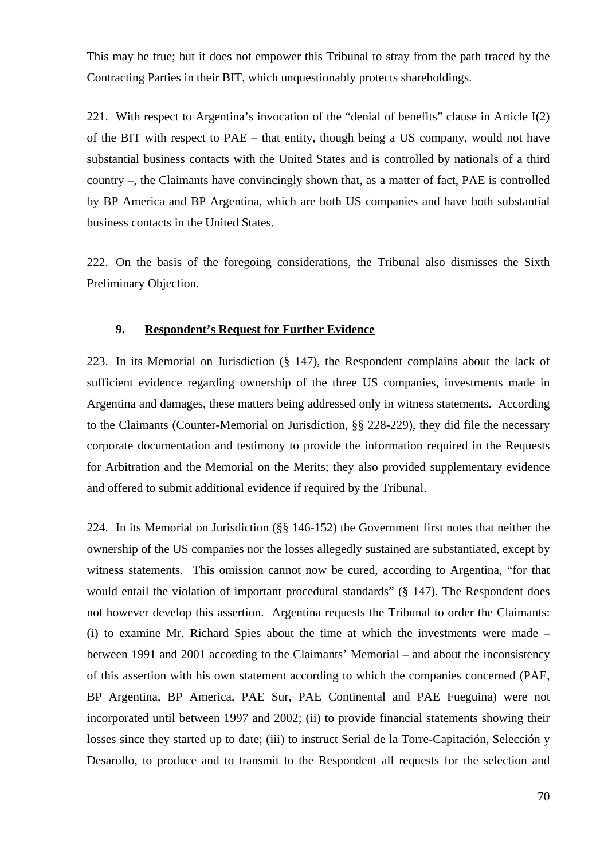This may be true; but it does not empower this Tribunal to stray from the path traced by the Contracting Parties in their BIT, which unquestionably protects shareholdings.

221. With respect to Argentina's invocation of the "denial of benefits" clause in Article I(2) of the BIT with respect to PAE – that entity, though being a US company, would not have substantial business contacts with the United States and is controlled by nationals of a third country –, the Claimants have convincingly shown that, as a matter of fact, PAE is controlled by BP America and BP Argentina, which are both US companies and have both substantial business contacts in the United States.

222. On the basis of the foregoing considerations, the Tribunal also dismisses the Sixth Preliminary Objection.

# **9. Respondent's Request for Further Evidence**

223. In its Memorial on Jurisdiction (§ 147), the Respondent complains about the lack of sufficient evidence regarding ownership of the three US companies, investments made in Argentina and damages, these matters being addressed only in witness statements. According to the Claimants (Counter-Memorial on Jurisdiction, §§ 228-229), they did file the necessary corporate documentation and testimony to provide the information required in the Requests for Arbitration and the Memorial on the Merits; they also provided supplementary evidence and offered to submit additional evidence if required by the Tribunal.

224. In its Memorial on Jurisdiction (§§ 146-152) the Government first notes that neither the ownership of the US companies nor the losses allegedly sustained are substantiated, except by witness statements. This omission cannot now be cured, according to Argentina, "for that would entail the violation of important procedural standards" (§ 147). The Respondent does not however develop this assertion. Argentina requests the Tribunal to order the Claimants: (i) to examine Mr. Richard Spies about the time at which the investments were made – between 1991 and 2001 according to the Claimants' Memorial – and about the inconsistency of this assertion with his own statement according to which the companies concerned (PAE, BP Argentina, BP America, PAE Sur, PAE Continental and PAE Fueguina) were not incorporated until between 1997 and 2002; (ii) to provide financial statements showing their losses since they started up to date; (iii) to instruct Serial de la Torre-Capitación, Selección y Desarollo, to produce and to transmit to the Respondent all requests for the selection and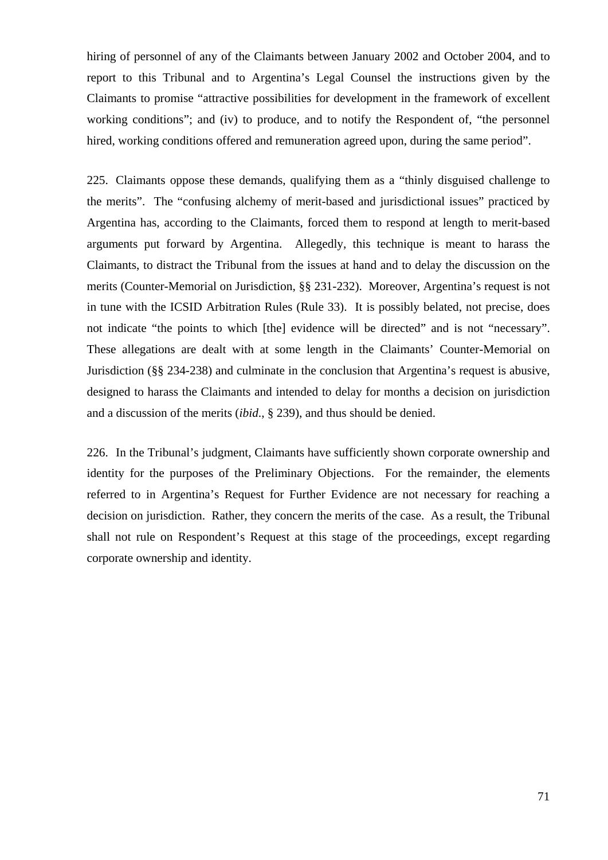hiring of personnel of any of the Claimants between January 2002 and October 2004, and to report to this Tribunal and to Argentina's Legal Counsel the instructions given by the Claimants to promise "attractive possibilities for development in the framework of excellent working conditions"; and (iv) to produce, and to notify the Respondent of, "the personnel hired, working conditions offered and remuneration agreed upon, during the same period".

225. Claimants oppose these demands, qualifying them as a "thinly disguised challenge to the merits". The "confusing alchemy of merit-based and jurisdictional issues" practiced by Argentina has, according to the Claimants, forced them to respond at length to merit-based arguments put forward by Argentina. Allegedly, this technique is meant to harass the Claimants, to distract the Tribunal from the issues at hand and to delay the discussion on the merits (Counter-Memorial on Jurisdiction, §§ 231-232). Moreover, Argentina's request is not in tune with the ICSID Arbitration Rules (Rule 33). It is possibly belated, not precise, does not indicate "the points to which [the] evidence will be directed" and is not "necessary". These allegations are dealt with at some length in the Claimants' Counter-Memorial on Jurisdiction (§§ 234-238) and culminate in the conclusion that Argentina's request is abusive, designed to harass the Claimants and intended to delay for months a decision on jurisdiction and a discussion of the merits (*ibid*., § 239), and thus should be denied.

226. In the Tribunal's judgment, Claimants have sufficiently shown corporate ownership and identity for the purposes of the Preliminary Objections. For the remainder, the elements referred to in Argentina's Request for Further Evidence are not necessary for reaching a decision on jurisdiction. Rather, they concern the merits of the case. As a result, the Tribunal shall not rule on Respondent's Request at this stage of the proceedings, except regarding corporate ownership and identity.